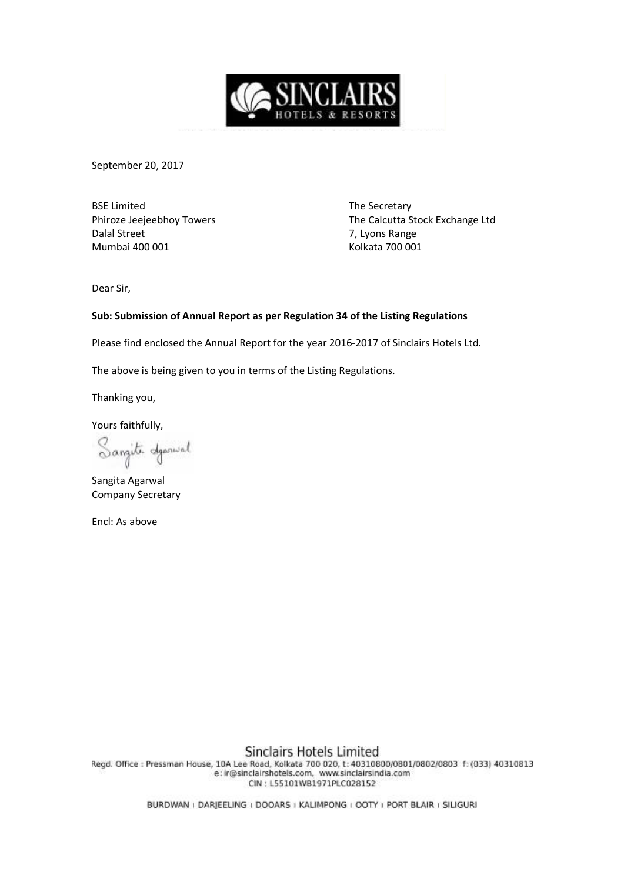

September 20, 2017

BSE Limited The Secretary Dalal Street 2008 2012 12:30 12:30 2012 12:30 2012 12:30 2012 12:30 2012 12:30 2012 12:30 2012 12:30 Mumbai 400 001 **Kolkata 700 001** 

Phiroze Jeejeebhoy Towers The Calcutta Stock Exchange Ltd

Dear Sir,

## **Sub: Submission of Annual Report as per Regulation 34 of the Listing Regulations**

Please find enclosed the Annual Report for the year 2016-2017 of Sinclairs Hotels Ltd.

The above is being given to you in terms of the Listing Regulations.

Thanking you,

Yours faithfully,

Sangite desamel

Sangita Agarwal Company Secretary

Encl: As above

Sinclairs Hotels Limited Regd. Office : Pressman House, 10A Lee Road, Kolkata 700 020, t: 40310800/0801/0802/0803 f: (033) 40310813 e: ir@sinclairshotels.com, www.sinclairsindia.com CIN: L55101WB1971PLC028152

BURDWAN | DARJEELING | DOOARS | KALIMPONG | OOTY | PORT BLAIR | SILIGURI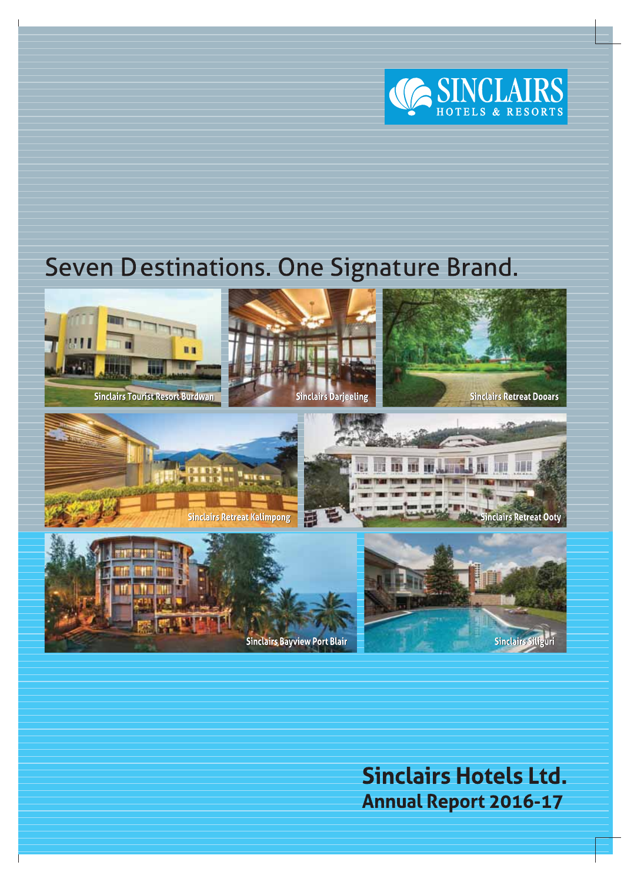

# Seven Destinations. One Signature Brand.



**Sinclairs Hotels Ltd. Annual Report 2016-17**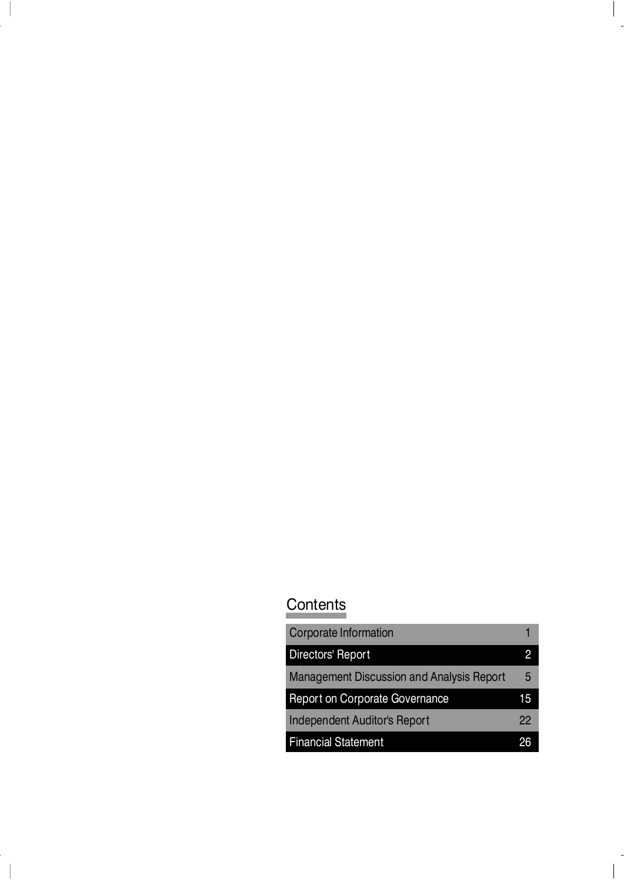## **Contents**

 $\overline{\phantom{a}}$ 

 $\begin{array}{c} \hline \end{array}$ 

| Corporate Information                            |    |
|--------------------------------------------------|----|
| Directors' Report                                |    |
| <b>Management Discussion and Analysis Report</b> | 5  |
| Report on Corporate Governance                   | 15 |
| Independent Auditor's Report                     | 22 |
| <b>Financial Statement</b>                       | 26 |

 $\overline{\phantom{a}}$ 

 $\begin{array}{c} \hline \end{array}$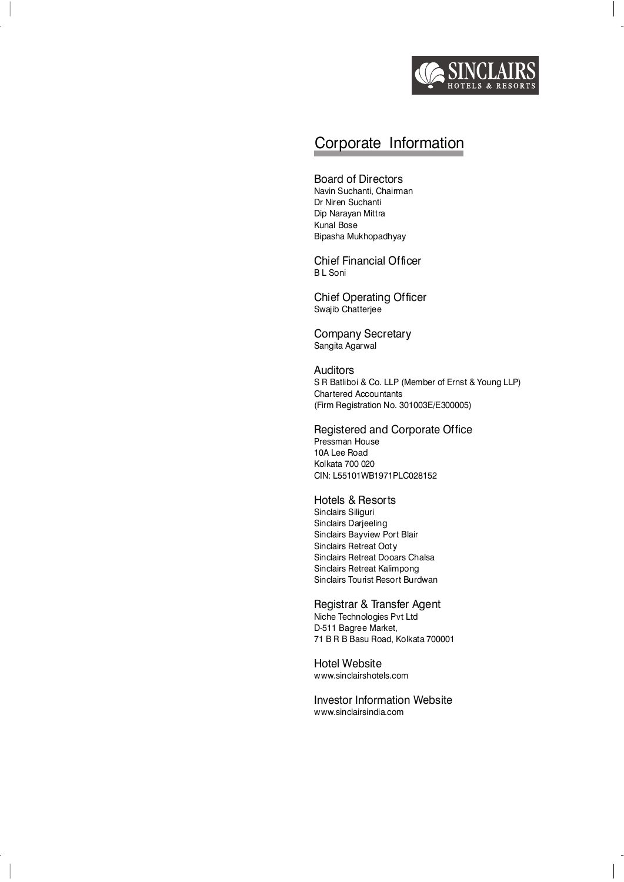

 $\overline{\phantom{a}}$ 

## Corporate Information

DOAI U UI DII GUUI 3<br>Navin Suphanti, Chairm Navin Suchanti, Chairman Dr Niren Suchanti<br>Dr Ni Dip Narayan Mittra Kunal Dose Bipasha Mukhopadhyay

Chief Financial Officer B L Soni

Chief Operating Officer Swajib Chatterjee

Company Secretary Sangita Agarwal

Auditura<br>A D Detika  $\sigma$  R Batliboi & Co. LLP (Member of Ernst & Young LLP) Chartered Accountants (Firm Registration No. 301003E/E300005)

Registered and Corporate Office<br>Pressman House 10A Lee Road Kolkata 700 020 Kolkata 700 020 CIN: LOUTUIND 1971 LOUZO102

Hotels & Resorts<br>Sinclairs Siliguri Sinclairs Darjeeling Sinclairs Darjeeling Sinclairs Bayview Port Blair Sinclairs Retreat Ooty Sinclairs Retreat Dooars Chalsa  $\frac{S}{S}$   $\frac{S}{S}$   $\frac{S}{S}$   $\frac{S}{S}$   $\frac{S}{S}$   $\frac{S}{S}$   $\frac{S}{S}$ Sinclairs Tourist Resort Burdwan

Registrar & Transfer Agent Niche Technologies Pvt Ltd<br>D-511 Bagree Market, D-511 Bagree Market,  $71$  B R B Basu Road, Kolkata 700001

Hotel Website www.sinclairshotels.com

Investor Information Website www.sinclairsindia.com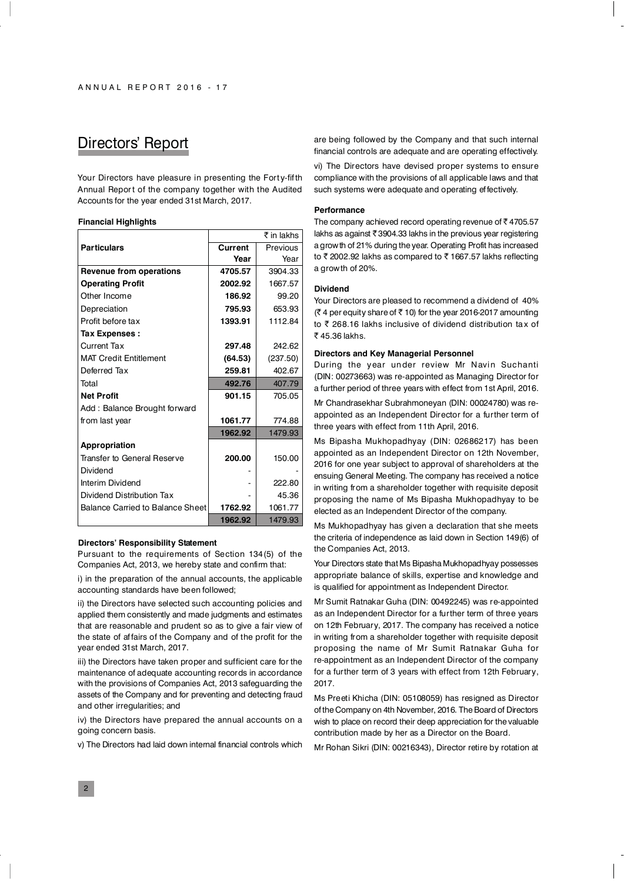## Directors' Report

Your Directors have pleasure in presenting the Forty-fifth Annual Report of the company together with the Audited Accounts for the year ended 31st March, 2017.

#### **Financial Highlights**

|                                         |         | ₹ in lakhs |
|-----------------------------------------|---------|------------|
| <b>Particulars</b>                      | Current | Previous   |
|                                         | Year    | Year       |
| <b>Revenue from operations</b>          | 4705.57 | 3904.33    |
| <b>Operating Profit</b>                 | 2002.92 | 1667.57    |
| Other Income                            | 186.92  | 99.20      |
| Depreciation                            | 795.93  | 653.93     |
| Profit before tax                       | 1393.91 | 1112.84    |
| <b>Tax Expenses:</b>                    |         |            |
| <b>Current Tax</b>                      | 297.48  | 242.62     |
| <b>MAT Credit Entitlement</b>           | (64.53) | (237.50)   |
| Deferred Tax                            | 259.81  | 402.67     |
| Total                                   | 492.76  | 407.79     |
| <b>Net Profit</b>                       | 901.15  | 705.05     |
| Add: Balance Brought forward            |         |            |
| from last year                          | 1061.77 | 774.88     |
|                                         | 1962.92 | 1479.93    |
| <b>Appropriation</b>                    |         |            |
| Transfer to General Reserve             | 200.00  | 150.00     |
| Dividend                                |         |            |
| Interim Dividend                        |         | 222.80     |
| Dividend Distribution Tax               |         | 45.36      |
| <b>Balance Carried to Balance Sheet</b> | 1762.92 | 1061.77    |
|                                         | 1962.92 | 1479.93    |

#### **Directors' Responsibility Statement**

Pursuant to the requirements of Section 134(5) of the Companies Act, 2013, we hereby state and confirm that:

i) in the preparation of the annual accounts, the applicable accounting standards have been followed;

ii) the Directors have selected such accounting policies and applied them consistently and made judgments and estimates that are reasonable and prudent so as to give a fair view of the state of affairs of the Company and of the profit for the year ended 31st March, 2017.<br>iii) the Directors have taken proper and sufficient care for the

iii) the Directors have taken proper and sufficient care for the maintenance of adequate accounting records in accordance with the provisions of Companies Act, 2013 safeguarding the assets of the Company and for preventing and detecting fraud and other irregularities; and

iv) the Directors have prepared the annual accounts on a going concern basis.

v) The Directors had laid down internal financial controls which

are being followed by the Company and that such internal financial controls are adequate and are operating effectively.

vi) The Directors have devised proper systems to ensure compliance with the provisions of all applicable laws and that such systems were adequate and operating effectively.

#### **Performance**

The company achieved record operating revenue of  $\bar{\tau}$  4705.57 lakhs as against  $\bar{\tau}$  3904.33 lakhs in the previous year registering a growth of 21% during the year. Operating Profit has increased to ₹ 2002.92 lakhs as compared to ₹ 1667.57 lakhs reflecting a growth of 20%.

#### **Dividend**

Your Directors are pleased to recommend a dividend of 40%  $($ ₹ 4 per equity share of ₹ 10) for the year 2016-2017 amounting to  $\bar{\tau}$  268.16 lakhs inclusive of dividend distribution tax of  $\overline{z}$  45.36 lakhs.

#### **Directors and Key Managerial Personnel**

During the year under review Mr Navin Suchanti (DIN: 00273663) was re-appointed as Managing Director for a further period of three years with effect from 1st April, 2016.

Mr Chandrasekhar Subrahmoneyan (DIN: 00024780) was reappointed as an Independent Director for a further term of three years with effect from 11th April, 2016.

Ms Bipasha Mukhopadhyay (DIN: 02686217) has been appointed as an Independent Director on 12th November, 2016 for one year subject to approval of shareholders at the ensuing General Meeting. The company has received a notice in writing from a shareholder together with requisite deposit proposing the name of Ms Bipasha Mukhopadhyay to be elected as an Independent Director of the company.

Ms Mukhopadhyay has given a declaration that she meets the criteria of independence as laid down in Section 149(6) of the Companies Act, 2013.

Your Directors state that Ms Bipasha Mukhopadhyay possesses appropriate balance of skills, expertise and knowledge and is qualified for appointment as Independent Director.

Mr Sumit Ratnakar Guha (DIN: 00492245) was re-appointed as an Independent Director for a further term of three years on 12th February, 2017. The company has received a notice in writing from a shareholder together with requisite deposit proposing the name of Mr Sumit Ratnakar Guha for re-appointment as an Independent Director of the company for a further term of 3 years with effect from 12th February, 2017.

Ms Preeti Khicha (DIN: 05108059) has resigned as Director of the Company on 4th November, 2016. The Board of Directors wish to place on record their deep appreciation for the valuable contribution made by her as a Director on the Board.

Mr Rohan Sikri (DIN: 00216343), Director retire by rotation at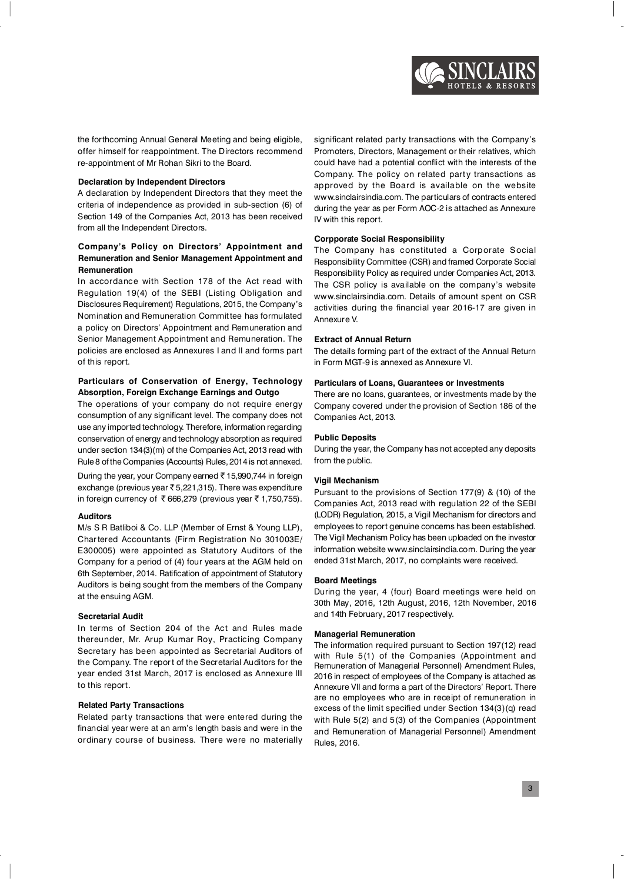

the forthcoming Annual General Meeting and being eligible, offer himself for reappointment. The Directors recommend re-appointment of Mr Rohan Sikri to the Board.

#### **Declaration by Independent Directors**

A declaration by Independent Directors that they meet the criteria of independence as provided in sub-section (6) of Section 149 of the Companies Act, 2013 has been received from all the Independent Directors.

#### **Company's Policy on Directors' Appointment and Remuneration and Senior Management Appointment and Remuneration**

In accordance with Section 178 of the Act read with Regulation 19(4) of the SEBI (Listing Obligation and Disclosures Requirement) Regulations, 2015, the Company's Nomination and Remuneration Committee has formulated a policy on Directors' Appointment and Remuneration and Senior Management Appointment and Remuneration. The policies are enclosed as Annexures I and II and forms part of this report.

#### **Particulars of Conservation of Energy, Technology Absorption, Foreign Exchange Earnings and Outgo**

The operations of your company do not require energy consumption of any significant level. The company does not use any imported technology. Therefore, information regarding conservation of energy and technology absorption as required under section 134(3)(m) of the Companies Act, 2013 read with Rule 8 of the Companies (Accounts) Rules, 2014 is not annexed.

During the year, your Company earned  $\bar{\tau}$  15,990,744 in foreign exchange (previous year  $\overline{\epsilon}$  5,221,315). There was expenditure in foreign currency of  $\bar{\tau}$  666,279 (previous year  $\bar{\tau}$  1,750,755).

#### **Auditors**

M/s S R Batliboi & Co. LLP (Member of Ernst & Young LLP), Chartered Accountants (Firm Registration No 301003E/ E300005) were appointed as Statutory Auditors of the Company for a period of (4) four years at the AGM held on 6th September, 2014. Ratification of appointment of Statutory Auditors is being sought from the members of the Company at the ensuing AGM.

#### **Secretarial Audit**

In terms of Section 204 of the Act and Rules made thereunder, Mr. Arup Kumar Roy, Practicing Company Secretary has been appointed as Secretarial Auditors of the Company. The report of the Secretarial Auditors for the year ended 31st March, 2017 is enclosed as Annexure III to this report.

#### **Related Party Transactions**

Related party transactions that were entered during the financial year were at an arm's length basis and were in the ordinary course of business. There were no materially significant related party transactions with the Company's Promoters, Directors, Management or their relatives, which could have had a potential conflict with the interests of the Company. The policy on related party transactions as approved by the Board is available on the website www.sinclairsindia.com. The particulars of contracts entered during the year as per Form AOC-2 is attached as Annexure IV with this report.

#### **Corpporate Social Responsibility**

The Company has constituted a Corporate Social Responsibility Committee (CSR) and framed Corporate Social Responsibility Policy as required under Companies Act, 2013. The CSR policy is available on the company's website www.sinclairsindia.com. Details of amount spent on CSR activities during the financial year 2016-17 are given in Annexure V.

#### **Extract of Annual Return**

The details forming part of the extract of the Annual Return in Form MGT-9 is annexed as Annexure VI.

#### **Particulars of Loans, Guarantees or Investments**

There are no loans, guarantees, or investments made by the Company covered under the provision of Section 186 of the Companies Act, 2013.

#### **Public Deposits**

During the year, the Company has not accepted any deposits from the public.

#### **Vigil Mechanism**

Pursuant to the provisions of Section 177(9) & (10) of the Companies Act, 2013 read with regulation 22 of the SEBI (LODR) Regulation, 2015, a Vigil Mechanism for directors and employees to report genuine concerns has been established. The Vigil Mechanism Policy has been uploaded on the investor information website www.sinclairsindia.com. During the year ended 31st March, 2017, no complaints were received.

#### **Board Meetings**

During the year, 4 (four) Board meetings were held on 30th May, 2016, 12th August, 2016, 12th November, 2016 and 14th February, 2017 respectively.

#### **Managerial Remuneration**

The information required pursuant to Section 197(12) read with Rule 5(1) of the Companies (Appointment and Remuneration of Managerial Personnel) Amendment Rules, Remuneration of Managerial Personnel) Amendment Rules, 2016 in respect of employees of the Company is attached as Annexure VII and forms a part of the Directors' Report. There are no employees who are in receipt of remuneration in excess of the limit specified under Section 134(3)(q) read with Rule 5(2) and 5(3) of the Companies (Appointment and Remuneration of Managerial Personnel) Amendment Rules, 2016.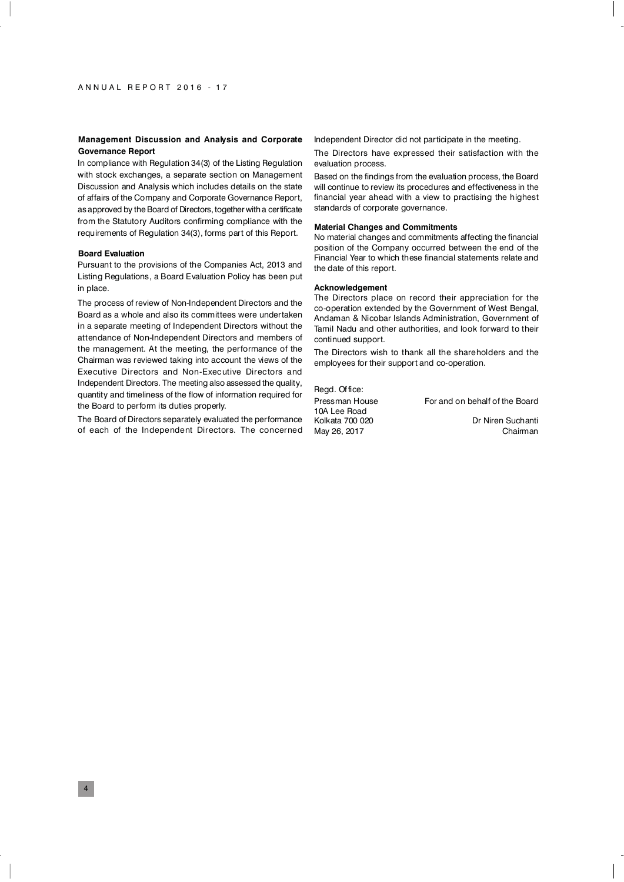#### **Management Discussion and Analysis and Corporate Governance Report**

In compliance with Regulation 34(3) of the Listing Regulation with stock exchanges, a separate section on Management Discussion and Analysis which includes details on the state of affairs of the Company and Corporate Governance Report, as approved by the Board of Directors, together with a certificate from the Statutory Auditors confirming compliance with the requirements of Regulation 34(3), forms part of this Report.

#### **Board Evaluation**

Pursuant to the provisions of the Companies Act, 2013 and Listing Regulations, a Board Evaluation Policy has been put in place.

The process of review of Non-Independent Directors and the Board as a whole and also its committees were undertaken in a separate meeting of Independent Directors without the attendance of Non-Independent Directors and members of the management. At the meeting, the performance of the Chairman was reviewed taking into account the views of the Executive Directors and Non-Executive Directors and Independent Directors. The meeting also assessed the quality, quantity and timeliness of the flow of information required for the Board to perform its duties properly.<br>The Board of Directors separately evaluated the performance

The Board of Directors separately evaluated the performance of each of the Independent Directors. The concerned Independent Director did not participate in the meeting.

The Directors have expressed their satisfaction with the evaluation process.<br>Based on the findings from the evaluation process, the Board

will continue to review its procedures and effectiveness in the will continue to review its procedures and effectiveness in the financial year ahead with a view to practising the highest standards of corporate governance.

#### **Material Changes and Commitments**

No material changes and commitments affecting the financial position of the Company occurred between the end of the position of the Company occurred between the end of the Financial Year to which these financial statements relate and the date of this report.

Acknowledgement<br>The Directors place on record their appreciation for the co-operation extended by the Government of West Bengal, co-operation extended by the Government of West Bengal, Andaman & Nicobar Islands Administration, Government of Tamil Nadu and other authorities, and look forward to their continued support.

The Directors wish to thank all the shareholders and the employees for their support and co-operation.

Regd. Office:<br>Pressman House Pressman House For and on behalf of the Board<br>10A Lee Road Kolkata 700 020  $M$ ay 20, 2017 Chairman

Kolkata 700 020 Dr Niren Suchanti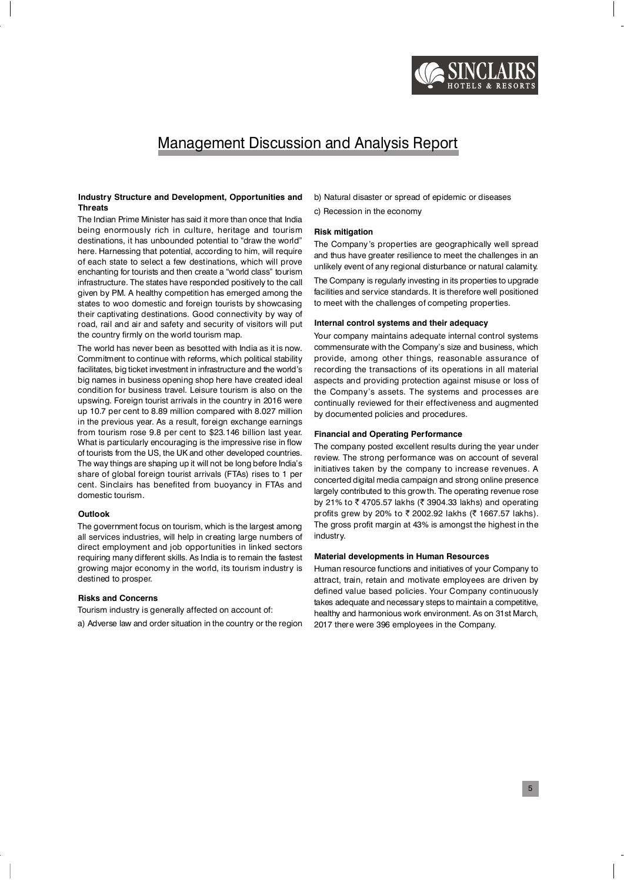

## Management Discussion and Analysis Report

#### **Industry Structure and Development, Opportunities and Threats**

The Indian Prime Minister has said it more than once that India being enormously rich in culture, heritage and tourism destinations, it has unbounded potential to "draw the world" here. Harnessing that potential, according to him, will require of each state to select a few destinations, which will prove enchanting for tourists and then create a "world class" tourism  $\frac{1}{2}$  infrastructure. The states have responded positively to the call given by PM. A healthy competition has emerged among the states to woo domestic and foreign tourists by showcasing their captivating destinations. Good connectivity by way of road, rail and air and safety and security of visitors will put the country firmly on the world tourism map.

The world has never been as besotted with India as it is now. Commitment to continue with reforms, which political stability facilitates, big ticket investment in infrastructure and the world's big names in business opening shop here have created ideal condition for business travel. Leisure tourism is also on the upswing. Foreign tourist arrivals in the country in 2016 were up 10.7 per cent to 8.89 million compared with 8.027 million in the previous year. As a result, foreign exchange earnings from tourism rose 9.8 per cent to \$23.146 billion last year.  $f$ rom tourism rose 9.0 per cent to \$23.146 billion last year. What is particularly encouraging is the impressive rise in flow of tourists from the US, the UK and other developed countries. The way things are shaping up it will not be long before India's share of global foreign tourist arrivals (FTAs) rises to 1 per cent. Sinclairs has benefited from buoyancy in FTAs and domestic tourism.

#### **Outlook**

The government focus on tourism, which is the largest among all services industries, will help in creating large numbers of direct employment and job opportunities in linked sectors direct employment and job opportunities in linked sectors requiring many different skills. As India is to remain the fastest growing major economy in the world, its tourism industry is destined to prosper.

#### **Risks and Concerns**

Tourism industry is generally affected on account of:

a) Adverse law and order situation in the country or the region

b) Natural disaster or spread of epidemic or diseases

c) Recession in the economy

#### **Risk mitigation**

The Company's properties are geographically well spread and thus have greater resilience to meet the challenges in an unlikely event of any regional disturbance or natural calamity.

The Company is regularly investing in its properties to upgrade facilities and service standards. It is therefore well positioned to meet with the challenges of competing properties.

#### **Internal control systems and their adequacy**

Your company maintains adequate internal control systems commensurate with the Company's size and business, which provide, among other things, reasonable assurance of recording the transactions of its operations in all material aspects and providing protection against misuse or loss of the Company's assets. The systems and processes are continually reviewed for their effectiveness and augmented by documented policies and procedures.

#### **Financial and Operating Performance**

The company posted excellent results during the year under review. The strong performance was on account of several initiatives taken by the company to increase revenues. A concerted digital media campaign and strong online presence largely contributed to this growth. The operating revenue rose by 21% to  $\bar{\tau}$  4705.57 lakhs ( $\bar{\tau}$  3904.33 lakhs) and operating profits grew by 20% to ₹ 2002.92 lakhs (₹ 1667.57 lakhs). The gross profit margin at 43% is amongst the highest in the industry.

#### **Material developments in Human Resources**

Human resource functions and initiatives of your Company to attract, train, retain and motivate employees are driven by attract, train, retain and motivate employees are driven by defined value based policies. Your Company continuously takes adequate and necessary steps to maintain a competitive, healthy and harmonious work environment. As on 31st March, 2017 there were 396 employees in the Company.

5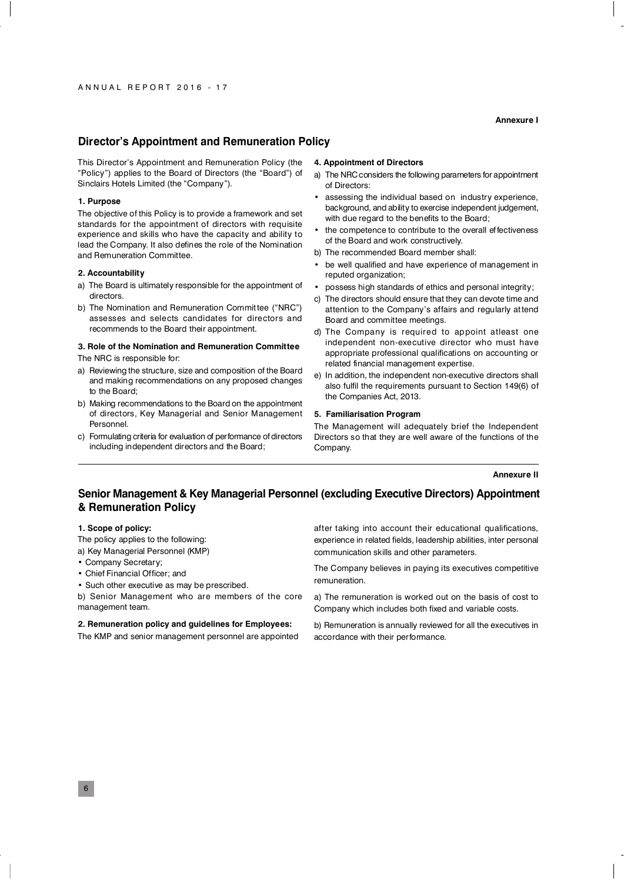**Annexure I**

#### **Director's Appointment and Remuneration Policy**

This Director's Appointment and Remuneration Policy (the "Policy") applies to the Board of Directors (the "Board") of Sinclairs Hotels Limited (the "Company").

#### **1. Purpose**

The objective of this Policy is to provide a framework and set standards for the appointment of directors with requisite experience and skills who have the capacity and ability to lead the Company. It also defines the role of the Nomination and Remuneration Committee.

#### **2. Accountability**

- a) The Board is ultimately responsible for the appointment of directors.
- b) The Nomination and Remuneration Committee ("NRC") assesses and selects candidates for directors and recommends to the Board their appointment.

## **3. Role of the Nomination and Remuneration Committee** The NRC is responsible for:

- $a$ ) reviewing the structure, size and composition or the Board and making recommendations on any proposed changes<br>to the Board:
- b) Making recommendations to the Board on the appointment b) Making recommendations to the Board on the appointment of directors, Key Managerial and Senior Management Personnel.
- c) Formulating criteria for evaluation of performance of directors including independent directors and the Board;

#### **4. Appointment of Directors**

- a) The NRC considers the following parameters for appointment of Directors:
- assessing the individual based on industry experience, background, and ability to exercise independent judgement, with due regard to the benefits to the Board;
- the competence to contribute to the overall effectiveness of the Board and work constructively.
- b) The recommended Board member shall:
- be well qualified and have experience of management in reputed organization;
- possess high standards of ethics and personal integrity;
- The directors should ensure that they can devote time and attention to the Company's affairs and regularly attend Board and committee meetings.
- d) The Company is required to appoint atleast one independent non-executive director who must have appropriate professional qualifications on accounting or related financial management expertise.<br>e) In addition, the independent non-executive directors shall
- e) In addition, the independent non-executive directors shall also fulfil the requirements pursuant to Section 149(6) of the Companies Act, 2013.

#### **5. Familiarisation Program**

The Management will adequately brief the Independent Directors so that they are well aware of the functions of the Company.

#### **Annexure II**

## **Senior Management & Key Managerial Personnel (excluding Executive Directors) Appointment & Remuneration Policy**

#### **1. Scope of policy:**

The policy applies to the following: a) Key Managerial Personnel (KMP)

- Company Secretary;
- Chief Financial Officer; and
- Such other executive as may be prescribed.

b) Senior Management who are members of the core management team.

#### **2. Remuneration policy and guidelines for Employees:**

The KMP and senior management personnel are appointed

after taking into account their educational qualifications, experience in related fields, leadership abilities, inter personal communication skills and other parameters.

The Company believes in paying its executives competitive remuneration.

a) The remuneration is worked out on the basis of cost to Company which includes both fixed and variable costs.

b) Remuneration is annually reviewed for all the executives in accordance with their performance.

6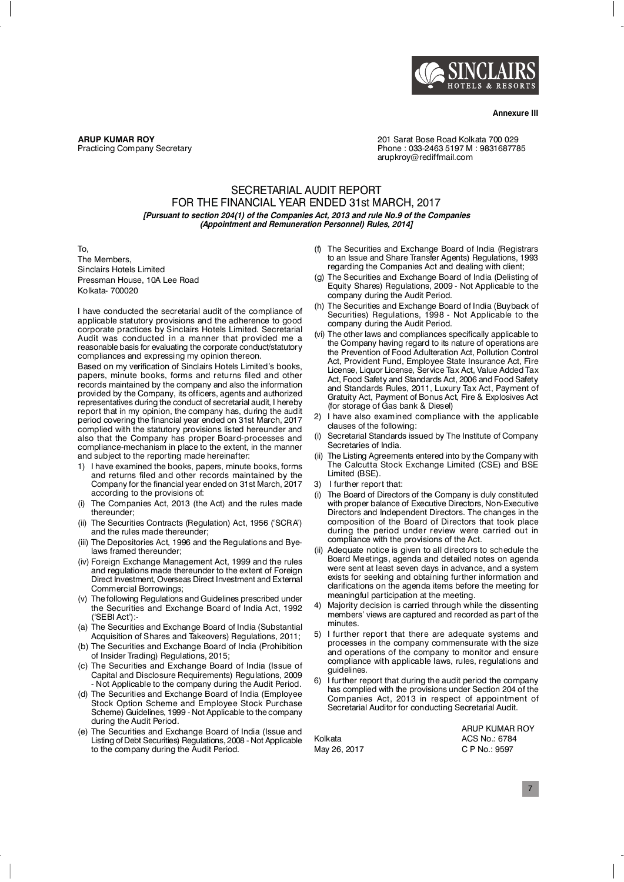

**Annexure III**

**ARUP KUMAR ROY** 201 Sarat Bose Road Kolkata 700 029 Phone : 033-2463 5197 M : 9831687785 arupkroy@rediffmail.com

## SECRETARIAL AUDIT REPORT<br>FOR THE FINANCIAL YEAR ENDED 31st MARCH. 2017 FOR THE FINANCIAL YEAR ENDED 31st MARCH, 2017 **[Pursuant to section 204(1) of the Companies Act, 2013 and rule No.9 of the Companies (Appointment and Remuneration Personnel) Rules, 2014]**

To,<br>The Members, Sinclairs Hotels Limited Sinclairs Hotels Limited Pressman House, 10A Lee Road Kolkata- 700020

I have conducted the secretarial audit of the compliance of applicable statutory provisions and the adherence to good corporate practices by Sinclairs Hotels Limited. Secretarial Audit was conducted in a manner that provided me a reasonable basis for evaluating the corporate conduct/statutory reasonable basis for evaluating the corporate conduct/statutory compliances and expressing my opinion thereon.

Based on my verification of Sinclairs Hotels Limited's books, papers, minute books, forms and returns filed and other records maintained by the company and also the information provided by the Company, its officers, agents and authorized representatives during the conduct of secretarial audit, I hereby report that in my opinion, the company has, during the audit period covering the financial year ended on 31st March, 2017 complied with the statutory provisions listed hereunder and also that the Company has proper Board-processes and compliance-mechanism in place to the extent, in the manner and subject to the reporting made hereinafter:

- 1) I have examined the books, papers, minute books, forms and returns filed and other records maintained by the and returns filed and other records maintained by the Company for the financial year ended on 31st March, 2017 according to the provisions of:
- (i) The Companies Act, 2013 (the Act) and the rules made thereunder;<br>The control
- (ii) The Securities Contracts (Regulation) Act, 1956 ('SCRA') and the rules made thereunder;
- (iii) The Depositories Act, 1996 and the Regulations and Byelaws framed thereunder;<br>(iv) Foreign Exchange Management Act, 1999 and the rules
- and requilations made thereunder to the extent of Foreign and regulations made thereunder to the extent of Foreign Direct Investment, Overseas Direct Investment and External Commercial Borrowings;<br>(v) The following Regulations and Guidelines prescribed under
- (v) The following Regulations and Guidelines prescribed under the Securities and Exchange Board of India Act, 1992<br>('CEDI Ast') ('SEBI Act'):-
- (a) The Securities and Exchange Board of India (Substantial Acquisition of Shares and Takeovers) Regulations, 2011;
- (b) The Securities and Exchange Board of India (Frohibition) of Insider Trading) Regulations, 2015;<br>(c) The Securities and Exchange Board of India (Issue of
- Capital and Disclosure Requirements) Regulations, 2009 Not Applicable to the company during the Audit Period.
- (d) The Securities and Exchange Board of India (Employee (d) The Securities and Exchange Board of India (Employee Stock Purchase Stock Option Scheme and Employee Stock Purchase<br>Scheme) Guidelines 1999 Net Applicable to the company Scheme) Guidelines, 1999 - Not Applicable to the company during the Audit Period.<br>(e) The Securities and Exchange Board of India (Issue and
- Listing of Debt Securities) Regulations, 2008 Not Applicable Listing of Debt Securities) Regulations, 2008 - Not Applicable to the company during the Audit Period.
- (f) The Securities and Exchange Board of India (Registrars to an issue and onare mansier Agents) riegulations, 1993<br>regerding the Componies Act and decling with client:
- regarding the Companies Act and dealing with client;<br>(g) The Securities and Exchange Board of India (Delisting of (g) The Securities and Exchange Board of India (Delisting of Equity Shares) Regulations, 2009 - Not Applicable to the company during the Audit Period.<br>The Securities and Exchange Board of India (Buyback of
- (h) The Securities and Exchange Board of India (Buyback of Securities) Regulations, 1998 - Not Applicable to the company during the Audit Period.<br>(vi) The other laws and compliances specifically applicable to
- the Company having regard to its nature of operations are the Prevention of Food Adulteration Act. Pollution Control Act, Provident Fund, Employee State Insurance Act, Fire License, Liquor License, Service Tax Act, Value Added Tax Act, Food Safety and Standards Act, 2006 and Food Safety and Standards Rules, 2011, Luxury Tax Act, Payment of Gratuity Act, Payment of Bonus Act, Fire & Explosives Act Gratuity Act, Payment of Bonus Act, Fire & Explosives Act (for storage of Gas bank & Diesel)
- I have also examined compliance with the applicable clauses of the following: clauses of the following:
- (i) Secretarial Standards issued by The Institute of Company Secretaries of India.<br>The Listing Agreements entered into by the Company with
- (ii) The Listing Agreements entered into by the Company with The Calculta Stock Exchange Limited (COE) and BSE<br>Limited (BSE) Limited (BSE).<br>I further report that:
- 3) I further report that:

May 26, 2017

- (i) The Board of Directors of the Company is duly constituted with proper balance of Executive Directors, Non-Executive<br>Directors and Independent Directors, The obenase in the Directors and Independent Directors. The changes in the composition of the Board of Directors that took place during the period under review were carried out in compliance with the provisions of the Act.
- Board Meetings, agenda and detailed notes on agenda were sent at least seven days in advance, and a system were sent at least seven days in advance, and a system exists for seeking and obtaining further information and clarifications on the agenda items before the meeting for meaningful participation at the meeting.<br>Majority decision is carried through while the dissenting
- 4) Majority decision is carried through while the dissenting members' views are captured and recorded as part of the minutes.<br>I further report that there are adequate systems and
- 5) I further report that there are adequate systems and and operations of the company to monitor and ensure and operations of the company to monitor and ensure compliance with applicable laws, rules, regulations and guidelines.<br>I further report that during the audit period the company
- 6) I further report that during the audit period the company has complied with the provisions under Section 204 of the Companies Act, 2013 in respect of appointment of Secretarial Auditor for conducting Secretarial Audit.

ARUP KUMAR ROY<br>ACS No.: 6784 Kolkata ACS No.: 6784

 $\overline{ }$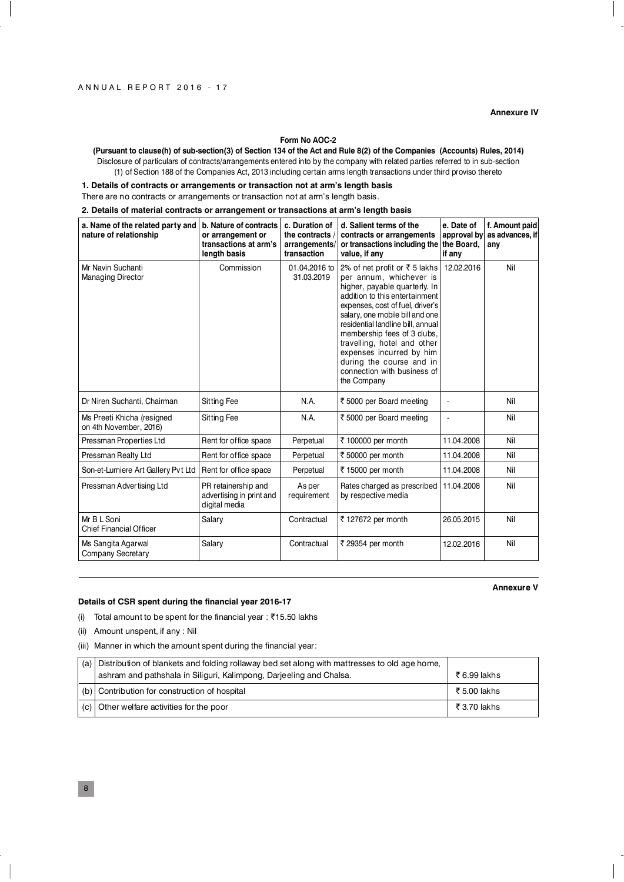**Annexure IV**

#### **Form No AOC-2**

**(Pursuant to clause(h) of sub-section(3) of Section 134 of the Act and Rule 8(2) of the Companies (Accounts) Rules, 2014)** Disclosure of particulars of contracts/arrangements entered into by the company with related parties referred to in sub-section (1) of Section 188 of the Companies Act, 2013 including certain arms length transactions under third proviso thereto

**1. Details of contracts or arrangements or transaction not at arm's length basis**

There are no contracts or arrangements or transaction not at arm's length basis.

**2. Details of material contracts or arrangement or transactions at arm's length basis**

| a. Name of the related party and<br>nature of relationship | c. Duration of<br>b. Nature of contracts<br>d. Salient terms of the<br>the contracts /<br>or arrangement or<br>contracts or arrangements<br>transactions at arm's<br>or transactions including the<br>arrangements/<br>value, if any<br>length basis<br>transaction |                             | e. Date of<br>approval by<br>the Board,<br>if any                                                                                                                                                                                                                                                                                                                                                           | f. Amount paid<br>as advances, if<br>any |     |
|------------------------------------------------------------|---------------------------------------------------------------------------------------------------------------------------------------------------------------------------------------------------------------------------------------------------------------------|-----------------------------|-------------------------------------------------------------------------------------------------------------------------------------------------------------------------------------------------------------------------------------------------------------------------------------------------------------------------------------------------------------------------------------------------------------|------------------------------------------|-----|
| Mr Navin Suchanti<br><b>Managing Director</b>              | Commission                                                                                                                                                                                                                                                          | 01.04.2016 to<br>31.03.2019 | 2% of net profit or ₹ 5 lakhs<br>per annum, whichever is<br>higher, payable quarterly. In<br>addition to this entertainment<br>expenses, cost of fuel, driver's<br>salary, one mobile bill and one<br>residential landline bill, annual<br>membership fees of 3 clubs,<br>travelling, hotel and other<br>expenses incurred by him<br>during the course and in<br>connection with business of<br>the Company | 12.02.2016                               | Nil |
| Dr Niren Suchanti, Chairman                                | <b>Sitting Fee</b>                                                                                                                                                                                                                                                  | N.A.                        | ₹ 5000 per Board meeting                                                                                                                                                                                                                                                                                                                                                                                    |                                          | Nil |
| Ms Preeti Khicha (resigned<br>on 4th November, 2016)       | <b>Sitting Fee</b>                                                                                                                                                                                                                                                  | N.A.                        | ₹ 5000 per Board meeting                                                                                                                                                                                                                                                                                                                                                                                    |                                          | Nil |
| Pressman Properties Ltd                                    | Rent for office space                                                                                                                                                                                                                                               | Perpetual                   | ₹ 100000 per month                                                                                                                                                                                                                                                                                                                                                                                          | 11.04.2008                               | Nil |
| Pressman Realty Ltd                                        | Rent for office space                                                                                                                                                                                                                                               | Perpetual                   | ₹ 50000 per month                                                                                                                                                                                                                                                                                                                                                                                           | 11.04.2008                               | Nil |
| Son-et-Lumiere Art Gallery Pvt Ltd                         | Rent for office space                                                                                                                                                                                                                                               | Perpetual                   | ₹ 15000 per month                                                                                                                                                                                                                                                                                                                                                                                           | 11.04.2008                               | Nil |
| Pressman Advertising Ltd                                   | PR retainership and<br>advertising in print and<br>digital media                                                                                                                                                                                                    | As per<br>requirement       | Rates charged as prescribed<br>by respective media                                                                                                                                                                                                                                                                                                                                                          | 11.04.2008                               | Nil |
| Mr B L Soni<br><b>Chief Financial Officer</b>              | Salary                                                                                                                                                                                                                                                              | Contractual                 | ₹ 127672 per month                                                                                                                                                                                                                                                                                                                                                                                          | 26.05.2015                               | Nil |
| Ms Sangita Agarwal<br><b>Company Secretary</b>             | Salary                                                                                                                                                                                                                                                              | Contractual                 | ₹ 29354 per month                                                                                                                                                                                                                                                                                                                                                                                           | 12.02.2016                               | Nil |

#### **Annexure V**

#### **Details of CSR spent during the financial year 2016-17**

(i) Total amount to be spent for the financial year :  $\bar{\tau}$ 15.50 lakhs

(ii) Amount unspent, if any : Nil

(iii) Manner in which the amount spent during the financial year:

|  | (a) Distribution of blankets and folding rollaway bed set along with mattresses to old age home,<br>ashram and pathshala in Siliguri, Kalimpong, Darjeeling and Chalsa. | ₹ 6.99 lakhs |
|--|-------------------------------------------------------------------------------------------------------------------------------------------------------------------------|--------------|
|  | (b) Contribution for construction of hospital                                                                                                                           | ₹ 5.00 lakhs |
|  | $(c)$ Other welfare activities for the poor                                                                                                                             | ₹ 3.70 lakhs |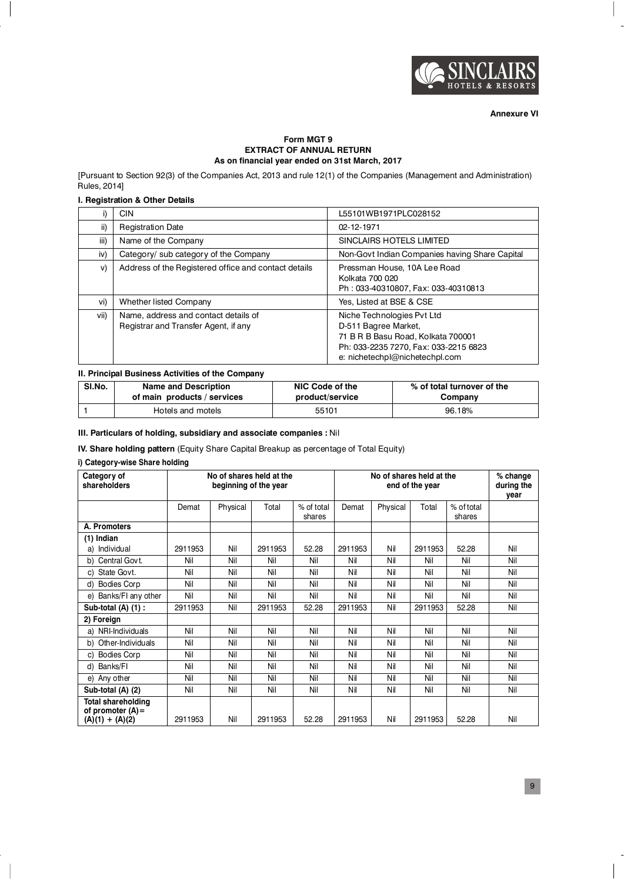

**Annexure VI**

 $\mathbf{r}$ 

#### **Form MGT 9 EXTRACT OF ANNUAL RETURN As on financial year ended on 31st March, 2017**

[Pursuant to Section 92(3) of the Companies Act, 2013 and rule 12(1) of the Companies (Management and Administration) Rules, 2014]

#### **I. Registration & Other Details**

|      | <b>CIN</b>                                                                   | L55101WB1971PLC028152                                                                                                                                               |
|------|------------------------------------------------------------------------------|---------------------------------------------------------------------------------------------------------------------------------------------------------------------|
| ii)  | <b>Registration Date</b>                                                     | 02-12-1971                                                                                                                                                          |
| iii) | Name of the Company                                                          | SINCLAIRS HOTELS LIMITED                                                                                                                                            |
| iv)  | Category/ sub category of the Company                                        | Non-Govt Indian Companies having Share Capital                                                                                                                      |
| V)   | Address of the Registered office and contact details                         | Pressman House, 10A Lee Road<br>Kolkata 700 020<br>Ph: 033-40310807, Fax: 033-40310813                                                                              |
| vi)  | <b>Whether listed Company</b>                                                | Yes, Listed at BSE & CSE                                                                                                                                            |
| vii) | Name, address and contact details of<br>Registrar and Transfer Agent, if any | Niche Technologies Pvt Ltd<br>D-511 Bagree Market,<br>71 B R B Basu Road, Kolkata 700001<br>Ph: 033-2235 7270, Fax: 033-2215 6823<br>e: nichetechpl@nichetechpl.com |

#### **II. Principal Business Activities of the Company**

| SI.No. | <b>Name and Description</b> | NIC Code of the | % of total turnover of the |
|--------|-----------------------------|-----------------|----------------------------|
|        | of main products / services | product/service | Company                    |
|        | Hotels and motels           | 55101           | 96.18%                     |

#### **III. Particulars of holding, subsidiary and associate companies :** Nil

**IV. Share holding pattern** (Equity Share Capital Breakup as percentage of Total Equity)

#### **i) Category-wise Share holding**

| Category of<br>shareholders                                           | No of shares held at the<br>beginning of the year |          |         | No of shares held at the<br>end of the year |         |          |         | % change<br>during the<br>year |     |
|-----------------------------------------------------------------------|---------------------------------------------------|----------|---------|---------------------------------------------|---------|----------|---------|--------------------------------|-----|
|                                                                       | Demat                                             | Physical | Total   | % of total<br>shares                        | Demat   | Physical | Total   | % of total<br>shares           |     |
| A. Promoters                                                          |                                                   |          |         |                                             |         |          |         |                                |     |
| (1) Indian                                                            |                                                   |          |         |                                             |         |          |         |                                |     |
| Individual<br>a)                                                      | 2911953                                           | Nil      | 2911953 | 52.28                                       | 2911953 | Nil      | 2911953 | 52.28                          | Nil |
| b) Central Govt.                                                      | Nil                                               | Nil      | Nil     | Nil                                         | Nil     | Nil      | Nil     | Nil                            | Nil |
| State Govt.<br>C)                                                     | Nil                                               | Nil      | Nil     | Nil                                         | Nil     | Nil      | Nil     | Nil                            | Nil |
| <b>Bodies Corp</b><br>d)                                              | Nil                                               | Nil      | Nil     | Nil                                         | Nil     | Nil      | Nil     | Nil                            | Nil |
| Banks/FI any other<br>e)                                              | Nil                                               | Nil      | Nil     | Nil                                         | Nil     | Nil      | Nil     | Nil                            | Nil |
| Sub-total $(A)$ $(1)$ :                                               | 2911953                                           | Nil      | 2911953 | 52.28                                       | 2911953 | Nil      | 2911953 | 52.28                          | Nil |
| 2) Foreign                                                            |                                                   |          |         |                                             |         |          |         |                                |     |
| a) NRI-Individuals                                                    | Nil                                               | Nil      | Nil     | Nil                                         | Nil     | Nil      | Nil     | Nil                            | Nil |
| b) Other-Individuals                                                  | Nil                                               | Nil      | Nil     | Nil                                         | Nil     | Nil      | Nil     | Nil                            | Nil |
| <b>Bodies Corp</b><br>C)                                              | Nil                                               | Nil      | Nil     | Nil                                         | Nil     | Nil      | Nil     | Nil                            | Nil |
| Banks/Fl<br>d)                                                        | Nil                                               | Nil      | Nil     | Nil                                         | Nil     | Nil      | Nil     | Nil                            | Nil |
| Any other<br>e)                                                       | Nil                                               | Nil      | Nil     | Nil                                         | Nil     | Nil      | Nil     | Nil                            | Nil |
| Sub-total (A) (2)                                                     | Nil                                               | Nil      | Nil     | Nil                                         | Nil     | Nil      | Nil     | Nil                            | Nil |
| <b>Total shareholding</b><br>of promoter $(A)$ =<br>$(A)(1) + (A)(2)$ | 2911953                                           | Nil      | 2911953 | 52.28                                       | 2911953 | Nil      | 2911953 | 52.28                          | Nil |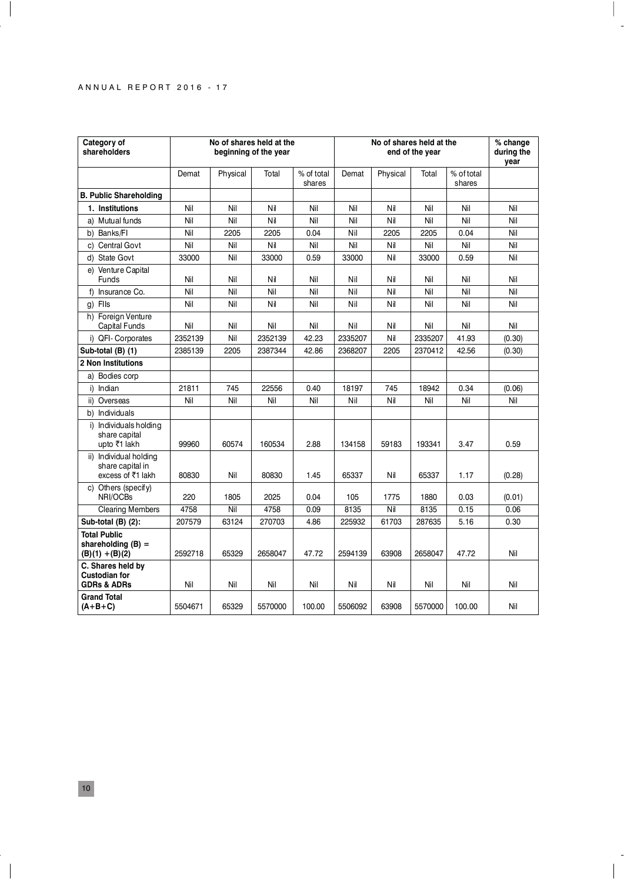#### ANNUAL REPORT 2016 - 17

 $\overline{\phantom{a}}$ 

j.

| Category of<br>shareholders                                         |         | No of shares held at the | beginning of the year |                      | No of shares held at the<br>end of the year |          |         |                      | % change<br>during the<br>vear |
|---------------------------------------------------------------------|---------|--------------------------|-----------------------|----------------------|---------------------------------------------|----------|---------|----------------------|--------------------------------|
|                                                                     | Demat   | Physical                 | Total                 | % of total<br>shares | Demat                                       | Physical | Total   | % of total<br>shares |                                |
| <b>B. Public Shareholding</b>                                       |         |                          |                       |                      |                                             |          |         |                      |                                |
| 1. Institutions                                                     | Nil     | Nil                      | Nil                   | Nil                  | Nil                                         | Nil      | Nil     | Nil                  | Nil                            |
| a) Mutual funds                                                     | Nil     | Nil                      | Nil                   | Nil                  | Nil                                         | Nil      | Nil     | Nil                  | Nil                            |
| b) Banks/Fl                                                         | Nil     | 2205                     | 2205                  | 0.04                 | Nil                                         | 2205     | 2205    | 0.04                 | Nil                            |
| c) Central Govt                                                     | Nil     | Nil                      | Nil                   | Nil                  | Nil                                         | Nil      | Nil     | Nil                  | Nil                            |
| d) State Govt                                                       | 33000   | Nil                      | 33000                 | 0.59                 | 33000                                       | Nil      | 33000   | 0.59                 | Nil                            |
| e) Venture Capital<br>Funds                                         | Nil     | Nil                      | Nil                   | Nil                  | Nil                                         | Nil      | Nil     | Nil                  | Nil                            |
| Insurance Co.<br>f)                                                 | Nil     | Nil                      | Nil                   | Nil                  | Nil                                         | Nil      | Nil     | Nil                  | Nil                            |
| g) Flls                                                             | Nil     | Nil                      | Nil                   | Nil                  | Nil                                         | Nil      | Nil     | Nil                  | Nil                            |
| h) Foreign Venture<br><b>Capital Funds</b>                          | Nil     | Nil                      | Nil                   | Nil                  | Nil                                         | Nil      | Nil     | Nil                  | Nil                            |
| i) QFI- Corporates                                                  | 2352139 | Nil                      | 2352139               | 42.23                | 2335207                                     | Nil      | 2335207 | 41.93                | (0.30)                         |
| Sub-total (B) (1)                                                   | 2385139 | 2205                     | 2387344               | 42.86                | 2368207                                     | 2205     | 2370412 | 42.56                | (0.30)                         |
| 2 Non Institutions                                                  |         |                          |                       |                      |                                             |          |         |                      |                                |
| a) Bodies corp                                                      |         |                          |                       |                      |                                             |          |         |                      |                                |
| i) Indian                                                           | 21811   | 745                      | 22556                 | 0.40                 | 18197                                       | 745      | 18942   | 0.34                 | (0.06)                         |
| ii) Overseas                                                        | Nil     | Nil                      | Nil                   | Nil                  | Nil                                         | Nil      | Nil     | Nil                  | Nil                            |
| b) Individuals                                                      |         |                          |                       |                      |                                             |          |         |                      |                                |
| i) Individuals holding<br>share capital<br>upto ₹1 lakh             | 99960   | 60574                    | 160534                | 2.88                 | 134158                                      | 59183    | 193341  | 3.47                 | 0.59                           |
| ii) Individual holding<br>share capital in<br>excess of ₹1 lakh     | 80830   | Nil                      | 80830                 | 1.45                 | 65337                                       | Nil      | 65337   | 1.17                 | (0.28)                         |
| c) Others (specify)<br>NRI/OCBs                                     | 220     | 1805                     | 2025                  | 0.04                 | 105                                         | 1775     | 1880    | 0.03                 | (0.01)                         |
| <b>Clearing Members</b>                                             | 4758    | Nil                      | 4758                  | 0.09                 | 8135                                        | Nil      | 8135    | 0.15                 | 0.06                           |
| Sub-total (B) (2):                                                  | 207579  | 63124                    | 270703                | 4.86                 | 225932                                      | 61703    | 287635  | 5.16                 | 0.30                           |
| <b>Total Public</b><br>shareholding $(B) =$<br>$(B)(1) + (B)(2)$    | 2592718 | 65329                    | 2658047               | 47.72                | 2594139                                     | 63908    | 2658047 | 47.72                | Nil                            |
| C. Shares held by<br><b>Custodian for</b><br><b>GDRs &amp; ADRs</b> | Nil     | Nil                      | Nil                   | Nil                  | Nil                                         | Nil      | Nil     | Nil                  | Nil                            |
| <b>Grand Total</b><br>$(A+B+C)$                                     | 5504671 | 65329                    | 5570000               | 100.00               | 5506092                                     | 63908    | 5570000 | 100.00               | Nil                            |

 $\mathbb{R}^n$ 

 $\begin{array}{c} \hline \end{array}$ 

10

 $\frac{1}{\sqrt{2}}$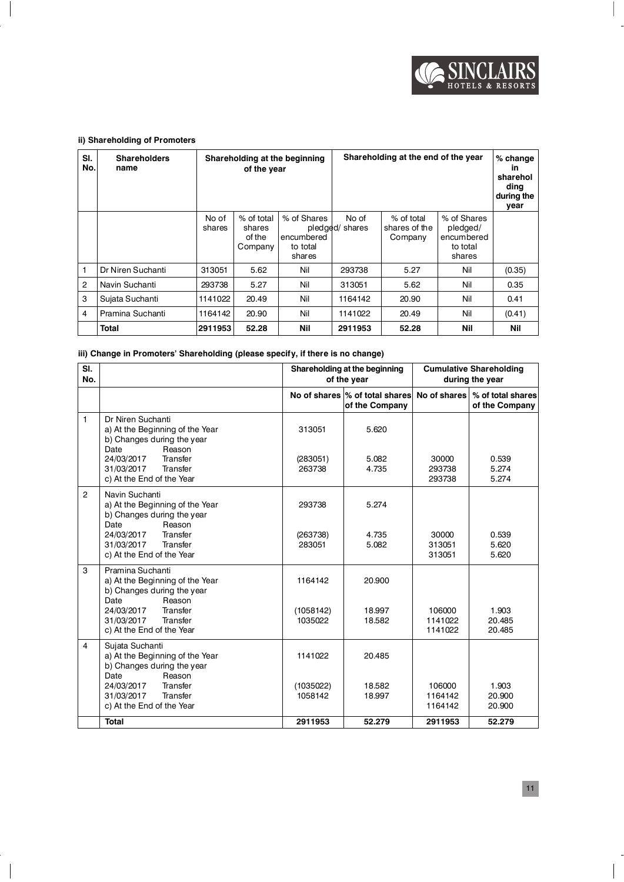

 $\mathcal{L}_{\mathcal{A}}$ 

#### **ii) Shareholding of Promoters**

 $\overline{\phantom{a}}$ 

 $\begin{array}{c} \begin{array}{c} \hline \end{array} \end{array}$ 

 $\ddot{\phantom{0}}$ 

| SI.<br>No.     | <b>Shareholders</b><br>name | Shareholding at the beginning<br>of the year |                                           |                                                 | Shareholding at the end of the year |                                        |                                                             | $%$ change<br>in<br>sharehol<br>ding<br>during the<br>year |
|----------------|-----------------------------|----------------------------------------------|-------------------------------------------|-------------------------------------------------|-------------------------------------|----------------------------------------|-------------------------------------------------------------|------------------------------------------------------------|
|                |                             | No of<br>shares                              | % of total<br>shares<br>of the<br>Company | % of Shares<br>encumbered<br>to total<br>shares | No of<br>pledged/ shares            | % of total<br>shares of the<br>Company | % of Shares<br>pledged/<br>encumbered<br>to total<br>shares |                                                            |
| $\mathbf{1}$   | Dr Niren Suchanti           | 313051                                       | 5.62                                      | Nil                                             | 293738                              | 5.27                                   | Nil                                                         | (0.35)                                                     |
| $\overline{2}$ | Navin Suchanti              | 293738                                       | 5.27                                      | Nil                                             | 313051                              | 5.62                                   | Nil                                                         | 0.35                                                       |
| 3              | Sujata Suchanti             | 1141022                                      | 20.49                                     | Nil                                             | 1164142                             | 20.90                                  | Nil                                                         | 0.41                                                       |
| $\overline{4}$ | Pramina Suchanti            | 1164142                                      | 20.90                                     | Nil                                             | 1141022                             | 20.49                                  | Nil                                                         | (0.41)                                                     |
|                | Total                       | 2911953                                      | 52.28                                     | Nil                                             | 2911953                             | 52.28                                  | Nil                                                         | Nil                                                        |

|  | iii) Change in Promoters' Shareholding (please specify, if there is no change) |  |  |  |  |
|--|--------------------------------------------------------------------------------|--|--|--|--|
|--|--------------------------------------------------------------------------------|--|--|--|--|

| SI.<br>No.     |                                                                                                                                                                                       |                                 | Shareholding at the beginning<br><b>Cumulative Shareholding</b><br>during the year<br>of the year |                              |                                     |
|----------------|---------------------------------------------------------------------------------------------------------------------------------------------------------------------------------------|---------------------------------|---------------------------------------------------------------------------------------------------|------------------------------|-------------------------------------|
|                |                                                                                                                                                                                       |                                 | No of shares \% of total shares<br>of the Company                                                 | No of shares                 | % of total shares<br>of the Company |
| 1              | Dr Niren Suchanti<br>a) At the Beginning of the Year<br>b) Changes during the year<br>Date<br>Reason<br>Transfer<br>24/03/2017<br>31/03/2017<br>Transfer<br>c) At the End of the Year | 313051<br>(283051)<br>263738    | 5.620<br>5.082<br>4.735                                                                           | 30000<br>293738<br>293738    | 0.539<br>5.274<br>5.274             |
| $\overline{2}$ | Navin Suchanti<br>a) At the Beginning of the Year<br>b) Changes during the year<br>Date<br>Reason<br>24/03/2017<br>Transfer<br>31/03/2017<br>Transfer<br>c) At the End of the Year    | 293738<br>(263738)<br>283051    | 5.274<br>4.735<br>5.082                                                                           | 30000<br>313051<br>313051    | 0.539<br>5.620<br>5.620             |
| 3              | Pramina Suchanti<br>a) At the Beginning of the Year<br>b) Changes during the year<br>Reason<br>Date<br>24/03/2017<br>Transfer<br>31/03/2017<br>Transfer<br>c) At the End of the Year  | 1164142<br>(1058142)<br>1035022 | 20.900<br>18.997<br>18.582                                                                        | 106000<br>1141022<br>1141022 | 1.903<br>20.485<br>20.485           |
| 4              | Sujata Suchanti<br>a) At the Beginning of the Year<br>b) Changes during the year<br>Reason<br>Date<br>24/03/2017<br>Transfer<br>Transfer<br>31/03/2017<br>c) At the End of the Year   | 1141022<br>(1035022)<br>1058142 | 20.485<br>18.582<br>18.997                                                                        | 106000<br>1164142<br>1164142 | 1.903<br>20.900<br>20.900           |
|                | <b>Total</b>                                                                                                                                                                          | 2911953                         | 52.279                                                                                            | 2911953                      | 52.279                              |

11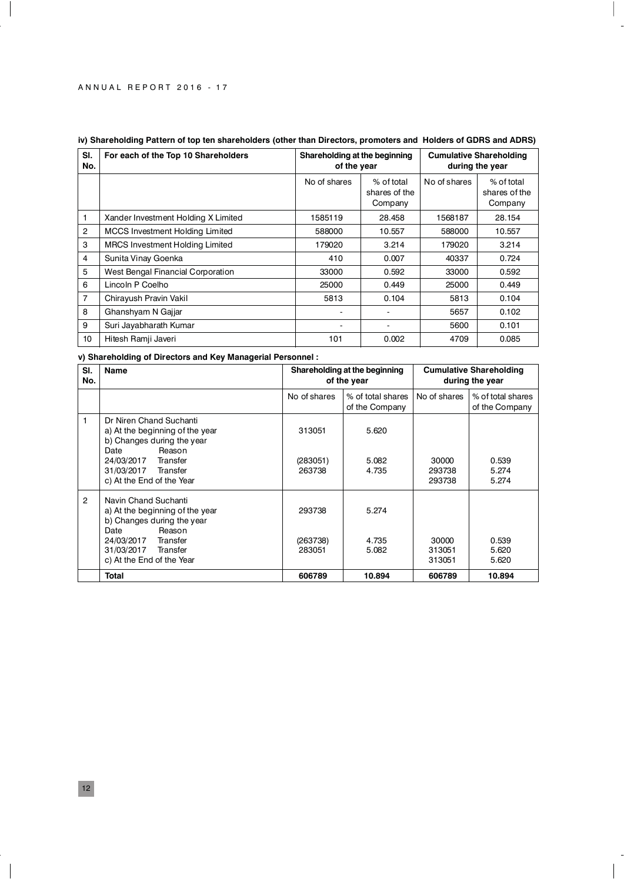$\overline{\phantom{a}}$ 

| SI.<br>No.     | For each of the Top 10 Shareholders    | Shareholding at the beginning<br>of the year |                                        | <b>Cumulative Shareholding</b><br>during the year |                                        |  |
|----------------|----------------------------------------|----------------------------------------------|----------------------------------------|---------------------------------------------------|----------------------------------------|--|
|                |                                        | No of shares                                 | % of total<br>shares of the<br>Company | No of shares                                      | % of total<br>shares of the<br>Company |  |
|                | Xander Investment Holding X Limited    | 1585119                                      | 28.458                                 | 1568187                                           | 28.154                                 |  |
| 2              | <b>MCCS Investment Holding Limited</b> | 588000                                       | 10.557                                 | 588000                                            | 10.557                                 |  |
| 3              | <b>MRCS Investment Holding Limited</b> | 179020                                       | 3.214                                  | 179020                                            | 3.214                                  |  |
| 4              | Sunita Vinay Goenka                    | 410                                          | 0.007                                  | 40337                                             | 0.724                                  |  |
| 5              | West Bengal Financial Corporation      | 33000                                        | 0.592                                  | 33000                                             | 0.592                                  |  |
| 6              | Lincoln P Coelho                       | 25000                                        | 0.449                                  | 25000                                             | 0.449                                  |  |
| $\overline{7}$ | Chirayush Pravin Vakil                 | 5813                                         | 0.104                                  | 5813                                              | 0.104                                  |  |
| 8              | Ghanshyam N Gajjar                     |                                              | $\overline{\phantom{a}}$               | 5657                                              | 0.102                                  |  |
| 9              | Suri Jayabharath Kumar                 | $\overline{a}$                               | $\overline{\phantom{a}}$               | 5600                                              | 0.101                                  |  |
| 10             | Hitesh Ramji Javeri                    | 101                                          | 0.002                                  | 4709                                              | 0.085                                  |  |

## **iv) Shareholding Pattern of top ten shareholders (other than Directors, promoters and Holders of GDRS and ADRS)**

 $\mathcal{L}$ 

 $\begin{array}{c} \hline \end{array}$ 

#### **v) Shareholding of Directors and Key Managerial Personnel :**

| SI.<br>No.     | Name                                                                                                                                                                                  | Shareholding at the beginning<br>of the year |                                     | <b>Cumulative Shareholding</b><br>during the year |                                     |
|----------------|---------------------------------------------------------------------------------------------------------------------------------------------------------------------------------------|----------------------------------------------|-------------------------------------|---------------------------------------------------|-------------------------------------|
|                |                                                                                                                                                                                       | No of shares                                 | % of total shares<br>of the Company | No of shares                                      | % of total shares<br>of the Company |
|                | Dr Niren Chand Suchanti<br>a) At the beginning of the year<br>b) Changes during the year<br>Date<br>Reason<br>24/03/2017 Transfer<br>31/03/2017 Transfer<br>c) At the End of the Year | 313051<br>(283051)<br>263738                 | 5.620<br>5.082<br>4.735             | 30000<br>293738<br>293738                         | 0.539<br>5.274<br>5.274             |
| $\overline{2}$ | Navin Chand Suchanti<br>a) At the beginning of the year<br>b) Changes during the year<br>Date<br>Reason<br>24/03/2017 Transfer<br>31/03/2017 Transfer<br>c) At the End of the Year    | 293738<br>(263738)<br>283051                 | 5.274<br>4.735<br>5.082             | 30000<br>313051<br>313051                         | 0.539<br>5.620<br>5.620             |
|                | Total                                                                                                                                                                                 | 606789                                       | 10.894                              | 606789                                            | 10.894                              |

12

 $\overline{\phantom{a}}$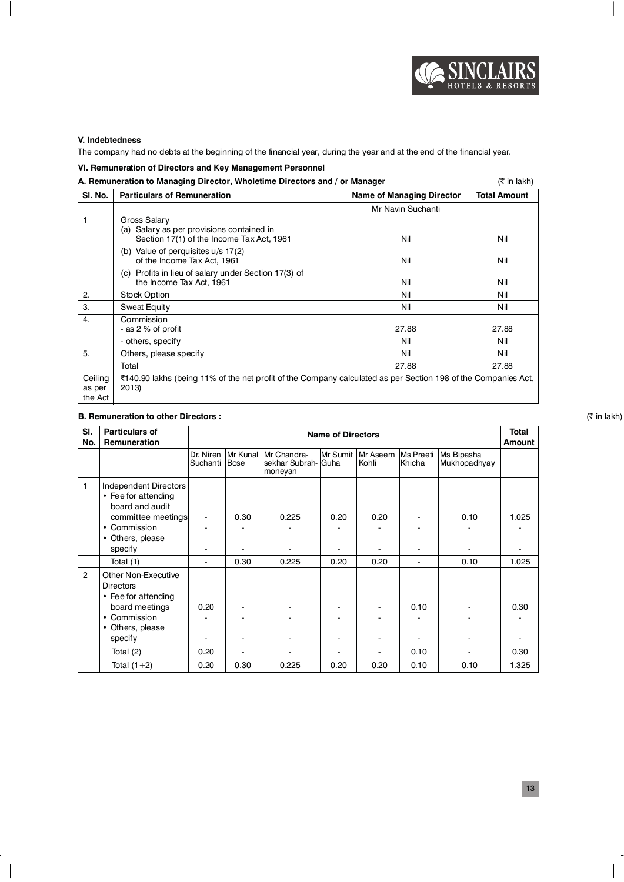#### S **NCLA** HOTELS & RESORTS

#### **V. Indebtedness**

 $\overline{\phantom{a}}$ 

 $\overline{\phantom{a}}$ 

The company had no debts at the beginning of the financial year, during the year and at the end of the financial year.

## **VI. Remuneration of Directors and Key Management Personnel**

|                              | A. Remuneration to Managing Director, Wholetime Directors and / or Manager<br>$(5 \in \mathsf{In} \, \mathsf{l}_k)$    |                                  |                     |  |  |
|------------------------------|------------------------------------------------------------------------------------------------------------------------|----------------------------------|---------------------|--|--|
| SI. No.                      | <b>Particulars of Remuneration</b>                                                                                     | <b>Name of Managing Director</b> | <b>Total Amount</b> |  |  |
|                              |                                                                                                                        | Mr Navin Suchanti                |                     |  |  |
|                              | Gross Salary<br>(a) Salary as per provisions contained in<br>Section 17(1) of the Income Tax Act, 1961                 | Nil                              | Nil                 |  |  |
|                              | (b) Value of perquisites u/s 17(2)<br>of the Income Tax Act, 1961                                                      | Nil                              | Nil                 |  |  |
|                              | (c) Profits in lieu of salary under Section 17(3) of<br>the Income Tax Act, 1961                                       | Nil                              | Nil                 |  |  |
| 2.                           | <b>Stock Option</b>                                                                                                    | Nil                              | Nil                 |  |  |
| 3.                           | <b>Sweat Equity</b>                                                                                                    | Nil                              | Nil                 |  |  |
| 4.                           | Commission<br>- as 2 % of profit<br>- others, specify                                                                  | 27.88<br>Nil                     | 27.88<br>Nil        |  |  |
| 5.                           | Others, please specify                                                                                                 | Nil                              | Nil                 |  |  |
|                              | Total                                                                                                                  | 27.88                            | 27.88               |  |  |
| Ceiling<br>as per<br>the Act | ₹140.90 lakhs (being 11% of the net profit of the Company calculated as per Section 198 of the Companies Act,<br>2013) |                                  |                     |  |  |

#### **B. Remuneration to other Directors :**  $($ ₹ in lakh)

| SI.<br>No. | <b>Particulars of</b><br>Remuneration                                 | <b>Name of Directors</b> |                  |                                               |      |                                          |        | <b>Total</b><br><b>Amount</b> |       |
|------------|-----------------------------------------------------------------------|--------------------------|------------------|-----------------------------------------------|------|------------------------------------------|--------|-------------------------------|-------|
|            |                                                                       | Dr. Niren<br>Suchanti    | Mr Kunal<br>Bose | Mr Chandra-<br>sekhar Subrah- Guha<br>moneyan |      | Mr Sumit   Mr Aseem   Ms Preeti<br>Kohli | Khicha | Ms Bipasha<br>Mukhopadhyay    |       |
|            | Independent Directors<br>• Fee for attending<br>board and audit       |                          |                  |                                               |      |                                          |        |                               |       |
|            | committee meetings<br>• Commission                                    |                          | 0.30             | 0.225                                         | 0.20 | 0.20                                     |        | 0.10                          | 1.025 |
|            | Others, please<br>٠                                                   |                          |                  |                                               |      |                                          |        |                               |       |
|            | specify                                                               |                          |                  |                                               |      |                                          |        |                               |       |
|            | Total (1)                                                             |                          | 0.30             | 0.225                                         | 0.20 | 0.20                                     |        | 0.10                          | 1.025 |
| 2          | <b>Other Non-Executive</b><br><b>Directors</b><br>• Fee for attending |                          |                  |                                               |      |                                          |        |                               |       |
|            | board meetings                                                        | 0.20                     |                  |                                               |      |                                          | 0.10   |                               | 0.30  |
|            | Commission<br>$\bullet$<br>Others, please<br>٠                        |                          |                  |                                               |      |                                          |        |                               |       |
|            | specify                                                               |                          |                  |                                               |      |                                          |        |                               |       |
|            | Total (2)                                                             | 0.20                     |                  |                                               |      |                                          | 0.10   |                               | 0.30  |
|            | Total $(1+2)$                                                         | 0.20                     | 0.30             | 0.225                                         | 0.20 | 0.20                                     | 0.10   | 0.10                          | 1.325 |

 $\overline{\phantom{a}}$ 

13

 $\begin{array}{c} \hline \end{array}$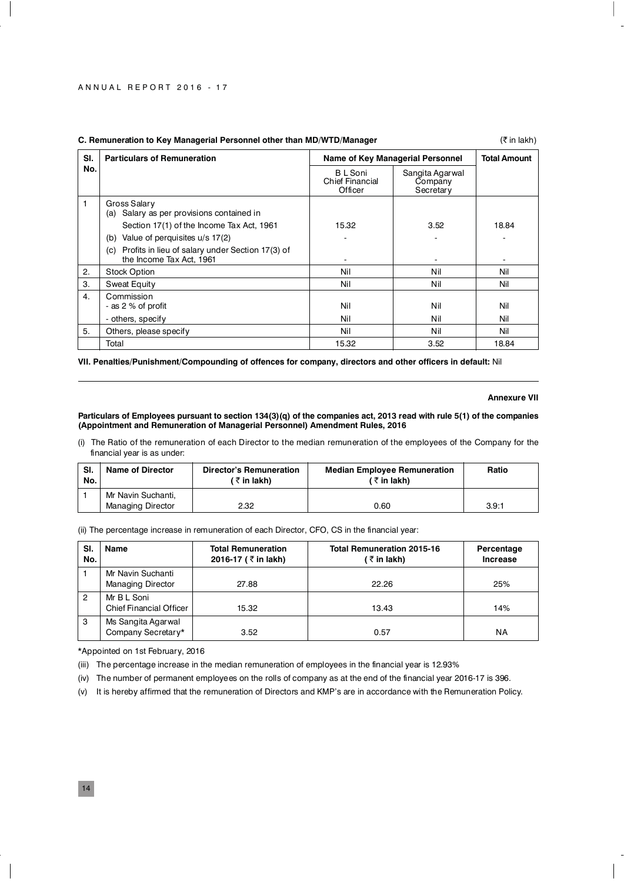| SI. | <b>Particulars of Remuneration</b>                                                  | <b>Name of Key Managerial Personnel</b>             |                                         | <b>Total Amount</b> |
|-----|-------------------------------------------------------------------------------------|-----------------------------------------------------|-----------------------------------------|---------------------|
| No. |                                                                                     | <b>BL</b> Soni<br><b>Chief Financial</b><br>Officer | Sangita Agarwal<br>Company<br>Secretary |                     |
|     | Gross Salary<br>Salary as per provisions contained in<br>(a)                        |                                                     |                                         |                     |
|     | Section 17(1) of the Income Tax Act, 1961                                           | 15.32                                               | 3.52                                    | 18.84               |
|     | Value of perquisites u/s 17(2)<br>(b)                                               |                                                     |                                         |                     |
|     | Profits in lieu of salary under Section 17(3) of<br>(C)<br>the Income Tax Act, 1961 |                                                     |                                         |                     |
| 2.  | <b>Stock Option</b>                                                                 | Nil                                                 | Nil                                     | Nil                 |
| 3.  | <b>Sweat Equity</b>                                                                 | Nil                                                 | Nil                                     | Nil                 |
| 4.  | Commission                                                                          |                                                     |                                         |                     |
|     | - as 2 % of profit                                                                  | Nil                                                 | Nil                                     | Nil                 |
|     | - others, specify                                                                   | Nil                                                 | Nil                                     | Nil                 |
| 5.  | Others, please specify                                                              | Nil                                                 | Nil                                     | Nil                 |
|     | Total                                                                               | 15.32                                               | 3.52                                    | 18.84               |

#### **C. Remuneration to Key Managerial Personnel other than MD/WTD/Manager** (₹ in lakh)

**Annexure VII**

#### **Particulars of Employees pursuant to section 134(3)(q) of the companies act, 2013 read with rule 5(1) of the companies (Appointment and Remuneration of Managerial Personnel) Amendment Rules, 2016**

**VII. Penalties/Punishment/Compounding of offences for company, directors and other officers in default:** Nil

(i) The Ratio of the remuneration of each Director to the median remuneration of the employees of the Company for the financial year is as under:

| SI.<br>No. | <b>Name of Director</b>                        | <b>Director's Remuneration</b><br>′ ₹ in lakh) | <b>Median Employee Remuneration</b><br>(₹in lakh) | Ratio |
|------------|------------------------------------------------|------------------------------------------------|---------------------------------------------------|-------|
|            | Mr Navin Suchanti,<br><b>Managing Director</b> | 2.32                                           | 0.60                                              | 3.9.1 |

(ii) The percentage increase in remuneration of each Director, CFO, CS in the financial year:

| SI.<br>No. | Name                                          | <b>Total Remuneration</b><br>2016-17 (₹in lakh) | <b>Total Remuneration 2015-16</b><br>(₹in lakh) | Percentage<br><b>Increase</b> |
|------------|-----------------------------------------------|-------------------------------------------------|-------------------------------------------------|-------------------------------|
|            | Mr Navin Suchanti<br><b>Managing Director</b> | 27.88                                           | 22.26                                           | 25%                           |
| 2          | Mr B L Soni<br><b>Chief Financial Officer</b> | 15.32                                           | 13.43                                           | 14%                           |
| 3          | Ms Sangita Agarwal<br>Company Secretary*      | 3.52                                            | 0.57                                            | <b>NA</b>                     |

\*Appointed on 1st February, 2016

- (iii) The percentage increase in the median remuneration of employees in the financial year is 12.93%
- (iv) The number of permanent employees on the rolls of company as at the end of the financial year 2016-17 is 396.
- (v) It is hereby affirmed that the remuneration of Directors and KMP's are in accordance with the Remuneration Policy.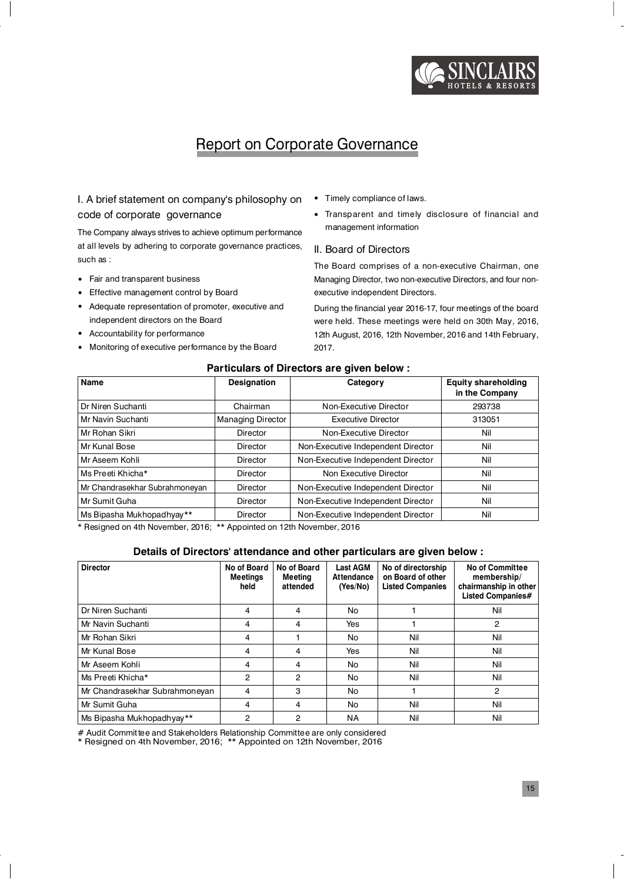

## Report on Corporate Governance

## I. A brief statement on company's philosophy on code of corporate governance

The Company always strives to achieve optimum performance at all levels by adhering to corporate governance practices, such as :

- Fair and transparent business
- Effective management control by Board
- Adequate representation of promoter, executive and independent directors on the Board
- Accountability for performance
- Monitoring of executive performance by the Board
- Timely compliance of laws.
- Transparent and timely disclosure of financial and management information

#### II. Board of Directors

The Board comprises of a non-executive Chairman, one Managing Director, two non-executive Directors, and four nonexecutive independent Directors.

During the financial year 2016-17, four meetings of the board were held. These meetings were held on 30th May, 2016, 12th August, 2016, 12th November, 2016 and 14th February, 2017.

#### **Particulars of Directors are given below :**

| Name                           | <b>Designation</b>       | Category                           | <b>Equity shareholding</b><br>in the Company |
|--------------------------------|--------------------------|------------------------------------|----------------------------------------------|
| Dr Niren Suchanti              | Chairman                 | Non-Executive Director             | 293738                                       |
| Mr Navin Suchanti              | <b>Managing Director</b> | <b>Executive Director</b>          | 313051                                       |
| Mr Rohan Sikri                 | Director                 | Non-Executive Director             | Nil                                          |
| Mr Kunal Bose                  | Director                 | Non-Executive Independent Director | Nil                                          |
| Mr Aseem Kohli                 | Director                 | Non-Executive Independent Director | Nil                                          |
| Ms Preeti Khicha*              | <b>Director</b>          | Non Executive Director             | Nil                                          |
| Mr Chandrasekhar Subrahmoneyan | <b>Director</b>          | Non-Executive Independent Director | Nil                                          |
| Mr Sumit Guha                  | Director                 | Non-Executive Independent Director | Nil                                          |
| Ms Bipasha Mukhopadhyay**      | Director                 | Non-Executive Independent Director | Nil                                          |

\* Resigned on 4th November, 2016; \*\* Appointed on 12th November, 2016

#### **Details of Directors' attendance and other particulars are given below :**

| <b>Director</b>                | No of Board<br><b>Meetings</b><br>held | No of Board<br>Meeting<br>attended | <b>Last AGM</b><br>Attendance<br>(Yes/No) | No of directorship<br>on Board of other<br><b>Listed Companies</b> | <b>No of Committee</b><br>membership/<br>chairmanship in other<br>Listed Companies# |
|--------------------------------|----------------------------------------|------------------------------------|-------------------------------------------|--------------------------------------------------------------------|-------------------------------------------------------------------------------------|
| Dr Niren Suchanti              | 4                                      | 4                                  | No                                        |                                                                    | Nil                                                                                 |
| Mr Navin Suchanti              | 4                                      | 4                                  | Yes                                       |                                                                    | 2                                                                                   |
| Mr Rohan Sikri                 | 4                                      |                                    | No                                        | Nil                                                                | Nil                                                                                 |
| Mr Kunal Bose                  | 4                                      | 4                                  | Yes                                       | Nil                                                                | Nil                                                                                 |
| Mr Aseem Kohli                 | 4                                      | 4                                  | No                                        | Nil                                                                | Nil                                                                                 |
| Ms Preeti Khicha*              | 2                                      | 2                                  | No                                        | Nil                                                                | Nil                                                                                 |
| Mr Chandrasekhar Subrahmoneyan | 4                                      | 3                                  | No                                        |                                                                    | 2                                                                                   |
| Mr Sumit Guha                  | 4                                      | 4                                  | No                                        | Nil                                                                | Nil                                                                                 |
| Ms Bipasha Mukhopadhyay**      | 2                                      | $\overline{2}$                     | <b>NA</b>                                 | Nil                                                                | Nil                                                                                 |

 $\pi$  Audit Committee and Statement Constructs Relationship Committee are only considered and  $204.6$ \* Resigned on 4th November, 2016; \*\* Appointed on 12th November, 2016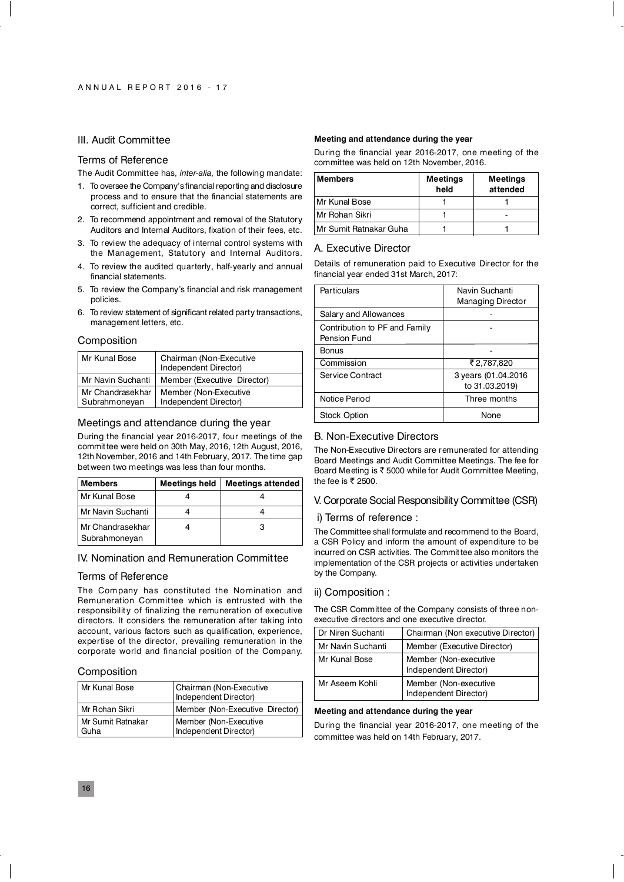#### III. Audit Committee

## Terms of Reference

The Audit Committee has, *inter-alia*, the following mandate:

- 1. To oversee the Company's financial reporting and disclosure process and to ensure that the financial statements are correct, sufficient and credible.
- 2. To recommend appointment and removal of the Statutory Auditors and Internal Auditors, fixation of their fees, etc.
- 3. To review the adequacy of internal control systems with the Management, Statutory and Internal Auditors.
- 4. To review the audited quarterly, half-yearly and annual financial statements.
- 5. To review the Company's financial and risk management policies.
- 6. To review statement of significant related party transactions, management letters, etc.

#### Composition

| Mr Kunal Bose                     | Chairman (Non-Executive<br>Independent Director) |
|-----------------------------------|--------------------------------------------------|
| Mr Navin Suchanti                 | Member (Executive Director)                      |
| Mr Chandrasekhar<br>Subrahmonevan | Member (Non-Executive<br>Independent Director)   |

Meetings and attendance during the year<br>During the financial year 2016-2017, four meetings of the committee were held on 30th May, 2016, 12th August, 2016, committee were held on 30th May, 2016, 12th August, 2016, 12th November, 2016 and 14th February, 2017. The time gap between two meetings was less than four months.

| Members                           | <b>Meetings held</b> | <b>Meetings attended</b> |
|-----------------------------------|----------------------|--------------------------|
| Mr Kunal Bose                     |                      |                          |
| l Mr Navin Suchanti               |                      |                          |
| Mr Chandrasekhar<br>Subrahmonevan |                      |                          |

#### IV. Nomination and Remuneration Committee

Terms of Reference<br>The Company has constituted the Nomination and Remuneration Committee which is entrusted with the responsibility of finalizing the remuneration of executive directors. It considers the remuneration after taking into account, various factors such as qualification, experience, expertise of the director, prevailing remuneration in the expertise of the director, prevailing remuneration in the corporate world and financial position of the Company.

#### Composition

| Mr Kunal Bose             | Chairman (Non-Executive<br>Independent Director) |
|---------------------------|--------------------------------------------------|
| l Mr Rohan Sikri          | Member (Non-Executive Director)                  |
| Mr Sumit Ratnakar<br>Guha | Member (Non-Executive<br>Independent Director)   |

#### **Meeting and attendance during the year**

During the financial year 2016-2017, one meeting of the committee was held on 12th November, 2016.

| <b>Members</b>         | <b>Meetings</b><br>held | <b>Meetings</b><br>attended |
|------------------------|-------------------------|-----------------------------|
| Mr Kunal Bose          |                         |                             |
| Mr Rohan Sikri         |                         |                             |
| Mr Sumit Ratnakar Guha |                         |                             |

#### A. Executive Director

Details of remuneration paid to Executive Director for the financial year ended 31st March, 2017:

| Particulars                   | Navin Suchanti           |
|-------------------------------|--------------------------|
|                               | <b>Managing Director</b> |
| Salary and Allowances         |                          |
| Contribution to PF and Family |                          |
| Pension Fund                  |                          |
| <b>Bonus</b>                  |                          |
| Commission                    | ₹ 2,787,820              |
| <b>Service Contract</b>       | 3 years (01.04.2016)     |
|                               | to 31.03.2019)           |
| Notice Period                 | Three months             |
| <b>Stock Option</b>           | None                     |

B. Non-Executive Directors<br>The Non-Executive Directors are remunerated for attending Board Meetings and Audit Committee Meetings. The fee for Board Meetings and Audit Committee Meetings. The fee for<br>Board Meeting is ₹ 5000 while for Audit Committee Meeting, the fee is  $\overline{z}$  2500.

#### V. Corporate Social Responsibility Committee (CSR)

#### i) Terms of reference :

The Committee shall formulate and recommend to the Board, a CSR Policy and inform the amount of expenditure to be incurred on CSR activities. The Committee also monitors the incurred on CSR activities. The Committee also monitors the implementation of the CSR projects or activities undertaken by the Company.

#### ii) Composition :

The CSR Committee of the Company consists of three nonexecutive directors and one executive director.

| Dr Niren Suchanti | Chairman (Non executive Director)              |
|-------------------|------------------------------------------------|
| Mr Navin Suchanti | Member (Executive Director)                    |
| Mr Kunal Bose     | Member (Non-executive<br>Independent Director) |
| Mr Aseem Kohli    | Member (Non-executive<br>Independent Director) |

#### **Meeting and attendance during the year**

During the financial year 2016-2017, one meeting of the committee was held on 14th February, 2017.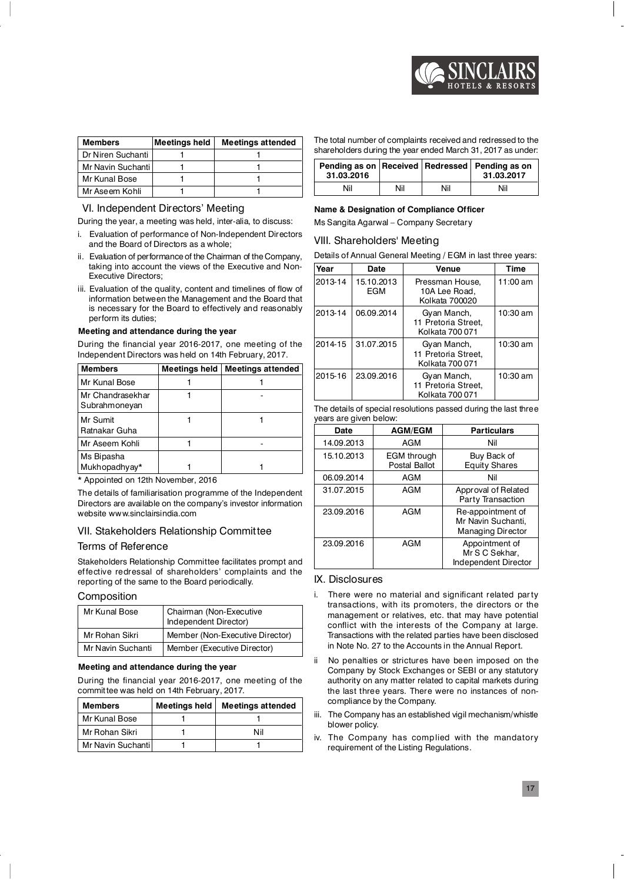

| Members           | <b>Meetings held</b> | <b>Meetings attended</b> |  |
|-------------------|----------------------|--------------------------|--|
| Dr Niren Suchanti |                      |                          |  |
| Mr Navin Suchanti |                      |                          |  |
| Mr Kunal Bose     |                      |                          |  |
| Mr Aseem Kohli    |                      |                          |  |

#### VI. Independent Directors' Meeting

During the year, a meeting was held, inter-alia, to discuss:

- i. Evaluation of performance of Non-Independent Directors and the Board of Directors as a whole;
- ii. Evaluation of performance of the Chairman of the Company, taking into account the views of the Executive and Non-Executive Directors;
- iii. Evaluation of the quality, content and timelines of flow of information between the Management and the Board that is necessary for the Board to effectively and reasonably perform its duties;

#### **Meeting and attendance during the year**

During the financial year 2016-2017, one meeting of the Independent Directors was held on 14th February, 2017.

| <b>Members</b>                    | <b>Meetings held</b> | <b>Meetings attended</b> |
|-----------------------------------|----------------------|--------------------------|
| Mr Kunal Bose                     |                      |                          |
| Mr Chandrasekhar<br>Subrahmonevan |                      |                          |
| Mr Sumit<br>Ratnakar Guha         |                      |                          |
| Mr Aseem Kohli                    |                      |                          |
| Ms Bipasha<br>Mukhopadhyay*       |                      |                          |

\* Appointed on 12th November, 2016

The details of familiarisation programme of the Independent Directors are available on the company's investor information website www.sinclairsindia.com

#### VII. Stakeholders Relationship Committee

Terms of Reference<br>Stakeholders Relationship Committee facilitates prompt and Stakeholders Relationship Committee facilitates prompt and effective redressal of shareholders' complaints and the reporting of the same to the Board periodically.

#### **Composition**

| Mr Kunal Bose     | Chairman (Non-Executive<br>  Independent Director) |
|-------------------|----------------------------------------------------|
| Mr Rohan Sikri    | Member (Non-Executive Director)                    |
| Mr Navin Suchanti | Member (Executive Director)                        |

#### **Meeting and attendance during the year**

During the financial year 2016-2017, one meeting of the committee was held on 14th February, 2017.

| <b>Members</b>     | <b>Meetings held</b> | <b>Meetings attended</b> |
|--------------------|----------------------|--------------------------|
| Mr Kunal Bose      |                      |                          |
| Mr Rohan Sikri     |                      | Nil                      |
| Mr Navin Suchantil |                      |                          |

The total number of complaints received and redressed to the shareholders during the year ended March 31, 2017 as under:

| 31.03.2016 |     |     | Pending as on   Received   Redressed   Pending as on<br>31.03.2017 |
|------------|-----|-----|--------------------------------------------------------------------|
| Nil        | Nil | Nil | Nil                                                                |

#### **Name & Designation of Compliance Officer**

Ms Sangita Agarwal – Company Secretary

#### VIII. Shareholders' Meeting

Details of Annual General Meeting / EGM in last three years:

| Year    | Date                     | Venue                                                 | Time               |
|---------|--------------------------|-------------------------------------------------------|--------------------|
| 2013-14 | 15.10.2013<br><b>EGM</b> | Pressman House.<br>10A Lee Road.<br>Kolkata 700020    | 11:00 am           |
| 2013-14 | 06.09.2014               | Gyan Manch,<br>11 Pretoria Street,<br>Kolkata 700 071 | $10:30$ am         |
| 2014-15 | 31.07.2015               | Gyan Manch,<br>11 Pretoria Street.<br>Kolkata 700 071 | 10:30 am           |
| 2015-16 | 23.09.2016               | Gyan Manch,<br>11 Pretoria Street.<br>Kolkata 700 071 | $10:30 \text{ am}$ |

The details of special resolutions passed during the last three years are given below:

| Date       | <b>AGM/EGM</b>                             | <b>Particulars</b>                                                  |
|------------|--------------------------------------------|---------------------------------------------------------------------|
| 14.09.2013 | AGM                                        | Nil                                                                 |
| 15.10.2013 | <b>EGM</b> through<br><b>Postal Ballot</b> | Buy Back of<br><b>Equity Shares</b>                                 |
| 06.09.2014 | AGM                                        | Nil                                                                 |
| 31.07.2015 | AGM                                        | Approval of Related<br>Party Transaction                            |
| 23.09.2016 | AGM                                        | Re-appointment of<br>Mr Navin Suchanti,<br><b>Managing Director</b> |
| 23.09.2016 | AGM                                        | Appointment of<br>Mr S C Sekhar,<br>Independent Director            |

- IX. Disclosures<br>i. There were no material and significant related party transactions, with its promoters, the directors or the management or relatives, etc. that may have potential conflict with the interests of the Company at large. conflict with the interests of the Company at large. Transactions with the related parties have been disclosed in Note No. 27 to the Accounts in the Annual Report.
- ii No penalties or strictures have been imposed on the Company by Stock Exchanges or SEBI or any statutory authority on any matter related to capital markets during the last three years. There were no instances of noncompliance by the Company.
- iii. The Company has an established vigil mechanism/whistle blower policy.
- iv. The Company has complied with the mandatory requirement of the Listing Regulations.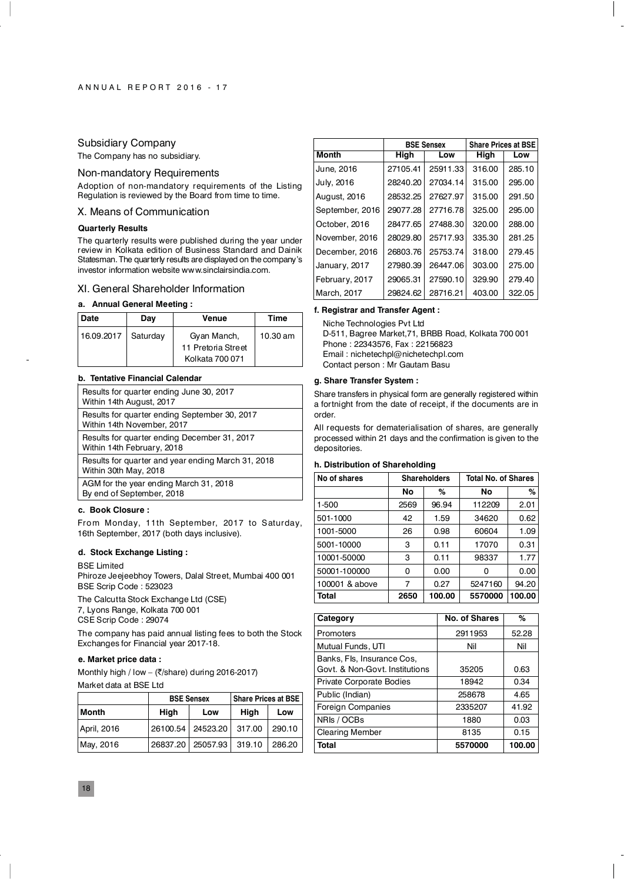#### Subsidiary Company

The Company has no subsidiary.

## Non-mandatory Requirements

Adoption of non-mandatory requirements of the Listing Regulation is reviewed by the Board from time to time.

#### X. Means of Communication

#### **Quarterly Results**

The quarterly results were published during the year under review in Kolkata edition of Business Standard and Dainik review in Kolkata edition of Business Standard and Dainik Statesman. The quarterly results are displayed on the company's investor information website www.sinclairsindia.com.

#### XI. General Shareholder Information

#### **a. Annual General Meeting :**

| ∣ Date     | Day      | Venue                                                | Time     |
|------------|----------|------------------------------------------------------|----------|
| 16.09.2017 | Saturday | Gyan Manch,<br>11 Pretoria Street<br>Kolkata 700 071 | 10.30 am |

#### **b. Tentative Financial Calendar**

| Results for quarter ending June 30, 2017<br>Within 14th August, 2017        |
|-----------------------------------------------------------------------------|
| Results for quarter ending September 30, 2017<br>Within 14th November, 2017 |
| Results for quarter ending December 31, 2017<br>Within 14th February, 2018  |
| Results for quarter and year ending March 31, 2018<br>Within 30th May, 2018 |
| AGM for the year ending March 31, 2018<br>By end of September, 2018         |

#### **c. Book Closure :**

From Monday, 11th September, 2017 to Saturday, 16th September, 2017 (both days inclusive).

#### **d. Stock Exchange Listing :**

BSE Limited Phiroze Jeejeebhoy Towers, Dalal Street, Mumbai 400 001 BSE Scrip Code : 523023<br>The Calcutta Stock Exchange Ltd (CSE)

The Calcutta Stock Exchange Ltd (CSE)  $7,$  Lyons Hange, Kolkata 700 001 CSE Scrip Code : 29074

The company has paid annual listing fees to both the Stock Exchanges for Financial year 2017-18.

#### **e. Market price data :**

Monthly high / low –  $(\overline{\zeta}/\text{share})$  during 2016-2017) Market data at BSE Ltd

|             | <b>BSE Sensex</b> |                     | <b>Share Prices at BSE</b> |        |
|-------------|-------------------|---------------------|----------------------------|--------|
| Month       | High<br>Low       |                     | High                       | Low    |
| April, 2016 |                   | 26100.54   24523.20 | 317.00                     | 290.10 |
| May, 2016   | 26837.20          | 25057.93            | 319.10                     | 286.20 |

|                     | <b>BSE Sensex</b> |          | <b>Share Prices at BSE</b> |        |
|---------------------|-------------------|----------|----------------------------|--------|
| <b>Month</b>        | High              | Low      | High                       | Low    |
| June, 2016          | 27105.41          | 25911.33 | 316.00                     | 285.10 |
| July, 2016          | 28240.20          | 27034.14 | 315.00                     | 295.00 |
| <b>August, 2016</b> | 28532.25          | 27627.97 | 315.00                     | 291.50 |
| September, 2016     | 29077.28          | 27716.78 | 325.00                     | 295.00 |
| October, 2016       | 28477.65          | 27488.30 | 320.00                     | 288.00 |
| November, 2016      | 28029.80          | 25717.93 | 335.30                     | 281.25 |
| December, 2016      | 26803.76          | 25753.74 | 318.00                     | 279.45 |
| January, 2017       | 27980.39          | 26447.06 | 303.00                     | 275.00 |
| February, 2017      | 29065.31          | 27590.10 | 329.90                     | 279.40 |
| March, 2017         | 29824.62          | 28716.21 | 403.00                     | 322.05 |

#### **f. Registrar and Transfer Agent :**

Niche Technologies Pvt Ltd D-511, Bagree Market,71, BRBB Road, Kolkata 700 001 Phone : 22343576, Fax : 22156823<br>Email : nichetechpl@nichetechpl.com Email : nichetechpl@nichetechpl.com Contact person : Mr Gautam Basu

#### **g. Share Transfer System :**

Share transfers in physical form are generally registered within a fortnight from the date of receipt, if the documents are in order.

All requests for dematerialisation of shares, are generally processed within 21 days and the confirmation is given to the depositories.

#### **h. Distribution of Shareholding**

| No of shares   | <b>Shareholders</b> |        | <b>Total No. of Shares</b> |        |
|----------------|---------------------|--------|----------------------------|--------|
|                | No                  | %      | No                         | %      |
| 1-500          | 2569                | 96.94  | 112209                     | 2.01   |
| 501-1000       | 42                  | 1.59   | 34620                      | 0.62   |
| 1001-5000      | 26                  | 0.98   | 60604                      | 1.09   |
| 5001-10000     | 3                   | 0.11   | 17070                      | 0.31   |
| 10001-50000    | 3                   | 0.11   | 98337                      | 1.77   |
| 50001-100000   | 0                   | 0.00   | 0                          | 0.00   |
| 100001 & above | 7                   | 0.27   | 5247160                    | 94.20  |
| <b>Total</b>   | 2650                | 100.00 | 5570000                    | 100.00 |

| Category                                                     | <b>No. of Shares</b> | %      |
|--------------------------------------------------------------|----------------------|--------|
| Promoters                                                    | 2911953              | 52.28  |
| Mutual Funds, UTI                                            | Nil                  | Nil    |
| Banks, Fls, Insurance Cos.<br>Govt. & Non-Govt. Institutions | 35205                | 0.63   |
| <b>Private Corporate Bodies</b>                              | 18942                | 0.34   |
| Public (Indian)                                              | 258678               | 4.65   |
| <b>Foreign Companies</b>                                     | 2335207              | 41.92  |
| NRIs / OCBs                                                  | 1880                 | 0.03   |
| <b>Clearing Member</b>                                       | 8135                 | 0.15   |
| Total                                                        | 5570000              | 100.00 |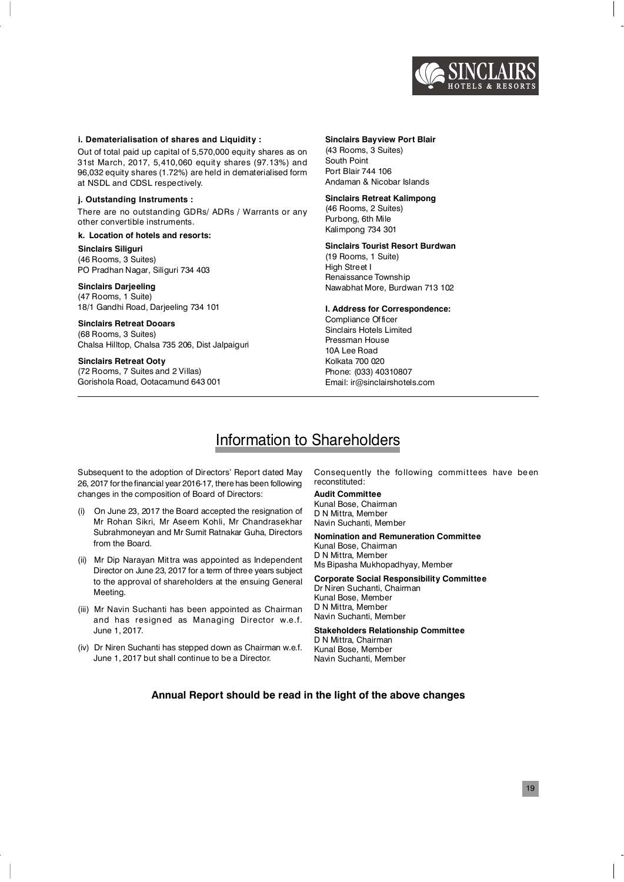

#### **i. Dematerialisation of shares and Liquidity :**

Out of total paid up capital of 5,570,000 equity shares as on 31st March. 2017. 5.410.060 equity shares (97.13%) and 31st March, 2017, 5,410,060 equity shares (97.13%) and 96,032 equity shares (1.72%) are held in dematerialised form at NSDL and CDSL respectively.

#### **j. Outstanding Instruments :**

There are no outstanding GDRs/ ADRs / Warrants or any other convertible instruments.

#### **k. Location of hotels and resorts:**

**Sinclairs Siliguri**  $(40 \text{ hours}, 3 \text{ units})$ PO Pradhan Nagar, Siliguri 734 403

#### **Sinclairs Darjeeling**

 $(47 \text{ N} \cup 1115, 1 \text{ S} \cup 1115)$ 18/1 Gandhi Road, Darjeeling 734 101

#### **Sinclairs Retreat Dooars**

(68 Rooms, 3 Suites) Chalsa Hilltop, Chalsa 735 206, Dist Jalpaiguri

#### **Sinclairs Retreat Ooty**

(72 Rooms, 7 Suites and 2 Villas) Gorishola Road, Ootacamund 643 001

#### **Sinclairs Bayview Port Blair**

(43 Rooms, 3 Suites) Port Blair 744 106 Port Blair 744 100 Andaman & Nicobar Islands

#### **Sinclairs Retreat Kalimpong**

(46 Rooms, 2 Suites) Purbong, 6th Mile Kalimpong 734 301

#### **Sinclairs Tourist Resort Burdwan**

(19 Rooms, 1 Suite) **Benaissance Township** Renaissance Township  $N$ awabhat More, Burdwan  $T$ 13 102

#### **I. Address for Correspondence:**

Compliance Officer<br>Sinclairs Hotels Limited Pressman House 10A Lee Road Kolkata 700 020 Kolkata 700 020  $P = 11 \cdot 10007$ Email: ir@sinclairshotels.com

## Information to Shareholders

Subsequent to the adoption of Directors' Report dated May 26, 2017 for the financial year 2016-17, there has been following changes in the composition of Board of Directors:

- On June 23, 2017 the Board accepted the resignation of<br>Mr Rohan Sikri, Mr Aseem Kohli, Mr Chandrasekhar Mr Rohan Sikri, Mr Aseem Kohli, Mr Chandrasekhar Subrahmoneyan and Mr Sumit Ratnakar Guha, Directors from the Board.
- (ii) Mr Dip Narayan Mittra was appointed as Independent Director on June 23, 2017 for a term of three years subject to the approval of shareholders at the ensuing General<br>March Meeting.
- (iii) Mr Navin Suchanti has been appointed as Chairman and has resigned as Managing Director w.e.f. June 1, 2017.
- (iv) Dr Niren Suchanti has stepped down as Chairman w.e.f. June 1, 2017 but shall continue to be a Director.

Consequently the following committees have been reconstituted:

19

**Audit Committee** D.N.Mittra Member D IV Mittra, Member<br>Noris Crobonti, Mo Navin Suchanti, Member

**Nomination and Remuneration Committee** D N Mittra, Member D IN Mittra, Member<br>Me Dinashe Mul*i*ber Ms Bipasha Mukhopadhyay, Member

**Corporate Social Responsibility Committee** Dr Niren Suchanti, Chairman D N Mittra, Member D IV Mittra, Member<br>Norin Crobonti, Mo Navin Suchanti, Member

**Stakeholders Relationship Committee** D N Mittra, Chairman<br>Kunal Bose, Member Kunal Bose, Member<br>Nevis Cuebenti, Mem Navin Suchanti, Member

### **Annual Report should be read in the light of the above changes**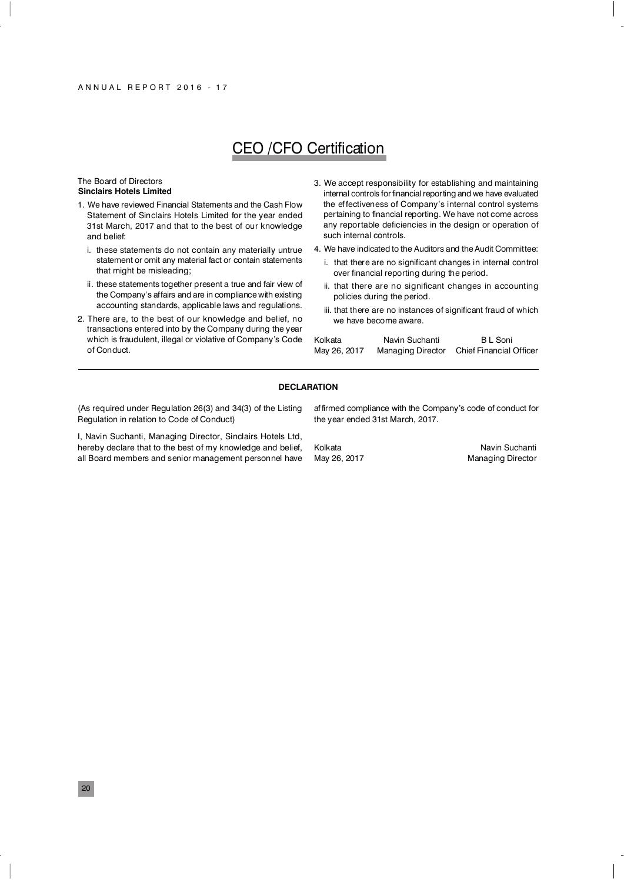## CEO /CFO Certification

## The Board of Directors **Sinclairs Hotels Limited**

- 1. We have reviewed Financial Statements and the Cash Flow Statement of Sinclairs Hotels Limited for the year ended 31st March, 2017 and that to the best of our knowledge and belief:<br>i. these statements do not contain any materially untrue
	- i. these statements do not contain any materially untrue statement or omit any material fact or contain statements that might be misleading;
	- ii. these statements together present a true and fair view of the Company's affairs and are in compliance with existing the Company's affairs and are in compliance with existing accounting standards, applicable laws and regulations.
- 2. There are, to the best of our knowledge and belief, no transactions entered into by the Company during the year which is fraudulent, illegal or violative of Company's Code of Conduct.
- 3. We accept responsibility for establishing and maintaining the effectiveness of Company's internal control systems pertaining to financial reporting. We have not come across pertaining to financial reporting. We have not come across any reportable deficiencies in the design or operation of such internal controls.
- 4. We have indicated to the Auditors and the Audit Committee:
	- i. that there are no significant changes in internal control over financial reporting during the period.
	- ii. that there are no significant changes in accounting policies during the period.
	- iii. that there are no instances of significant fraud of which we have become aware.

| Kolkata      | Navin Suchanti    | B L Soni                |
|--------------|-------------------|-------------------------|
| May 26, 2017 | Managing Director | Chief Financial Officer |

#### **DECLARATION**

(As required under Regulation 26(3) and 34(3) of the Listing Regulation in relation to Code of Conduct)

I, Navin Suchanti, Managing Director, Sinclairs Hotels Ltd, hereby declare that to the best of my knowledge and belief, all Board members and senior management personnel have affirmed compliance with the Company's code of conduct for the year ended 31st March, 2017.

 $\frac{1}{2}$  Navin Suchanti  $M$ ay 20, 2017 Managing Director

20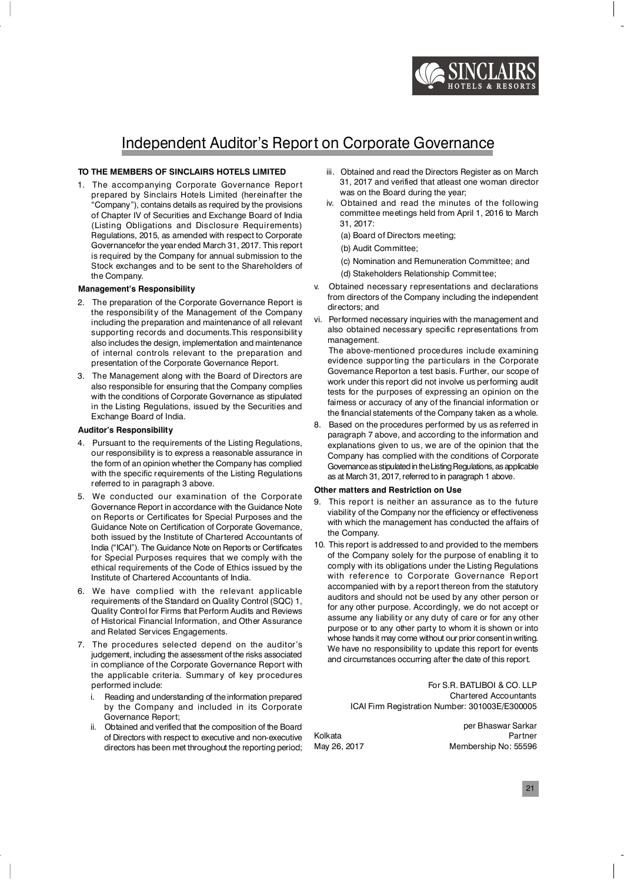

## Independent Auditor's Report on Corporate Governance

#### **TO THE MEMBERS OF SINCLAIRS HOTELS LIMITED**

1. The accompanying Corporate Governance Report prepared by Sinclairs Hotels Limited (hereinafter the "Company"), contains details as required by the provisions (Listing Obligations and Disclosure Requirements) Requiations, 2015, as amended with respect to Corporate Governancefor the year ended March 31, 2017. This report Governancefor the year ended March 31, 2017. This report is required by the Company for annual submission to the Stock exchanges and to be sent to the Shareholders of the Company.

#### **Management's Responsibility**

- 2. The preparation of the Corporate Governance Report is the responsibility of the Management of the Company including the preparation and maintenance of all relevant also includes the design, implementation and maintenance also includes the design, implementation and maintenance of internal controls relevant to the preparation and<br>executetion of the Comparate Conservance Depart presentation of the Corporate Governance Report.
- 3. The Management along with the Board of Directors are also responsible for ensuring that the Company complies<br>with the conditions of Corporate Governance as stipulated with the conditions of Corporate Governance as stipulated in the Listing Regulations, issued by the Securities and Exchange Board of India.

#### **Auditor's Responsibility**

- 4. Pursuant to the requirements of the Listing Regulations, our responsibility is to express a reasonable assurance in our responsibility is to express a reasonable assurance in the form of an opinion whether the Company has complied with the specific requirements of the Listing Regulations referred to in paragraph 3 above.
- 5. We conducted our examination of the Corporate on Reports or Certificates for Special Purposes and the on Reports or Certificates for Special Purposes and the Guidance Note on Certification of Corporate Governance, both issued by the Institute of Chartered Accountants of India ("ICAI"). The Guidance Note on Reports or Certificates for Special Purposes requires that we comply with the ethical requirements of the Code of Ethics issued by the ethical requirements of the Code of Ethics issued by the Institute of Chartered Accountants of India.
- 6. We have complied with the relevant applicable requirements of the Standard on Quality Control (SQC) 1, Quality Control for Firms that Perform Audits and Reviews of Historical Financial Information, and Other Assurance and Related Services Engagements.
- 7. The procedures selected depend on the auditor's judgement, including the assessment of the risks associated<br>in compliance of the Corporate Governance Report with in compliance of the Corporate Governance Report with the applicable criteria. Summary of key procedures performed include:<br>i. Reading and understanding of the information prepared
	- i. Reading and understanding of the information prepared by the Company and included in its Corporate Governance Report;
	- ii. Obtained and verified that the composition of the Board of Directors with respect to executive and non-executive directors has been met throughout the reporting period;
- iii. Obtained and read the Directors Register as on March 31, 2017 and verified that atleast one woman director was on the Board during the year;
- iv. Obtained and read the minutes of the following committee meetings held from April 1, 2016 to March 31, 2017:
	- (a) Board of Directors meeting;
	- (b) Audit Committee;
	- (c) Nomination and Remuneration Committee; and
	- (d) Stakeholders Relationship Committee;
- v. Obtained necessary representations and declarations from directors of the Company including the independent directors: and directors; and
- vi. Performed necessary inquiries with the management and also obtained necessary specific representations from

The above-mentioned procedures include examining The above-mentioned procedures include examining evidence supporting the particulars in the Corporate Governance Reporton a test basis. Further, our scope of work under this report did not involve us performing audit tests for the purposes of expressing an opinion on the fairness or accuracy of any of the financial information or the financial statements of the Company taken as a whole.

8. Based on the procedures performed by us as referred in paragraph 7 above, and according to the information and explanations given to us, we are of the opinion that the Company has complied with the conditions of Corporate Governance as stipulated in the Listing Regulations, as applicable Governance as stipulated in the Listing Regulations, as applicable  $a$ s at March 31, 2017, referred to in paragraph 1 above.

#### **Other matters and Restriction on Use**

- 9. This report is neither an assurance as to the future viability of the Company nor the efficiency or effectiveness viability of the Company nor the efficiency or effectiveness with which the management has conducted the affairs of the Company.
- 10. This report is addressed to and provided to the members of the Company solely for the purpose of enabling it to comply with its obligations under the Listing Regulations with reference to Corporate Governance Report accompanied with by a report thereon from the statutory auditors and should not be used by any other person or for any other purpose. Accordingly, we do not accept or assume any liability or any duty of care or for any other assume any liability or any duty of care or for any other purpose or to any other party to whom it is shown or into whose hands it may come without our prior consent in writing.<br>We have no responsibility to update this report for events We have no responsibility to update this report for events and circumstances occurring after the date of this report.

For S.R. BATLIBOI & CO. LLP Charlered Accountants ICAI Firm Registration Number: 301003E/E300005

per Bhaswar Sarkar Kolkata Partner (1989)<br>Martin Partner (1989) (1989) (1989) (1989) (1989) (1989) (1989) (1989) (1989) (1989) (1989) (1989) (1989) (19  $M$ g 20, 2017 Membership No: 55596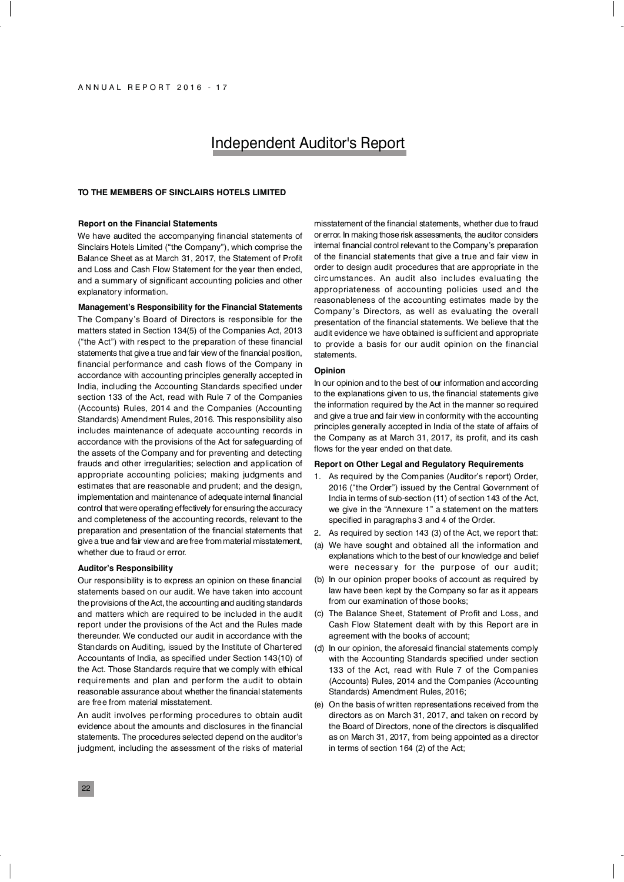## Independent Auditor's Report

#### **TO THE MEMBERS OF SINCLAIRS HOTELS LIMITED**

#### **Report on the Financial Statements**

We have audited the accompanying financial statements of Sinclairs Hotels Limited ("the Company"), which comprise the Balance Sheet as at March 31, 2017, the Statement of Profit and Loss and Cash Flow Statement for the year then ended, and a summary of significant accounting policies and other explanatory information.

#### **Management's Responsibility for the Financial Statements**

The Company's Board of Directors is responsible for the matters stated in Section 134(5) of the Companies Act, 2013<br>("the Act") with respect to the preparation of these financial statements that give a true and fair view of the financial position. statements that give a true and fair view of the financial position, financial performance and cash flows of the Company in accordance with accounting principles generally accepted in India, including the Accounting Standards specified under section 133 of the Act. read with Rule 7 of the Companies  $s$ ection 133 of the Act, read with Rule 7 of the Companies (Accounts) Rules, 2014 and the Companies (Accounting Standards) Amendment Rules, 2016. This responsibility also includes maintenance of adequate accounting records in accordance with the provisions of the Act for safeguarding of the assets of the Company and for preventing and detecting frauds and other irregularities; selection and application of appropriate accounting policies; making judgments and estimates that are reasonable and prudent; and the design, implementation and maintenance of adequate internal financial control that were operating effectively for ensuring the accuracy and completeness of the accounting records, relevant to the preparation and presentation of the financial statements that give a true and fair view and are free from material misstatement, whether due to fraud or error.

#### **Auditor's Responsibility**

Our responsibility is to express an opinion on these financial the provisions of the Act, the accounting and auditing standards the provisions of the Act, the accounting and auditing standards and matters which are required to be included in the audit report under the provisions of the Act and the Rules made<br>thereunder. We conducted our audit in accordance with the thereunder. We conducted our audit in accordance with the Standards on Auditing, issued by the Institute of Chartered Accountants of India, as specified under Section 143(10) of the Act. Those Standards require that we comply with ethical requirements and plan and perform the audit to obtain reasonable assurance about whether the financial statements are free from material misstatement.<br>An audit involves performing procedures to obtain audit

An audit involves performing procedures to obtain audit evidence about the amounts and disclosures in the financial statements. The procedures selected depend on the auditor's judgment, including the assessment of the risks of material misstatement of the financial statements, whether due to fraud or error. In making those risk assessments, the auditor considers of the financial statements that give a true and fair view in of the financial statements that give a true and fair view in order to design audit procedures that are appropriate in the circumstances. An audit also includes evaluating the appropriateness of accounting policies used and the reasonableness of the accounting estimates made by the Company's Directors, as well as evaluating the overall presentation of the financial statements. We believe that the audit evidence we have obtained is sufficient and appropriate to provide a basis for our audit opinion on the financial statements.

#### **Opinion**

In our opinion and to the best of our information and according to the explanations given to us, the financial statements give the information required by the Act in the manner so required and give a true and fair view in conformity with the accounting principles generally accepted in India of the state of affairs of the Company as at March 31, 2017, its profit, and its cash flows for the year ended on that date.

#### **Report on Other Legal and Regulatory Requirements**

- 1. As required by the Companies (Auditor's report) Order, 2016 ("the Order") issued by the Central Government of India in terms of sub-section (11) of section 143 of the Act, India in terms of sub-section (11) or section 143 of the Act,  $\frac{1}{2}$ we give in the "Annexure" is a statement on the matters specified in paragraphs 3 and 4 of the Order.
- 2. As required by section 143 (3) of the Act, we report that:<br>(a) We have sought and obtained all the information and
- (a) We have sought and obtained all the information and explanations which to the best of our knowledge and belief were necessary for the purpose of our audit;
- (b) In our opinion proper books of account as required by law have been kept by the Company so far as it appears from our examination of those books;
- (c) The Balance Sheet, Statement of Profit and Loss, and Cash Flow Statement dealt with by this Report are in agreement with the books of account;
- (d) In our opinion, the aforesaid financial statements comply with the Accounting Standards specified under section 133 of the Act, read with Rule 7 of the Companies (Accounts) Rules, 2014 and the Companies (Accounting Standards) Amendment Rules, 2016;
- (e) On the basis of written representations received from the directors as on March 31, 2017, and taken on record by the Board of Directors, none of the directors is disqualified as on March 31, 2017, from being appointed as a director in terms of section 164 (2) of the Act;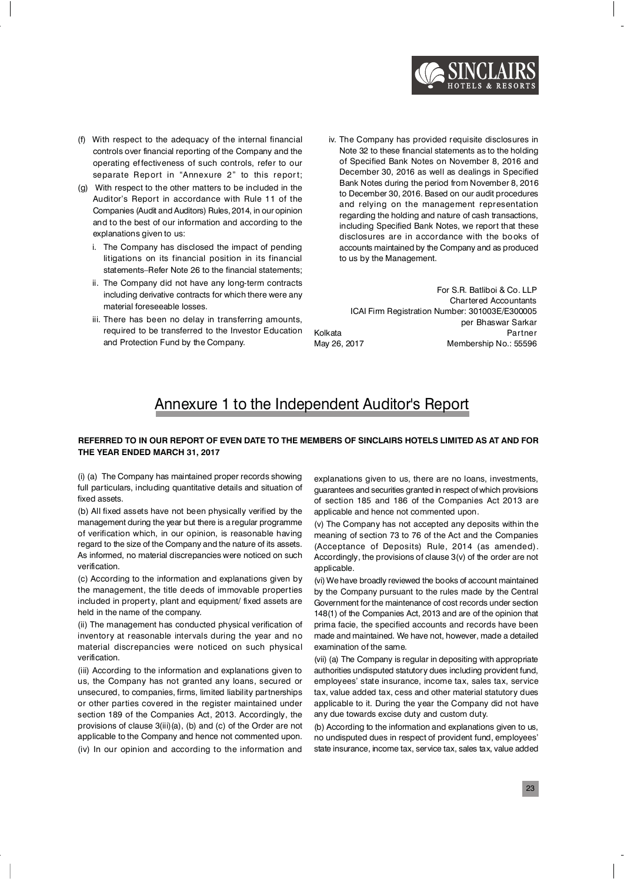- (f) With respect to the adequacy of the internal financial controls over financial reporting of the Company and the operating effectiveness of such controls, refer to our separate Report in "Annexure 2" to this report;
- (g) With respect to the other matters to be included in the Auditor's Report in accordance with Rule 11 of the Companies (Audit and Auditors) Rules, 2014, in our opinion and to the best of our information and according to the explanations given to us:
	- i. The Company has disclosed the impact of pending litigations on its financial position in its financial statements–Refer Note 26 to the financial statements;<br>ii. The Company did not have any long-term contracts
	- ii. The Company did not have any long-term contracts including derivative contracts for which there were any material foreseeable losses.
	- iii. There has been no delay in transferring amounts, required to be transferred to the Investor Education and Protection Fund by the Company.
- iv. The Company has provided requisite disclosures in  $\frac{1}{2}$  is to these financial statements as to the holding of Specified Bank Notes on November 8, 2016 and December 30, 2016 as well as dealings in Specified Bank Notes during the period from November 8, 2016 to December 30, 2016. Based on our audit procedures and relying on the management representation regarding the holding and nature of cash transactions, including Specified Bank Notes, we report that these disclosures are in accordance with the books of accounts maintained by the Company and as produced to us by the Management.

For S.R. Batliboi & Co. LLP Chartered Accountains ICAI Firm Registration Number: 301003E/E300005 per Bhaswar Sarkar  $R$ kolkata Partner (h. 1918)<br>Partner (h. 1918) May 26, 2017 Membership No.: 55596

## Annexure 1 to the Independent Auditor's Report

#### **REFERRED TO IN OUR REPORT OF EVEN DATE TO THE MEMBERS OF SINCLAIRS HOTELS LIMITED AS AT AND FOR THE YEAR ENDED MARCH 31, 2017**

(i) (a) The Company has maintained proper records showing full particulars, including quantitative details and situation of fixed assets.

(b) All fixed assets have not been physically verified by the management during the year but there is a regular programme of verification which, in our opinion, is reasonable having regard to the size of the Company and the nature of its assets. As informed, no material discrepancies were noticed on such verification.

(c) According to the information and explanations given by the management, the title deeds of immovable properties included in property, plant and equipment/ fixed assets are held in the name of the company.

(ii) The management has conducted physical verification of inventory at reasonable intervals during the year and no material discrepancies were noticed on such physical verification.

(iii) According to the information and explanations given to us, the Company has not granted any loans, secured or unsecured, to companies, firms, limited liability partnerships or other parties covered in the register maintained under section 189 of the Companies Act, 2013. Accordingly, the provisions of clause 3(iii)(a), (b) and (c) of the Order are not applicable to the Company and hence not commented upon. (iv) In our opinion and according to the information and

explanations given to us, there are no loans, investments, quarantees and securities granted in respect of which provisions guarantees and securities granted in respect of which provisions of section 185 and 186 of the Companies Act 2013 are applicable and hence not commented upon.<br>(v) The Company has not accepted any deposits within the

meaning of section 73 to 76 of the Act and the Companies meaning of section 73 to 76 of the Act and the Companies (Acceptance of Deposits) Rule, 2014 (as amended). Accordingly, the provisions of clause 3(v) of the order are not applicable.

(vi) We have broadly reviewed the books of account maintained Government for the maintenance of cost records under section Government for the maintenance of cost records under section 148(1) of the Companies Act, 2013 and are of the opinion that prima facie, the specified accounts and records have been made and maintained. We have not, however, made a detailed examination of the same.

(vii) (a) The Company is regular in depositing with appropriate authorities undisputed statutory dues including provident fund, employees' state insurance, income tax, sales tax, service tax, value added tax, cess and other material statutory dues applicable to it. During the year the Company did not have any due towards excise duty and custom duty.<br>(b) According to the information and explanations given to us,

(b) According to the information and explanations given to us, no undisputed dues in respect of provident fund, employees' state insurance, income tax, service tax, sales tax, value added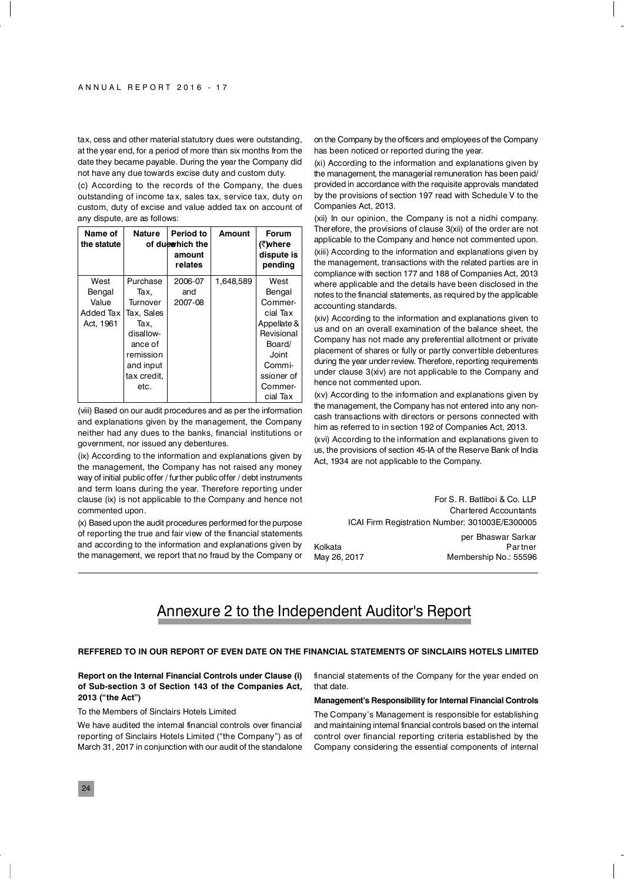tax, cess and other material statutory dues were outstanding, at the year end, for a period of more than six months from the date they became payable. During the year the Company did not have any due towards excise duty and custom duty.

(c) According to the records of the Company, the dues outstanding of income tax, sales tax, service tax, duty on custom, duty of excise and value added tax on account of any dispute, are as follows:

| Name of<br>the statute | Nature      | Period to<br>of duewhich the<br>amount<br>relates | Amount    | Forum<br>(₹)where<br>dispute is<br>pendina |
|------------------------|-------------|---------------------------------------------------|-----------|--------------------------------------------|
| West                   | Purchase    | 2006-07                                           | 1,648,589 | West                                       |
| Bengal                 | Tax.        | and                                               |           | Bengal                                     |
| Value                  | Turnover    | 2007-08                                           |           | Commer-                                    |
| Added Tax              | Tax, Sales  |                                                   |           | cial Tax                                   |
| Act, 1961              | Tax.        |                                                   |           | Appellate &                                |
|                        | disallow-   |                                                   |           | Revisional                                 |
|                        | ance of     |                                                   |           | Board/                                     |
|                        | remission   |                                                   |           | Joint                                      |
|                        | and input   |                                                   |           | Commi-                                     |
|                        | tax credit. |                                                   |           | ssioner of                                 |
|                        | etc.        |                                                   |           | Commer-                                    |
|                        |             |                                                   |           | cial Tax                                   |

(viii) Based on our audit procedures and as per the information and explanations given by the management, the Company neither had any dues to the banks, financial institutions or government, nor issued any debentures.<br>(ix) According to the information and explanations given by

(ix) According to the information and explanations given by the management, the Company has not raised any money way of initial public offer / further public offer / debt instruments and term loans during the year. Therefore reporting under clause (ix) is not applicable to the Company and hence not commented upon.

(x) Based upon the audit procedures performed for the purpose of reporting the true and fair view of the financial statements and according to the information and explanations given by the management, we report that no fraud by the Company or on the Company by the officers and employees of the Company has been noticed or reported during the year.<br>(xi) According to the information and explanations given by

(xi) According to the information and explanations given by the management, the managerial remuneration has been paid/ provided in accordance with the requisite approvals mandated by the provisions of section 197 read with Schedule V to the Companies Act, 2013.

(xii) In our opinion, the Company is not a nidhi company. Therefore, the provisions of clause 3(xii) of the order are not applicable to the Company and hence not commented upon. (xiii) According to the information and explanations given by the management, transactions with the related parties are in compliance with section 177 and 188 of Companies Act, 2013 compliance with section 177 and 188 of Companies Act, 2013 where applicable and the details have been disclosed in the notes to the financial statements, as required by the applicable accounting standards.

(xiv) According to the information and explanations given to us and on an overall examination of the balance sheet, the Company has not made any preferential allotment or private Company has not made any preferential allotment or private placement of shares or fully or partly convertible debentures during the year under review. Therefore, reporting requirements under clause 3(xiv) are not applicable to the Company and hence not commented upon. hence not commented upon.

(xv) According to the information and explanations given by the management, the Company has not entered into any noncash transactions with directors or persons connected with him as referred to in section 192 of Companies Act, 2013.

(xvi) According to the information and explanations given to us, the provisions of section 45-IA of the Reserve Bank of India Act, 1934 are not applicable to the Company.

> For S. R. Batliboi & Co. LLP Chartered Accountants ICAI Firm Registration Number: 301003E/E300005

per Bhaswar Sarkar Kolkata Partner (1988)<br>Martin Martin Martin Martin Martin Press  $M$ g 20, 2017 Membership No.: 55596

## Annexure 2 to the Independent Auditor's Report

#### **REFFERED TO IN OUR REPORT OF EVEN DATE ON THE FINANCIAL STATEMENTS OF SINCLAIRS HOTELS LIMITED**

#### **Report on the Internal Financial Controls under Clause (i) of Sub-section 3 of Section 143 of the Companies Act, 2013 ("the Act")**

#### To the Members of Sinclairs Hotels Limited

We have audited the internal financial controls over financial reporting of Sinclairs Hotels Limited ("the Company") as of March 31, 2017 in conjunction with our audit of the standalone financial statements of the Company for the year ended on that date.

**Management's Responsibility for Internal Financial Controls**

The Company's Management is responsible for establishing and maintaining internal financial controls based on the internal control over financial reporting criteria established by the Company considering the essential components of internal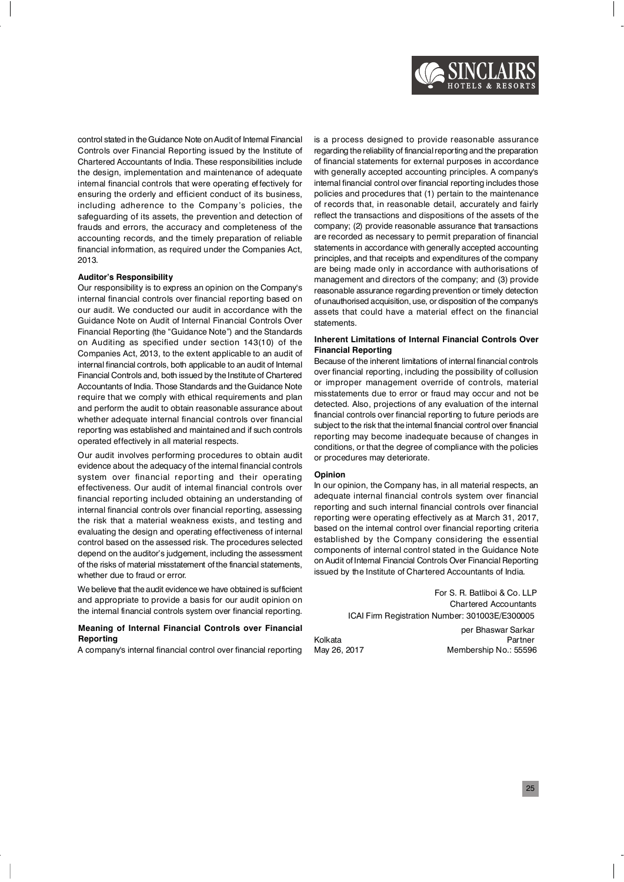

control stated in the Guidance Note on Audit of Internal Financial Controls over Financial Reporting issued by the Institute of Chartered Accountants of India. These responsibilities include the design, implementation and maintenance of adequate internal financial controls that were operating effectively for ensuring the orderly and efficient conduct of its business, including adherence to the Company's policies, the safeguarding of its assets, the prevention and detection of frauds and errors, the accuracy and completeness of the accounting records, and the timely preparation of reliable accounting records, and the timely preparation of reliable financial information, as required under the Companies Act, 2013.

#### **Auditor's Responsibility**

Our responsibility is to express an opinion on the Company's internal financial controls over financial reporting based on Guidance Note on Audit of Internal Financial Controls Over Guidance Note on Audit of Internal Financial Controls Over Financial Reporting (the "Guidance Note") and the Standards  $\frac{1}{2}$ on Auditing as specified under section 143(10) of the Companies Act, 2013, to the extent applicable to an audit of internal financial controls, both applicable to an audit of Internal Financial Controls and, both issued by the Institute of Chartered Accountants of India. Those Standards and the Guidance Note require that we comply with ethical requirements and plan and perform the audit to obtain reasonable assurance about whether adequate internal financial controls over financial reporting was established and maintained and if such controls operated effectively in all material respects.

Our audit involves performing procedures to obtain audit evidence about the adequacy of the internal financial controls<br>system over financial reporting and their operating system over financial reporting and their operating effectiveness. Our audit of internal financial controls over financial reporting included obtaining an understanding of internal financial controls over financial reporting, assessing the risk that a material weakness exists, and testing and evaluating the design and operating effectiveness of internal control based on the assessed risk. The procedures selected depend on the auditor's judgement, including the assessment of the risks of material misstatement of the financial statements, whether due to fraud or error.

We believe that the audit evidence we have obtained is sufficient<br>and appropriate to provide a basis for our audit opinion on and appropriate to provide a basis for our audit opinion on the internal financial controls system over financial reporting.

#### **Meaning of Internal Financial Controls over Financial Reporting**

A company's internal financial control over financial reporting

is a process designed to provide reasonable assurance regarding the reliability of financial reporting and the preparation regarding the reliability of financial reporting and the preparation of financial statements for external purposes in accordance with generally accepted accounting principles. A company's internal financial control over financial reporting includes those internal financial control over financial reporting includes those policies and procedures that (1) pertain to the maintenance of records that, in reasonable detail, accurately and fairly<br>reflect the transactions and dispositions of the assets of the reflect the transactions and dispositions of the assets of the company; (2) provide reasonable assurance that transactions are recorded as necessary to permit preparation of financial statements in accordance with generally accepted accounting principles, and that receipts and expenditures of the company are being made only in accordance with authorisations of management and directors of the company; and (3) provide management and directors of the company; and (3) provide reasonable assurance regarding prevention or timely detection of unauthorised acquisition, use, or disposition of the company's assets that could have a material effect on the financial statements.

#### **Inherent Limitations of Internal Financial Controls Over Financial Reporting**

Because of the inherent limitations of internal financial controls over financial reporting, including the possibility of collusion or improper management override of controls, material misstatements due to error or fraud may occur and not be detected. Also, projections of any evaluation of the internal financial controls over financial reporting to future periods are financial controls over financial reporting to future periods are subject to the risk that the internal financial control over financial reporting may become inadequate because of changes in conditions, or that the degree of compliance with the policies or procedures may deteriorate.

#### **Opinion**

In our opinion, the Company has, in all material respects, an adequate internal financial controls system over financial reporting and such internal financial controls over financial reporting were operating effectively as at March 31, 2017, based on the internal control over financial reporting criteria established by the Company considering the essential on Audit of Internal Financial Controls Over Financial Reporting on Audit of Internal Financial Controls Over Financial Reporting issued by the Institute of Chartered Accountants of India.

> For S. R. Batliboi & Co. LLP Chartered Accountants ICAI Firm Registration Number: 301003E/E300005

per Bhaswar Sarkar<br>Partner Kolkata Partner<br>Martin Martin Martin Martin Martin Martin Martin Martin Martin Martin Martin Martin Martin Martin Martin Marti  $M$ ay 20, 2017 Membership No.: 55596

25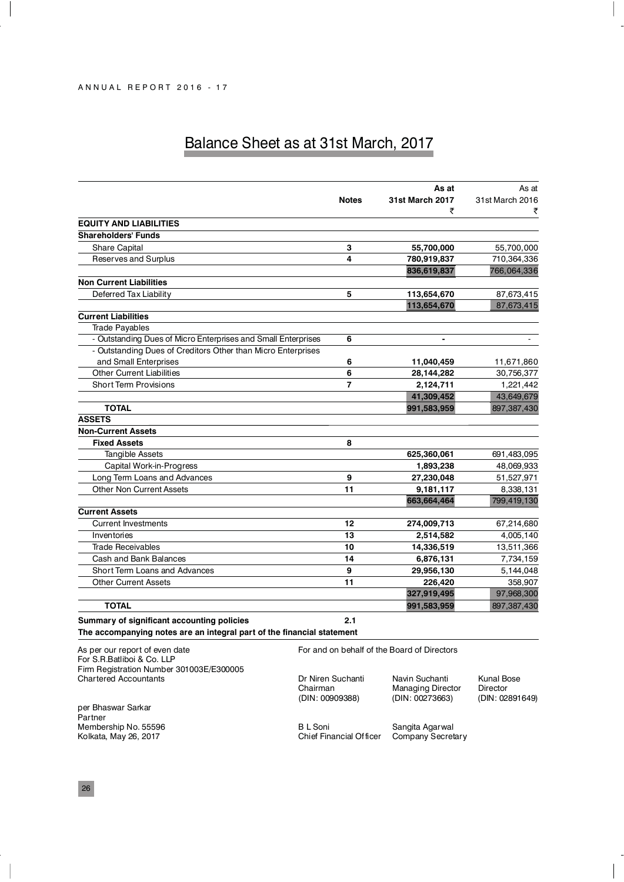$\overline{\phantom{a}}$ 

## Balance Sheet as at 31st March, 2017

|                                                               |                | As at           | As at           |
|---------------------------------------------------------------|----------------|-----------------|-----------------|
|                                                               | <b>Notes</b>   | 31st March 2017 | 31st March 2016 |
|                                                               |                | ₹               | ₹               |
| <b>EQUITY AND LIABILITIES</b>                                 |                |                 |                 |
| <b>Shareholders' Funds</b>                                    |                |                 |                 |
| <b>Share Capital</b>                                          | 3              | 55,700,000      | 55,700,000      |
| Reserves and Surplus                                          | 4              | 780,919,837     | 710,364,336     |
|                                                               |                | 836,619,837     | 766,064,336     |
| <b>Non Current Liabilities</b>                                |                |                 |                 |
| Deferred Tax Liability                                        | 5              | 113,654,670     | 87,673,415      |
|                                                               |                | 113,654,670     | 87,673,415      |
| <b>Current Liabilities</b>                                    |                |                 |                 |
| <b>Trade Payables</b>                                         |                |                 |                 |
| - Outstanding Dues of Micro Enterprises and Small Enterprises | 6              | ۰               |                 |
| - Outstanding Dues of Creditors Other than Micro Enterprises  |                |                 |                 |
| and Small Enterprises                                         | 6              | 11,040,459      | 11,671,860      |
| <b>Other Current Liabilities</b>                              | 6              | 28,144,282      | 30,756,377      |
| <b>Short Term Provisions</b>                                  | $\overline{7}$ | 2,124,711       | 1,221,442       |
|                                                               |                | 41,309,452      | 43,649,679      |
| <b>TOTAL</b>                                                  |                | 991,583,959     | 897,387,430     |
| <b>ASSETS</b>                                                 |                |                 |                 |
| <b>Non-Current Assets</b>                                     |                |                 |                 |
| <b>Fixed Assets</b>                                           | 8              |                 |                 |
| Tangible Assets                                               |                | 625,360,061     | 691,483,095     |
| Capital Work-in-Progress                                      |                | 1,893,238       | 48,069,933      |
| Long Term Loans and Advances                                  | 9              | 27,230,048      | 51,527,971      |
| <b>Other Non Current Assets</b>                               | 11             | 9,181,117       | 8,338,131       |
|                                                               |                | 663,664,464     | 799,419,130     |
| <b>Current Assets</b>                                         |                |                 |                 |
| <b>Current Investments</b>                                    | 12             | 274,009,713     | 67,214,680      |
| Inventories                                                   | 13             | 2,514,582       | 4,005,140       |
| Trade Receivables                                             | 10             | 14,336,519      | 13,511,366      |
| <b>Cash and Bank Balances</b>                                 | 14             | 6,876,131       | 7,734,159       |
| <b>Short Term Loans and Advances</b>                          | 9              | 29,956,130      | 5,144,048       |
| <b>Other Current Assets</b>                                   | 11             | 226,420         | 358,907         |
|                                                               |                | 327,919,495     | 97,968,300      |
| <b>TOTAL</b>                                                  |                | 991,583,959     | 897,387,430     |
| Summary of significant accounting policies                    | 2.1            |                 |                 |

As per our report of even date For and on behalf of the Board of Directors<br>For S.R.Batliboi & Co. LLP For S.R.Batliboi & Co. LLP Firm Registration Number 301003E/E300005

per Bhaswar Sarkar Membership No. 55596 membership No. 33396 B L Soni Sangita Agarwal Ship Sangita Agarwal Ship Sangita Agarwal Ship Sangita Agarwal Sh

Chartered Accountants Dr Niren Suchanti Navin Suchanti Kunal Bose  $(DIN. 00909000)$  (DIN: 00273668) (DIN: 02891649)

Unailman Managing Director Director<br>(DIN) 00000000 (DIN) 00079000) (DIN) 00

 $\begin{array}{c} \hline \end{array}$ 

 $\begin{array}{c} \hline \end{array}$ 

Kolkata, May 26, 2017 Chief Financial Officer Company Secretary

 $\begin{array}{c} \hline \end{array}$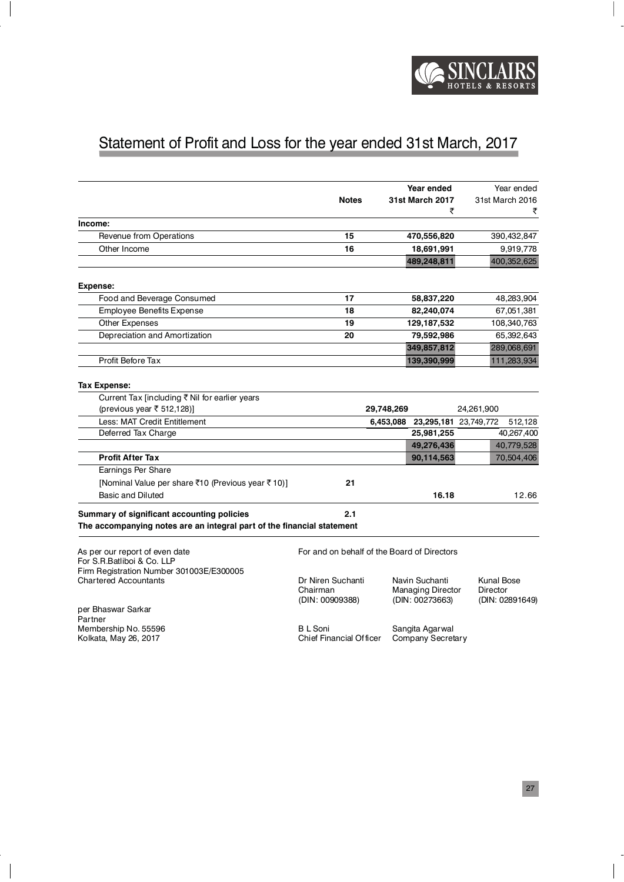

 $\mathbb{R}^n$ 

 $\overline{a}$ 

# Statement of Profit and Loss for the year ended 31st March, 2017

 $\overline{\phantom{a}}$ 

 $\frac{1}{\sqrt{2}}$ 

j.

|                                                                                                                              |                                                  | Year ended                                                    | Year ended                                              |
|------------------------------------------------------------------------------------------------------------------------------|--------------------------------------------------|---------------------------------------------------------------|---------------------------------------------------------|
|                                                                                                                              | <b>Notes</b>                                     | <b>31st March 2017</b>                                        | 31st March 2016                                         |
|                                                                                                                              |                                                  | ₹                                                             |                                                         |
| Income:                                                                                                                      |                                                  |                                                               |                                                         |
| <b>Revenue from Operations</b>                                                                                               | 15                                               | 470,556,820                                                   | 390,432,847                                             |
| Other Income                                                                                                                 | 16                                               | 18,691,991                                                    | 9,919,778                                               |
|                                                                                                                              |                                                  | 489,248,811                                                   | 400,352,625                                             |
| <b>Expense:</b>                                                                                                              |                                                  |                                                               |                                                         |
| Food and Beverage Consumed                                                                                                   | 17                                               | 58,837,220                                                    | 48,283,904                                              |
| <b>Employee Benefits Expense</b>                                                                                             | 18                                               | 82,240,074                                                    | 67,051,381                                              |
| <b>Other Expenses</b>                                                                                                        | 19                                               | 129,187,532                                                   | 108,340,763                                             |
| Depreciation and Amortization                                                                                                | 20                                               | 79,592,986                                                    | 65,392,643                                              |
|                                                                                                                              |                                                  | 349,857,812                                                   | 289,068,691                                             |
| <b>Profit Before Tax</b>                                                                                                     |                                                  | 139,390,999                                                   | 111,283,934                                             |
| Tax Expense:<br>Current Tax [including ₹ Nil for earlier years<br>(previous year ₹ 512,128)]<br>Less: MAT Credit Entitlement |                                                  | 29,748,269<br>6,453,088<br>23,295,181                         | 24,261,900<br>23,749,772<br>512,128                     |
| Deferred Tax Charge                                                                                                          |                                                  | 25,981,255                                                    | 40,267,400                                              |
|                                                                                                                              |                                                  | 49,276,436                                                    | 40,779,528                                              |
| <b>Profit After Tax</b>                                                                                                      |                                                  | 90,114,563                                                    | 70,504,406                                              |
| Earnings Per Share                                                                                                           |                                                  |                                                               |                                                         |
| [Nominal Value per share ₹10 (Previous year ₹ 10)]<br><b>Basic and Diluted</b>                                               | 21                                               |                                                               |                                                         |
|                                                                                                                              |                                                  | 16.18                                                         | 12.66                                                   |
| Summary of significant accounting policies                                                                                   | 2.1                                              |                                                               |                                                         |
| The accompanying notes are an integral part of the financial statement                                                       |                                                  |                                                               |                                                         |
| As per our report of even date<br>For S.R.Batliboi & Co. LLP<br>Firm Registration Number 301003E/E300005                     | For and on behalf of the Board of Directors      |                                                               |                                                         |
| <b>Chartered Accountants</b>                                                                                                 | Dr Niren Suchanti<br>Chairman<br>(DIN: 00909388) | Navin Suchanti<br><b>Managing Director</b><br>(DIN: 00273663) | <b>Kunal Bose</b><br><b>Director</b><br>(DIN: 02891649) |
| per Bhaswar Sarkar<br>Partner                                                                                                |                                                  |                                                               |                                                         |
| Membership No. 55596<br>Kolkata May 26 2017                                                                                  | <b>BL</b> Soni<br>Chiof Einanoial Officer        | Sangita Agarwal<br>Company Coorptory                          |                                                         |

Kolkata, May 26, 2017 Chief Financial Officer Company Secretary

27

 $\begin{array}{c} \begin{array}{c} \begin{array}{c} \end{array} \end{array} \end{array}$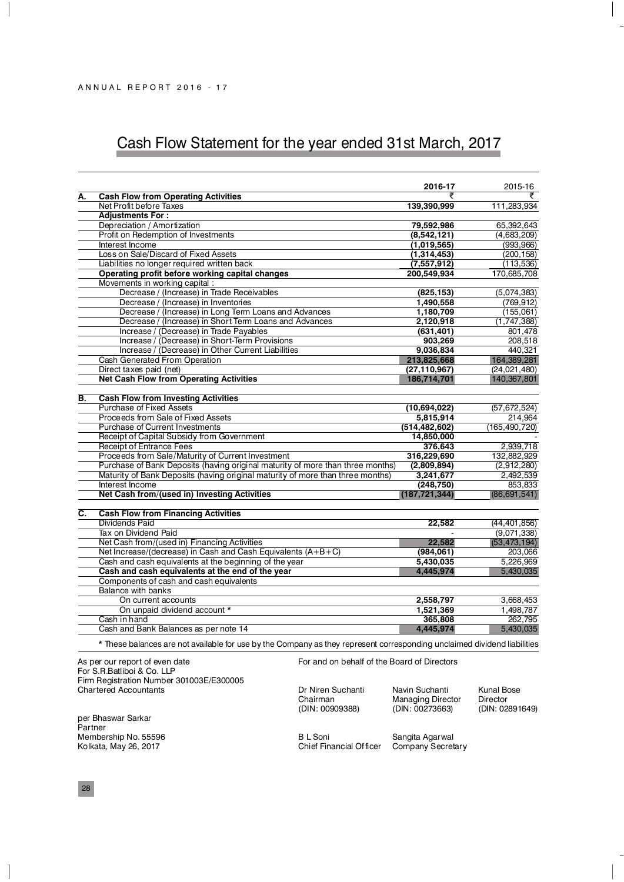$\begin{array}{c} \hline \end{array}$ 

# Cash Flow Statement for the year ended 31st March, 2017

|    |                                                                                                                          |                                             | 2016-17                  | 2015-16           |
|----|--------------------------------------------------------------------------------------------------------------------------|---------------------------------------------|--------------------------|-------------------|
| А. | <b>Cash Flow from Operating Activities</b>                                                                               |                                             |                          |                   |
|    | Net Profit before Taxes                                                                                                  |                                             | 139,390,999              | 111,283,934       |
|    | <b>Adjustments For:</b>                                                                                                  |                                             |                          |                   |
|    | Depreciation / Amortization                                                                                              |                                             | 79,592,986               | 65,392,643        |
|    | Profit on Redemption of Investments                                                                                      |                                             | (8,542,121)              | (4,683,209)       |
|    | Interest Income                                                                                                          |                                             | (1,019,565)              | (993, 966)        |
|    | Loss on Sale/Discard of Fixed Assets                                                                                     |                                             | (1, 314, 453)            | (200, 158)        |
|    | Liabilities no longer required written back                                                                              |                                             | (7, 557, 912)            | (113, 536)        |
|    | Operating profit before working capital changes                                                                          |                                             | 200,549,934              | 170,685,708       |
|    | Movements in working capital :                                                                                           |                                             |                          |                   |
|    | Decrease / (Increase) in Trade Receivables                                                                               |                                             | (825, 153)               | (5,074,383)       |
|    | Decrease / (Increase) in Inventories                                                                                     |                                             | 1,490,558                | (769, 912)        |
|    | Decrease / (Increase) in Long Term Loans and Advances                                                                    |                                             | 1,180,709                | (155,061)         |
|    | Decrease / (Increase) in Short Term Loans and Advances                                                                   |                                             | 2,120,918                | (1,747,388)       |
|    | Increase / (Decrease) in Trade Payables                                                                                  |                                             | (631, 401)               | 801,478           |
|    | Increase / (Decrease) in Short-Term Provisions                                                                           |                                             | 903,269                  | 208,518           |
|    | Increase / (Decrease) in Other Current Liabilities                                                                       |                                             | 9,036,834                | 440,321           |
|    | Cash Generated From Operation                                                                                            |                                             | 213,825,668              | 164,389,281       |
|    | Direct taxes paid (net)                                                                                                  |                                             | (27, 110, 967)           | (24,021,480)      |
|    | <b>Net Cash Flow from Operating Activities</b>                                                                           |                                             | 186,714,701              | 140,367,801       |
| B. | <b>Cash Flow from Investing Activities</b>                                                                               |                                             |                          |                   |
|    | <b>Purchase of Fixed Assets</b>                                                                                          |                                             | (10,694,022)             | (57, 672, 524)    |
|    | Proceeds from Sale of Fixed Assets                                                                                       |                                             | 5,815,914                | 214,964           |
|    | <b>Purchase of Current Investments</b>                                                                                   |                                             | (514,482,602)            | (165, 490, 720)   |
|    | Receipt of Capital Subsidy from Government                                                                               |                                             | 14,850,000               |                   |
|    | <b>Receipt of Entrance Fees</b>                                                                                          |                                             | 376,643                  | 2,939,718         |
|    | Proceeds from Sale/Maturity of Current Investment                                                                        |                                             | 316,229,690              | 132,882,929       |
|    | Purchase of Bank Deposits (having original maturity of more than three months)                                           |                                             | (2,809,894)              | (2,912,280)       |
|    | Maturity of Bank Deposits (having original maturity of more than three months)                                           |                                             | 3,241,677                | 2,492,539         |
|    | Interest Income                                                                                                          |                                             | (248, 750)               | 853,833           |
|    | Net Cash from/(used in) Investing Activities                                                                             |                                             | (187, 721, 344)          | (86,691,541)      |
|    |                                                                                                                          |                                             |                          |                   |
| C. | <b>Cash Flow from Financing Activities</b>                                                                               |                                             |                          |                   |
|    | <b>Dividends Paid</b>                                                                                                    |                                             | 22,582                   | (44, 401, 856)    |
|    | Tax on Dividend Paid                                                                                                     |                                             |                          | (9,071,338)       |
|    | Net Cash from/(used in) Financing Activities                                                                             |                                             | 22,582                   | (53, 473, 194)    |
|    | Net Increase/(decrease) in Cash and Cash Equivalents (A+B+C)                                                             |                                             | (984,061)                | 203.066           |
|    | Cash and cash equivalents at the beginning of the year                                                                   |                                             | 5,430,035                | 5,226,969         |
|    | Cash and cash equivalents at the end of the year                                                                         |                                             | 4,445,974                | 5,430,035         |
|    | Components of cash and cash equivalents                                                                                  |                                             |                          |                   |
|    | <b>Balance with banks</b>                                                                                                |                                             |                          |                   |
|    | On current accounts                                                                                                      |                                             | 2,558,797                | 3,668,453         |
|    | On unpaid dividend account *                                                                                             |                                             | 1,521,369                | 1,498,787         |
|    | Cash in hand                                                                                                             |                                             | 365,808                  | 262.795           |
|    | Cash and Bank Balances as per note 14                                                                                    |                                             | 4,445,974                | 5,430,035         |
|    | * These balances are not available for use by the Company as they represent corresponding unclaimed dividend liabilities |                                             |                          |                   |
|    |                                                                                                                          | For and on behalf of the Board of Directors |                          |                   |
|    | As per our report of even date<br>For S.R.Batliboi & Co. LLP                                                             |                                             |                          |                   |
|    |                                                                                                                          |                                             |                          |                   |
|    | Firm Registration Number 301003E/E300005<br><b>Chartered Accountants</b>                                                 | Dr Niren Suchanti                           | Navin Suchanti           | <b>Kunal Bose</b> |
|    |                                                                                                                          | Chairman                                    | <b>Managing Director</b> | <b>Director</b>   |
|    |                                                                                                                          | (DIN: 00909388)                             | (DIN: 00273663)          | (DIN: 02891649)   |
|    |                                                                                                                          |                                             |                          |                   |

per Bhaswar Sarkar Membership No. 55596

| Dr Niren Suchanti | Navin Suchanti           | Kunal Bose      |
|-------------------|--------------------------|-----------------|
| Chairman          | <b>Managing Director</b> | Director        |
| (DIN: 00909388)   | (DIN: 00273663)          | (DIN: 02891649) |
| <b>DI Q</b>       | Canada Americal          |                 |

membership No. 33396 B L Soni Sangita Agarwal Ship Sangita Agarwal Ship Sangita Agarwal Ship Sangita Agarwal S<br>Phiot Sangita Agarwal Ship Sangita Agarwal Ship Sangita Agarwal Ship Sangita Agarwal Ship Sangita Agarwal Ship Kolkata, May 26, 2017 Chief Financial Officer Company Secretary

 $\begin{array}{c} \hline \end{array}$ 

 $\overline{a}$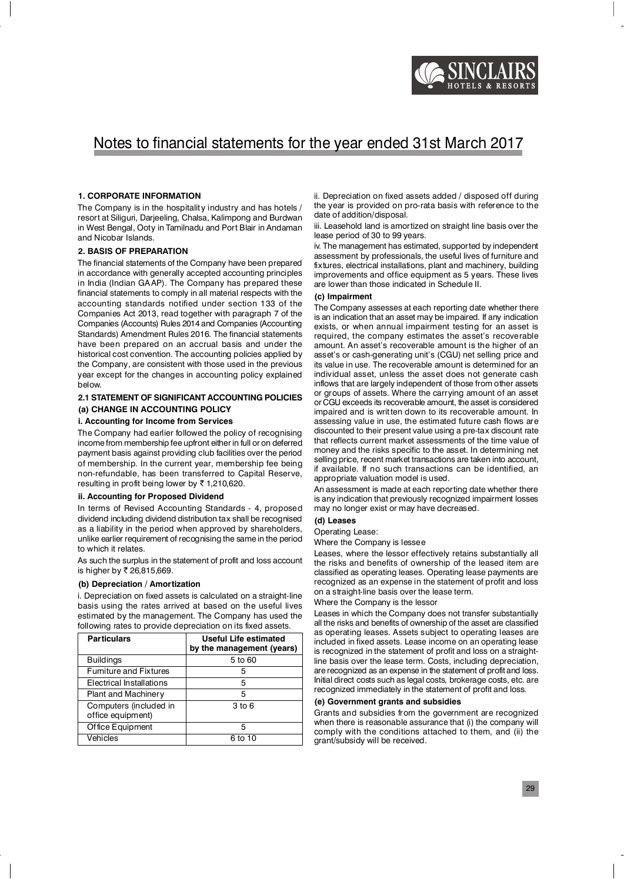#### **1. CORPORATE INFORMATION**

The Company is in the hospitality industry and has hotels / resort at Siliguri, Darjeeling, Chalsa, Kalimpong and Burdwan in West Bengal, Ooty in Tamilnadu and Port Blair in Andaman and Nicobar Islands.

#### **2. BASIS OF PREPARATION**

The financial statements of the Company have been prepared<br>in accordance with generally accepted accounting principles in India (Indian GAAP). The Company has prepared these financial statements to comply in all material respects with the accounting standards notified under section 133 of the Companies Act 2013, read together with paragraph 7 of the Companies (Accounts) Rules 2014 and Companies (Accounting Companies (Accounts) Rules 2014 and Companies (Accounting Standards) Amendment Rules 2016. The financial statements have been prepared on an accrual basis and under the historical cost convention. The accounting policies applied by the Company, are consistent with those used in the previous year except for the changes in accounting policy explained below.

#### **2.1 STATEMENT OF SIGNIFICANT ACCOUNTING POLICIES (a) CHANGE IN ACCOUNTING POLICY**

#### **i. Accounting for Income from Services**

The Company had earlier followed the policy of recognising<br>income from membership fee upfront either in full or on deferred income from membership fee upfront either in full or on deferred payment basis against providing club facilities over the period of membership. In the current year, membership fee being non-refundable, has been transferred to Capital Reserve, resulting in profit being lower by  $\overline{\epsilon}$  1,210,620.

#### **ii. Accounting for Proposed Dividend**

In terms of Revised Accounting Standards - 4, proposed dividend including dividend distribution tax shall be recognised as a liability in the period when approved by shareholders, unlike earlier requirement of recognising the same in the period to which it relates.

As such the surplus in the statement of profit and loss account is higher by ₹ 26,815,669.

#### **(b) Depreciation / Amortization**

i. Depreciation on fixed assets is calculated on a straight-line basis using the rates arrived at based on the useful lives estimated by the management. The Company has used the following rates to provide depreciation on its fixed assets.

| <b>Particulars</b>                          | <b>Useful Life estimated</b><br>by the management (years) |
|---------------------------------------------|-----------------------------------------------------------|
| <b>Buildings</b>                            | 5 to 60                                                   |
| <b>Furniture and Fixtures</b>               | 5                                                         |
| Electrical Installations                    | 5                                                         |
| <b>Plant and Machinery</b>                  | 5                                                         |
| Computers (included in<br>office equipment) | 3 to 6                                                    |
| Office Equipment                            | 5                                                         |
| Vehicles                                    | 6 to 10                                                   |
|                                             |                                                           |

ii. Depreciation on fixed assets added / disposed off during the year is provided on pro-rata basis with reference to the date of addition/disposal.

iii. Leasehold land is amortized on straight line basis over the lease period of 30 to 99 years.<br>iv. The management has estimated, supported by independent

assessment by professionals, the useful lives of furniture and assessment by professionals, the useful lives of furniture and<br>fixtures, electrical installations, plant and meabinery, building fixtures, electrical installations, plant and machinery, building improvements and office equipment as 5 years. These lives are lower than those indicated in Schedule II.

#### **(c) Impairment**

The Company assesses at each reporting date whether there is an indication that an asset may be impaired. If any indication is an indication that an asset may be impaired. If any indication exists, or when annual impairment testing for an asset is required, the company estimates the asset's recoverable asset's or cash-generating unit's (CGU) net selling price and its value in use. The recoverable amount is determined for an individual asset, unless the asset does not generate cash inflows that are largely independent of those from other assets or groups of assets. Where the carrying amount of an asset or CGU exceeds its recoverable amount, the asset is considered impaired and is written down to its recoverable amount. In assessing value in use, the estimated future cash flows are discounted to their present value using a pre-tax discount rate discounted to their present value using a pre-tax discount rate that reflects current market assessments of the time value of money and the risks specific to the asset. In determining net selling price, recent market transactions are taken into account, if available. If no such transactions can be identified, an appropriate valuation model is used.<br>An assessment is made at each reporting date whether there

An assessment is made at each reporting date whether there is any indication that previously recognized impairment losses may no longer exist or may have decreased.

#### **(d) Leases**

#### Operating Lease:

Where the Company is lessee

Leases, where the lessor effectively retains substantially all the risks and benefits of ownership of the leased item are classified as operating leases. Operating lease payments are classified as operating leases. Operating lease payments are recognized as an expense in the statement of profit and loss on a straight-line basis over the lease term.

Where the Company is the lessor<br>Leases in which the Company does not transfer substantially all the risks and benefits of ownership of the asset are classified as operating leases. Assets subject to operating leases are included in fixed assets. Lease income on an operating lease is recognized in the statement of profit and loss on a straightline basis over the lease term. Costs, including depreciation, are recognized as an expense in the statement of profit and loss. are recognized as an expense in the statement of profit and loss. Initial direct costs such as legal costs, brokerage costs, etc. are recognized immediately in the statement of profit and loss.

#### **(e) Government grants and subsidies**

Grants and subsidies from the government are recognized when there is reasonable assurance that (i) the company will when there is reasonable assurance that (i) the company will<br>comply with the conditions etterhed to them, and (ii) the comply with the conditions attached to them, and (ii) the<br>exectlo beid will be received grant/subsidy will be received.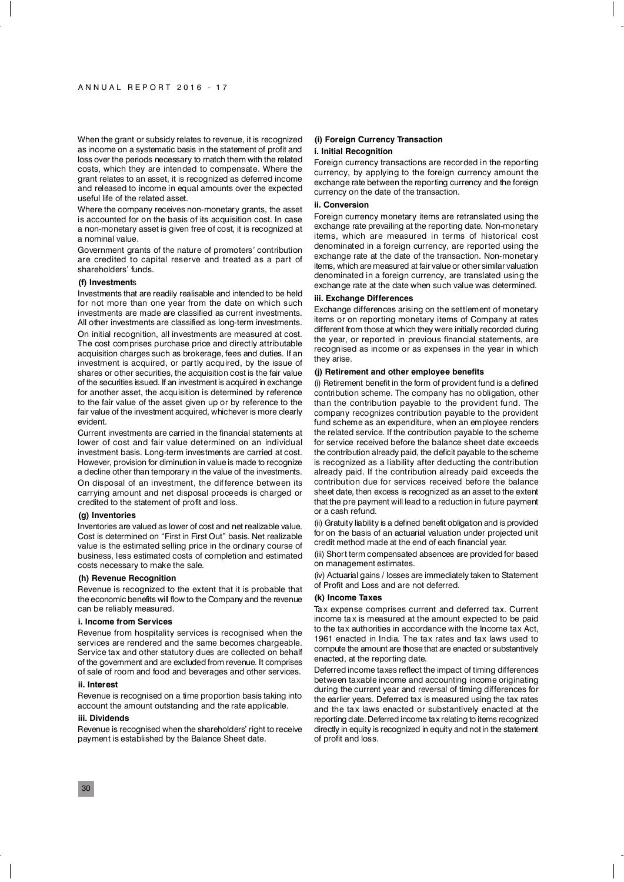When the grant or subsidy relates to revenue, it is recognized as income on a systematic basis in the statement of profit and as income on a systematic basis in the statement of profit and loss over the periods necessary to match them with the related costs, which they are intended to compensate. Where the grant relates to an asset, it is recognized as deferred income grant relates to an asset, it is recognized as deferred income and released to income in equal amounts over the expected useful life of the related asset.

Where the company receives non-monetary grants, the asset is accounted for on the basis of its acquisition cost. In case is accounted for on the basis of its acquisition cost. In case a non-monetary asset is given free of cost, it is recognized at a nominal value.<br>Government grants of the nature of promoters' contribution

Government grants of the nature of promoters' contribution are credited to capital reserve and treated as a part of shareholders' funds.

**(f) Investment**<sup>s</sup> for not more than one year from the date on which such investments are made are classified as current investments. investments are made are classified as current investments. All other investments are classified as long-term investments. On initial recognition, all investments are measured at cost.<br>The cost comprises purchase price and directly attributable acquisition charges such as brokerage, fees and duties. If an investment is acquired, or partly acquired, by the issue of shares or other securities, the acquisition cost is the fair value of the securities issued. If an investment is acquired in exchange for another asset, the acquisition is determined by reference to the fair value of the asset given up or by reference to the to the fair value of the asset given up or by reference to the fair value of the investment acquired, whichever is more clearly evident.<br>Current investments are carried in the financial statements at

lower of cost and fair value determined on an individual investment basis. Long-term investments are carried at cost. However, provision for diminution in value is made to recognize However, provision for diminution in value is made to recognize a decline other than temporary in the value of the investments. On disposal of an investment, the difference between its carrying amount and net disposal proceeds is charged or<br>exedited to the etermination of profit and less. credited to the statement of profit and loss.

#### **(g) Inventories**

Inventories are valued as lower of cost and net realizable value.<br>Cost is determined on "First in First Out" basis. Net realizable value is the estimated selling price in the ordinary course of value is the estimated selling price in the ordinary course of business, less estimated costs of completion and estimated costs necessary to make the sale.

#### **(h) Revenue Recognition**

Revenue is recognized to the extent that it is probable that the economic benefits will flow to the Company and the revenue can be reliably measured.

#### **i. Income from Services**

Revenue from hospitality services is recognised when the services are rendered and the same becomes chargeable. Service tax and other statutory dues are collected on behalf of the government and are excluded from revenue. It comprises of the government and are excluded from revenue. It comprises of sale of room and food and beverages and other services.

#### **ii. Interest**

Revenue is recognised on a time proportion basis taking into account the amount outstanding and the rate applicable.

#### **iii. Dividends**

Revenue is recognised when the shareholders' right to receive payment is established by the Balance Sheet date.

#### **(i) Foreign Currency Transaction i. Initial Recognition**

Foreign currency transactions are recorded in the reporting<br>currency, by applying to the foreign currency amount the currency, by applying to the foreign currency amount the exchange rate between the reporting currency and the foreign currency on the date of the transaction.

#### **ii. Conversion**

Foreign currency monetary items are retranslated using the exchange rate prevailing at the reporting date. Non-monetary items, which are measured in terms of historical cost denominated in a foreign currency, are reported using the exchange rate at the date of the transaction. Non-monetary items, which are measured at fair value or other similar valuation. denominated in a foreign currency, are translated using the denominated in a foreign currency, are translated using the exchange rate at the date when such value was determined.

#### **iii. Exchange Differences**

Exchange differences arising on the settlement of monetary<br>items or on reporting monetary items of Company at rates different from those at which they were initially recorded during the year, or reported in previous financial statements, are the year, or reported in previous financial statements, are recognised as income or as expenses in the year in which they arise.

#### **(j) Retirement and other employee benefits**

(i) Retirement benefit in the form of provident fund is a defined contribution scheme. The company has no obligation, other than the contribution payable to the provident fund. The company recognizes contribution payable to the provident fund scheme as an expenditure, when an employee renders fund scheme as an expenditure, when an employee renders the related service. If the contribution payable to the scheme for service received before the balance sheet date exceeds<br>the contribution already paid, the deficit payable to the scheme is recognized as a liability after deducting the contribution already paid. If the contribution already paid exceeds the contribution due for services received before the balance sheet date, then excess is recognized as an asset to the extent sheet date, then excess is recognized as an asset to the extent that the pre payment will lead to a reduction in future payment or a cash refund.<br>(ii) Gratuity liability is a defined benefit obligation and is provided

for on the basis of an actuarial valuation under projected unit for on the basis of an actuarial valuation under projected unit credit method made at the end of each financial year.

(iii) Short term compensated absences are provided for based on management estimates.

(iv) Actuarial gains / losses are immediately taken to Statement of Profit and Loss and are not deferred.

#### **(k) Income Taxes**

Tax expense comprises current and deferred tax. Current income tax is measured at the amount expected to be paid to the tax authorities in accordance with the Income tax Act, 1961 enacted in India. The tax rates and tax laws used to 1961 enacted in India. The tax rates and tax laws used to compute the amount are those that are enacted or substantively enacted, at the reporting date.<br>Deferred income taxes reflect the impact of timing differences

Deferred income taxes reflect the impact of timing differences between taxable income and accounting income originating during the current year and reversal of timing differences for<br>the earlier years. Deferred tax is measured using the tax rates and the tax laws enacted or substantively enacted at the reporting date. Deferred income tax relating to items recognized reporting date. Deferred income tax relating to items recognized directly in equity is recognized in equity and not in the statement of profit and loss.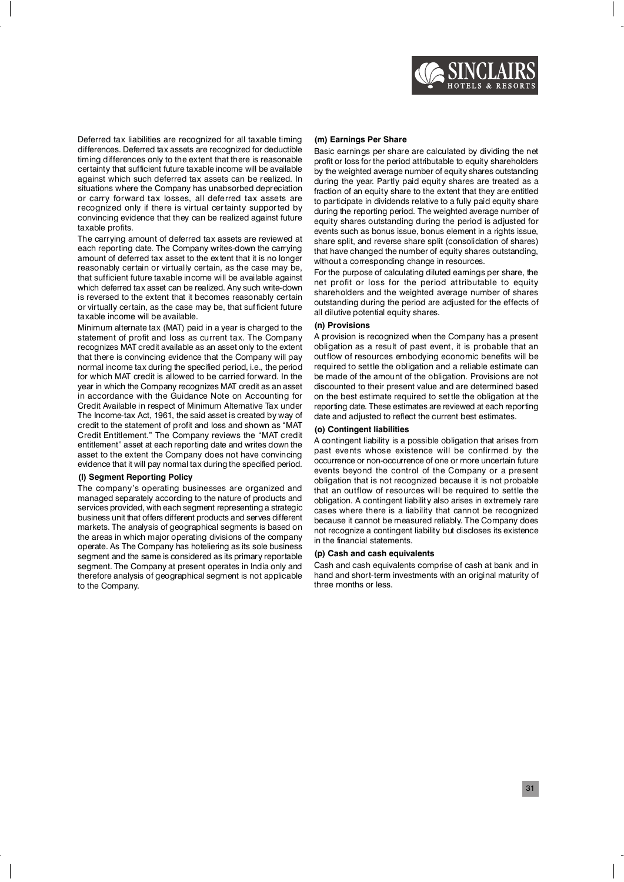

Deferred tax liabilities are recognized for all taxable timing<br>differences. Deferred tax assets are recognized for deductible differences. Deferred tax assets are recognized for deductible timing differences only to the extent that there is reasonable certainty that sufficient future taxable income will be available against which such deferred tax assets can be realized. In situations where the Company has unabsorbed depreciation or carry forward tax losses, all deferred tax assets are recognized only if there is virtual certainty supported by convincing evidence that they can be realized against future

taxable profits.<br>The carrying amount of deferred tax assets are reviewed at each reporting date. The Company writes-down the carrying amount of deferred tax asset to the extent that it is no longer reasonably certain or virtually certain, as the case may be, that sufficient future taxable income will be available against which deferred tax asset can be realized. Any such write-down is reversed to the extent that it becomes reasonably certain is reversed to the extent that it becomes reasonably certain or virtually certain, as the case may be, that sufficient future taxable income will be available.<br>Minimum alternate tax (MAT) paid in a year is charged to the

statement of profit and loss as current tax. The Company recognizes MAT credit available as an asset only to the extent that there is convincing evidence that the Company will pay normal income tax during the specified period, i.e., the period for which MAT credit is allowed to be carried forward. In the year in which the Company recognizes MAT credit as an asset in accordance with the Guidance Note on Accounting for Credit Available in respect of Minimum Alternative Tax under Credit Available in respect of Minimum Alternative Tax under The Income-tax Act, 1961, the said asset is created by way of credit to the statement of profit and loss and shown as "MAT<br>Credit Entitlement." The Company reviews the "MAT credit entitlement" asset at each reporting date and writes down the asset to the extent the Company does not have convincing asset to the extent the Company does not have convincing evidence that it will pay normal tax during the specified period.

#### **(l) Segment Reporting Policy**

The company's operating businesses are organized and managed separately according to the nature of products and services provided, with each segment representing a strategic business unit that offers different products and serves different markets. The analysis of geographical segments is based on markets. The analysis of geographical segments is based on the areas in which major operating divisions of the company operate. As The Company has hoteliering as its sole business segment and the same is considered as its primary reportable segment. The Company at present operates in India only and therefore analysis of geographical segment is not applicable to the Company.

#### **(m) Earnings Per Share**

Basic earnings per share are calculated by dividing the net by the weighted average number of equity shares outstanding during the year. Partly paid equity shares are treated as a fraction of an equity share to the extent that they are entitled fraction of an equity share to the extent that they are entitled to participate in dividends relative to a fully paid equity share during the reporting period. The weighted average number of equity shares outstanding during the period is adjusted for events such as bonus issue, bonus element in a rights issue, share split, and reverse share split (consolidation of shares) that have changed the number of equity shares outstanding, without a corresponding change in resources.<br>For the purpose of calculating diluted earnings per share, the

net profit or loss for the period attributable to equity shareholders and the weighted average number of shares shareholders and the weighted average number of shares outstanding during the period are adjusted for the effects of all dilutive potential equity shares.

#### **(n) Provisions**

A provision is recognized when the Company has a present obligation as a result of past event, it is probable that an outflow of resources embodying economic benefits will be required to settle the obligation and a reliable estimate can be made of the amount of the obligation. Provisions are not discounted to their present value and are determined based on the best estimate required to settle the obligation at the reporting date. These estimates are reviewed at each reporting reporting date. These estimates are reviewed at each reporting date and adjusted to reflect the current best estimates.

#### **(o) Contingent liabilities**

A contingent liability is a possible obligation that arises from past events whose existence will be confirmed by the occurrence or non-occurrence of one or more uncertain future events beyond the control of the Company or a present obligation that is not recognized because it is not probable that an outflow of resources will be required to settle the obligation. A contingent liability also arises in extremely rare cases where there is a liability that cannot be recognized because it cannot be measured reliably. The Company does because it cannot be measured reliably. The Company does not recognize a contingent liability but discloses its existence in the financial statements.

#### **(p) Cash and cash equivalents**

Cash and cash equivalents comprise of cash at bank and in hand and short-term investments with an original maturity of three months or less.

31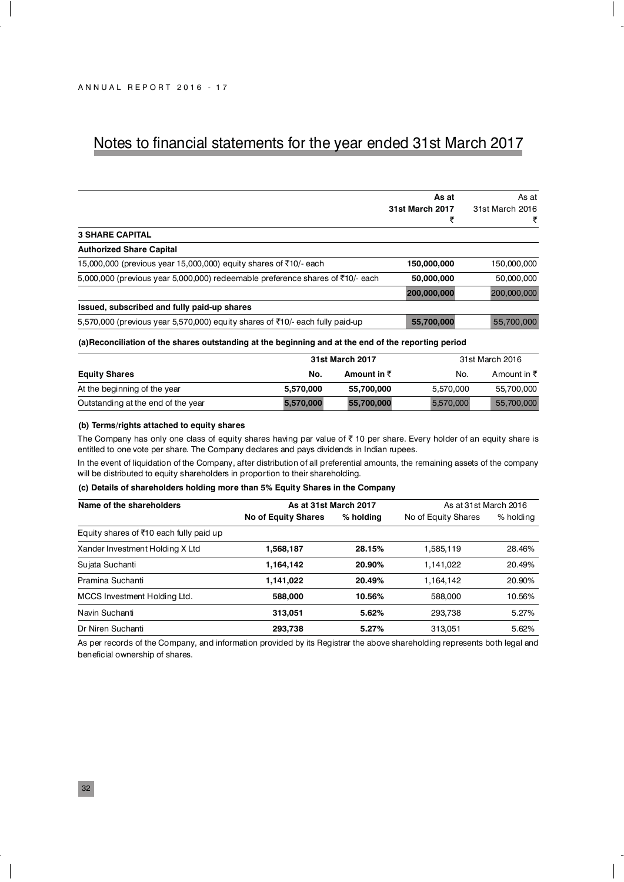$\overline{\phantom{a}}$ 

|                                                                                            | As at                  | As at           |
|--------------------------------------------------------------------------------------------|------------------------|-----------------|
|                                                                                            | <b>31st March 2017</b> | 31st March 2016 |
|                                                                                            |                        | ₹               |
| <b>3 SHARE CAPITAL</b>                                                                     |                        |                 |
| <b>Authorized Share Capital</b>                                                            |                        |                 |
| 15,000,000 (previous year 15,000,000) equity shares of ₹10/- each                          | 150,000,000            | 150,000,000     |
| 5,000,000 (previous year 5,000,000) redeemable preference shares of $\bar{\tau}$ 10/- each | 50,000,000             | 50,000,000      |
|                                                                                            | 200,000,000            | 200,000,000     |
| Issued, subscribed and fully paid-up shares                                                |                        |                 |
| 5,570,000 (previous year 5,570,000) equity shares of ₹10/- each fully paid-up              | 55,700,000             | 55,700,000      |

**(a)Reconciliation of the shares outstanding at the beginning and at the end of the reporting period**

|                                    |           | 31st March 2017     |           | 31st March 2016 |  |
|------------------------------------|-----------|---------------------|-----------|-----------------|--|
| <b>Equity Shares</b>               | No.       | Amount in $\bar{z}$ | No.       | Amount in ₹     |  |
| At the beginning of the year       | 5,570,000 | 55.700.000          | 5.570.000 | 55,700,000      |  |
| Outstanding at the end of the year | 5,570,000 | 55,700,000          | 5,570,000 | 55,700,000      |  |

#### **(b) Terms/rights attached to equity shares**

The Company has only one class of equity shares having par value of  $\bar{c}$  10 per share. Every holder of an equity share is entitled to one vote per share. The Company declares and pays dividends in Indian rupees.

In the event of liquidation of the Company, after distribution of all preferential amounts, the remaining assets of the company will be distributed to equity shareholders in proportion to their shareholding.

#### **(c) Details of shareholders holding more than 5% Equity Shares in the Company**

| Name of the shareholders                            | As at 31st March 2017      |           | As at 31st March 2016 |           |
|-----------------------------------------------------|----------------------------|-----------|-----------------------|-----------|
|                                                     | <b>No of Equity Shares</b> | % holding | No of Equity Shares   | % holding |
| Equity shares of $\bar{\tau}$ 10 each fully paid up |                            |           |                       |           |
| Xander Investment Holding X Ltd                     | 1,568,187                  | 28.15%    | 1.585.119             | 28.46%    |
| Sujata Suchanti                                     | 1,164,142                  | 20.90%    | 1.141.022             | 20.49%    |
| Pramina Suchanti                                    | 1,141,022                  | 20.49%    | 1.164.142             | 20.90%    |
| <b>MCCS Investment Holding Ltd.</b>                 | 588,000                    | 10.56%    | 588,000               | 10.56%    |
| Navin Suchanti                                      | 313,051                    | 5.62%     | 293.738               | 5.27%     |
| Dr Niren Suchanti                                   | 293,738                    | 5.27%     | 313.051               | 5.62%     |

As per records of the Company, and information provided by its Registrar the above shareholding represents both legal and beneficial ownership of shares.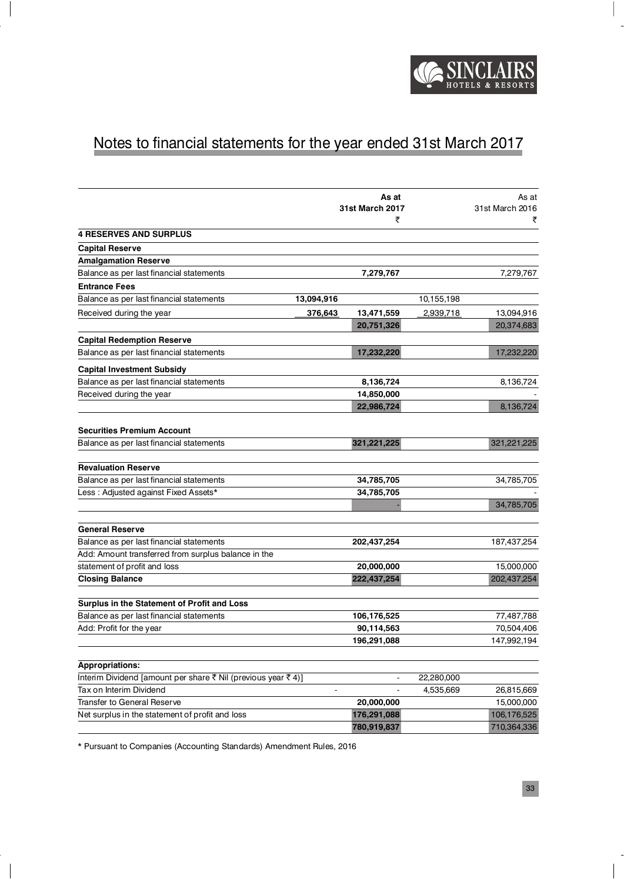

 $\overline{\phantom{a}}$ 

33

 $\begin{array}{c} \hline \end{array}$ 

# Notes to financial statements for the year ended 31st March 2017

 $\overline{\phantom{a}}$ 

 $\begin{array}{c} \begin{array}{c} \hline \end{array} \end{array}$ 

|                                                               |                          | As at                       |            | As at                     |
|---------------------------------------------------------------|--------------------------|-----------------------------|------------|---------------------------|
|                                                               |                          | <b>31st March 2017</b><br>₹ |            | 31st March 2016<br>₹      |
| <b>4 RESERVES AND SURPLUS</b>                                 |                          |                             |            |                           |
| <b>Capital Reserve</b>                                        |                          |                             |            |                           |
| <b>Amalgamation Reserve</b>                                   |                          |                             |            |                           |
| Balance as per last financial statements                      |                          | 7,279,767                   |            | 7,279,767                 |
| <b>Entrance Fees</b>                                          |                          |                             |            |                           |
| Balance as per last financial statements                      | 13,094,916               |                             | 10,155,198 |                           |
| Received during the year                                      | 376,643                  | 13,471,559                  | 2,939,718  | 13,094,916                |
|                                                               |                          | 20,751,326                  |            | 20,374,683                |
| <b>Capital Redemption Reserve</b>                             |                          |                             |            |                           |
| Balance as per last financial statements                      |                          | 17,232,220                  |            | 17,232,220                |
| <b>Capital Investment Subsidy</b>                             |                          |                             |            |                           |
| Balance as per last financial statements                      |                          | 8,136,724                   |            | 8,136,724                 |
| Received during the year                                      |                          | 14,850,000                  |            |                           |
|                                                               |                          | 22,986,724                  |            | 8,136,724                 |
|                                                               |                          |                             |            |                           |
| <b>Securities Premium Account</b>                             |                          |                             |            |                           |
| Balance as per last financial statements                      |                          | 321,221,225                 |            | 321, 221, 225             |
| <b>Revaluation Reserve</b>                                    |                          |                             |            |                           |
| Balance as per last financial statements                      |                          | 34,785,705                  |            | 34,785,705                |
| Less: Adjusted against Fixed Assets*                          |                          | 34,785,705                  |            |                           |
|                                                               |                          |                             |            | 34,785,705                |
| <b>General Reserve</b>                                        |                          |                             |            |                           |
| Balance as per last financial statements                      |                          | 202,437,254                 |            | 187,437,254               |
| Add: Amount transferred from surplus balance in the           |                          |                             |            |                           |
| statement of profit and loss                                  |                          | 20,000,000                  |            | 15,000,000                |
| <b>Closing Balance</b>                                        |                          | 222,437,254                 |            | 202, 437, 254             |
|                                                               |                          |                             |            |                           |
| Surplus in the Statement of Profit and Loss                   |                          |                             |            |                           |
| Balance as per last financial statements                      |                          | 106,176,525                 |            | 77,487,788                |
| Add: Profit for the year                                      |                          | 90,114,563<br>196,291,088   |            | 70,504,406<br>147,992,194 |
|                                                               |                          |                             |            |                           |
| <b>Appropriations:</b>                                        |                          |                             |            |                           |
| Interim Dividend [amount per share ₹ Nil (previous year ₹ 4)] |                          | $\overline{\phantom{a}}$    | 22,280,000 |                           |
| Tax on Interim Dividend                                       | $\overline{\phantom{a}}$ |                             | 4,535,669  | 26,815,669                |
| Transfer to General Reserve                                   |                          | 20,000,000                  |            | 15,000,000                |
| Net surplus in the statement of profit and loss               |                          | 176,291,088                 |            | 106,176,525               |
|                                                               |                          | 780,919,837                 |            | 710,364,336               |

\* Pursuant to Companies (Accounting Standards) Amendment Rules, 2016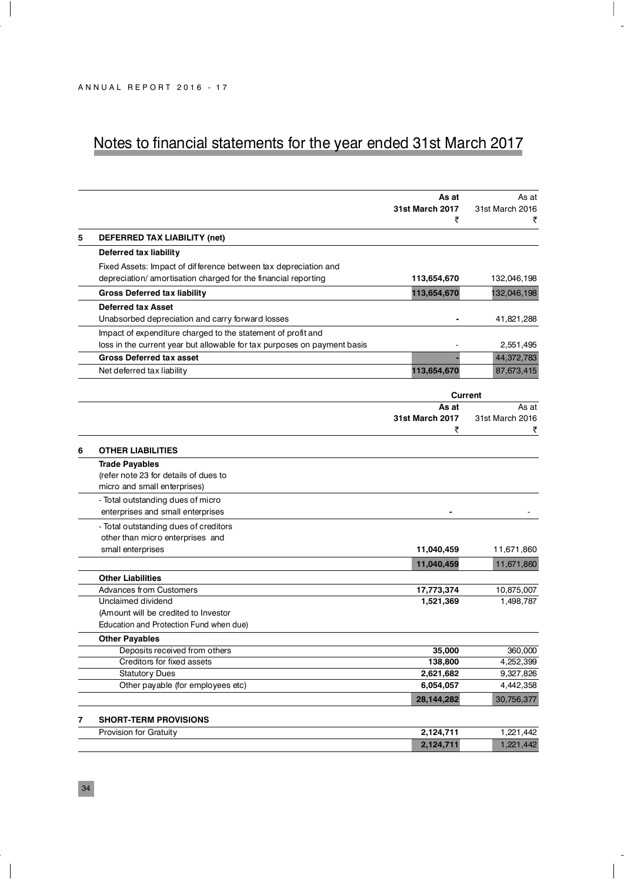$\overline{\phantom{a}}$ 

# Notes to financial statements for the year ended 31st March 2017

 $\mathcal{L}$ 

 $\begin{array}{c} \hline \end{array}$ 

|   |                                                                                                                                   | As at<br>31st March 2017<br>₹ | As at<br>31st March 2016 |
|---|-----------------------------------------------------------------------------------------------------------------------------------|-------------------------------|--------------------------|
| 5 | DEFERRED TAX LIABILITY (net)                                                                                                      |                               |                          |
|   | Deferred tax liability                                                                                                            |                               |                          |
|   | Fixed Assets: Impact of difference between tax depreciation and<br>depreciation/ amortisation charged for the financial reporting | 113,654,670                   | 132,046,198              |
|   | <b>Gross Deferred tax liability</b>                                                                                               | 113,654,670                   | 132,046,198              |
|   | <b>Deferred tax Asset</b><br>Unabsorbed depreciation and carry forward losses                                                     |                               | 41,821,288               |
|   | Impact of expenditure charged to the statement of profit and                                                                      |                               |                          |
|   | loss in the current year but allowable for tax purposes on payment basis                                                          |                               | 2,551,495                |
|   | <b>Gross Deferred tax asset</b>                                                                                                   |                               | 44,372,783               |
|   | Net deferred tax liability                                                                                                        | 113,654,670                   | 87,673,415               |
|   |                                                                                                                                   |                               | <b>Current</b>           |
|   |                                                                                                                                   | As at                         | As at                    |
|   |                                                                                                                                   | <b>31st March 2017</b>        | 31st March 2016          |
|   |                                                                                                                                   | ₹                             | ₹                        |
| 6 | <b>OTHER LIABILITIES</b>                                                                                                          |                               |                          |
|   | <b>Trade Payables</b>                                                                                                             |                               |                          |
|   | (refer note 23 for details of dues to                                                                                             |                               |                          |
|   | micro and small enterprises)                                                                                                      |                               |                          |
|   | - Total outstanding dues of micro                                                                                                 |                               |                          |
|   | enterprises and small enterprises                                                                                                 |                               |                          |
|   | - Total outstanding dues of creditors                                                                                             |                               |                          |
|   | other than micro enterprises and                                                                                                  |                               |                          |
|   | small enterprises                                                                                                                 | 11,040,459                    | 11,671,860               |
|   |                                                                                                                                   | 11,040,459                    | 11,671,860               |
|   | <b>Other Liabilities</b>                                                                                                          |                               |                          |
|   | <b>Advances from Customers</b>                                                                                                    | 17,773,374                    | 10,875,007               |
|   | Unclaimed dividend                                                                                                                | 1,521,369                     | 1,498,787                |
|   | (Amount will be credited to Investor                                                                                              |                               |                          |
|   | Education and Protection Fund when due)                                                                                           |                               |                          |
|   | <b>Other Payables</b>                                                                                                             |                               |                          |
|   | Deposits received from others                                                                                                     | 35,000                        | 360,000                  |
|   | Creditors for fixed assets<br><b>Statutory Dues</b>                                                                               | 138,800<br>2,621,682          | 4,252,399<br>9,327,826   |
|   | Other payable (for employees etc)                                                                                                 | 6,054,057                     | 4,442,358                |
|   |                                                                                                                                   | 28, 144, 282                  | 30,756,377               |
|   |                                                                                                                                   |                               |                          |
| 7 | <b>SHORT-TERM PROVISIONS</b><br>Provision for Gratuity                                                                            | 2,124,711                     | 1,221,442                |
|   |                                                                                                                                   | 2,124,711                     | 1,221,442                |

 $\frac{1}{\sqrt{2}}$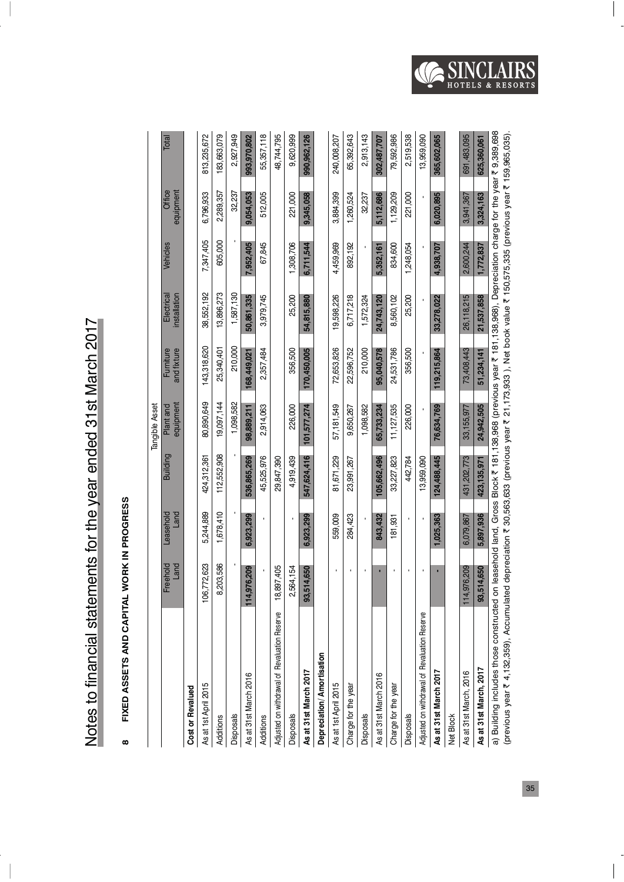Notes to financial statements for the year ended 31st March 2017 Notes to financial statements for the year ended 31st March 2017

 $\begin{array}{c} \begin{array}{c} \end{array} \end{array}$ 

 $\overline{\phantom{a}}$ 

# FIXED ASSETS AND CAPITAL WORK IN PROGRESS **8 FIXED ASSETS AND CAPITAL WORK IN PROGRESS**  $\circ$

|                                                                                                                                                               |                  |                   |                 | <b>Tangible Asset</b>  |                                                                                                                          |                            |           |                     |             |
|---------------------------------------------------------------------------------------------------------------------------------------------------------------|------------------|-------------------|-----------------|------------------------|--------------------------------------------------------------------------------------------------------------------------|----------------------------|-----------|---------------------|-------------|
|                                                                                                                                                               | Freehold<br>Land | Leasehold<br>Land | <b>Building</b> | equipment<br>Plant and | and fixture<br>Furniture                                                                                                 | installation<br>Electrical | Vehicles  | Office<br>equipment | Total       |
| <b>Cost or Revalued</b>                                                                                                                                       |                  |                   |                 |                        |                                                                                                                          |                            |           |                     |             |
| As at 1st April 2015                                                                                                                                          | 06,772,623       | 5,244,889         | 424,312,361     | 80,890,649             | 143,318,620                                                                                                              | 38,552,192                 | 7,347,405 | 6,796,933           | 813,235,672 |
| Additions                                                                                                                                                     | 8,203,586        | 1,678,410         | 112,552,908     | 19,097,144             | 25,340,401                                                                                                               | 13,896,273                 | 605,000   | 2,289,357           | 183,663,079 |
| <b>Disposals</b>                                                                                                                                              |                  |                   |                 | 1,098,582              | 210,000                                                                                                                  | 1,587,130                  |           | 32,237              | 2,927,949   |
| As at 31st March 2016                                                                                                                                         | 4,976,209<br>ᄃ   | 6,923,299         | 536,865,269     | 98,889,211             | 168,449,021                                                                                                              | 50,861,335                 | 7,952,405 | 9,054,053           | 993,970,802 |
| Additions                                                                                                                                                     |                  |                   | 45,525,976      | 2,914,063              | 2,357,484                                                                                                                | 3,979,745                  | 67,845    | 512,005             | 55,357,118  |
| Adjusted on withdrawal of Revaluation Reserve                                                                                                                 | 8,897,405        |                   | 29,847,390      |                        |                                                                                                                          |                            |           |                     | 48,744,795  |
| <b>Disposals</b>                                                                                                                                              | 2,564,154        |                   | 4,919,439       | 226,000                | 356,500                                                                                                                  | 25,200                     | 1,308,706 | 221,000             | 9,620,999   |
| As at 31st March 2017                                                                                                                                         | 93,514,650       | 6,923,299         | 547,624,416     | 101,577,274            | 170,450,005                                                                                                              | 54,815,880                 | 6,711,544 | 9,345,058           | 990,962,126 |
| Depreciation/ Amortisation                                                                                                                                    |                  |                   |                 |                        |                                                                                                                          |                            |           |                     |             |
| As at 1st April 2015                                                                                                                                          | ٠                | 559,009           | 81,671,229      | 57,181,549             | 72,653,826                                                                                                               | 19,598,226                 | 4,459,969 | 3,884,399           | 240,008,207 |
| Charge for the year                                                                                                                                           |                  | 284,423           | 23,991,267      | 9,650,267              | 22,596,752                                                                                                               | 6,717,218                  | 892,192   | 1,260,524           | 65,392,643  |
| <b>Disposals</b>                                                                                                                                              |                  |                   |                 | 1,098,582              | 210,000                                                                                                                  | 1,572,324                  |           | 32,237              | 2,913,143   |
| As at 31st March 2016                                                                                                                                         |                  | 843,432           | 105,662,496     | 65,733,234             | 95,040,578                                                                                                               | 24,743,120                 | 5,352,161 | 5,112,686           | 302,487,707 |
| Charge for the year                                                                                                                                           | $\blacksquare$   | 181,931           | 33,227,823      | 11,127,535             | 24,531,786                                                                                                               | 8,560,102                  | 834,600   | 1,129,209           | 79,592,986  |
| <b>Disposals</b>                                                                                                                                              |                  |                   | 442,784         | 226,000                | 356,500                                                                                                                  | 25,200                     | 1,248,054 | 221,000             | 2,519,538   |
| Adjusted on withdrawal of Revaluation Reserve                                                                                                                 | $\blacksquare$   |                   | 3,959,090       |                        |                                                                                                                          |                            |           | ï                   | 13,959,090  |
| As at 31st March 2017                                                                                                                                         |                  | 1,025,363         | 124,488,445     | 76,634,769             | 119,215,864                                                                                                              | 33,278,022                 | 4,938,707 | 6,020,895           | 365,602,065 |
| Net Block                                                                                                                                                     |                  |                   |                 |                        |                                                                                                                          |                            |           |                     |             |
| As at 31st March, 2016                                                                                                                                        | 114,976,209      | 6,079,867         | 431,202,773     | 33, 155, 977           | 73,408,443                                                                                                               | 26,118,215                 | 2,600,244 | 3,941,367           | 691,483,095 |
| As at 31st March, 2017                                                                                                                                        | 93,514,650       | 5,897,936         | 423, 135, 971   | 24,942,505             | 51,234,141                                                                                                               | 21,537,858                 | 1,772,837 | 3,324,163           | 625,360,061 |
| a) Building includes those constructed                                                                                                                        |                  |                   |                 |                        | on leasehold land, Gross Block ₹ 181,138,968 (previous year ₹ 181,138,968), Depreciation charge for the year ₹ 9,389,698 |                            |           |                     |             |
| (previous year ₹ 4,132,359), Accumulated depreciation ₹ 30,5633,633 (previous year ₹ 21,173,933 ), Net book value ₹ 150,575,335 (previous year ₹ 159,965,035) |                  |                   |                 |                        |                                                                                                                          |                            |           |                     |             |



 $\begin{array}{c} \hline \end{array}$  $\overline{a}$ 

35

j

 $\begin{array}{c} \hline \end{array}$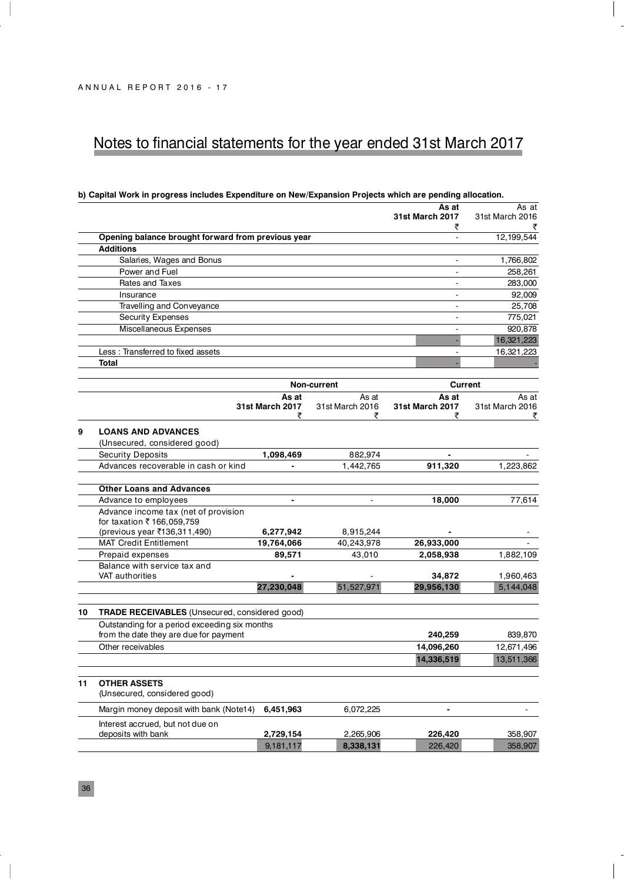$\overline{\phantom{a}}$ 

## Notes to financial statements for the year ended 31st March 2017

 $\overline{\phantom{a}}$ 

|    |                                                                                                        |                               |                               | As at<br><b>31st March 2017</b><br>₹ | As at<br>31st March 2016      |
|----|--------------------------------------------------------------------------------------------------------|-------------------------------|-------------------------------|--------------------------------------|-------------------------------|
|    | Opening balance brought forward from previous year                                                     |                               |                               |                                      | 12,199,544                    |
|    | <b>Additions</b>                                                                                       |                               |                               |                                      |                               |
|    | Salaries, Wages and Bonus                                                                              |                               |                               |                                      | 1,766,802                     |
|    | Power and Fuel                                                                                         |                               |                               | $\overline{\phantom{a}}$             | 258,261                       |
|    | Rates and Taxes                                                                                        |                               |                               | $\blacksquare$                       | 283,000                       |
|    | Insurance                                                                                              |                               |                               |                                      | 92,009                        |
|    | Travelling and Conveyance                                                                              |                               |                               |                                      | 25,708                        |
|    | <b>Security Expenses</b>                                                                               |                               |                               |                                      | 775,021                       |
|    | Miscellaneous Expenses                                                                                 |                               |                               |                                      | 920,878                       |
|    |                                                                                                        |                               |                               |                                      | 16,321,223                    |
|    | Less: Transferred to fixed assets                                                                      |                               |                               |                                      | 16,321,223                    |
|    | Total                                                                                                  |                               |                               |                                      |                               |
|    |                                                                                                        |                               |                               |                                      |                               |
|    |                                                                                                        |                               | <b>Non-current</b>            | <b>Current</b>                       |                               |
|    |                                                                                                        | As at<br>31st March 2017<br>₹ | As at<br>31st March 2016<br>₹ | As at<br>31st March 2017<br>₹        | As at<br>31st March 2016<br>₹ |
| 9  | <b>LOANS AND ADVANCES</b>                                                                              |                               |                               |                                      |                               |
|    | (Unsecured, considered good)                                                                           |                               |                               |                                      |                               |
|    | <b>Security Deposits</b>                                                                               | 1,098,469                     | 882,974                       |                                      |                               |
|    | Advances recoverable in cash or kind                                                                   | ٠                             | 1,442,765                     | 911.320                              | 1.223.862                     |
|    | <b>Other Loans and Advances</b>                                                                        |                               |                               |                                      |                               |
|    | Advance to employees                                                                                   |                               |                               | 18.000                               | 77,614                        |
|    | Advance income tax (net of provision<br>for taxation ₹ 166,059,759                                     |                               |                               |                                      |                               |
|    | (previous year ₹136,311,490)                                                                           | 6,277,942                     | 8,915,244                     |                                      |                               |
|    | <b>MAT Credit Entitlement</b>                                                                          | 19,764,066                    | 40,243,978                    | 26,933,000                           |                               |
|    | Prepaid expenses<br>Balance with service tax and                                                       | 89,571                        | 43,010                        | 2,058,938                            | 1,882,109                     |
|    | <b>VAT authorities</b>                                                                                 |                               |                               | 34,872                               | 1,960,463                     |
|    |                                                                                                        | 27,230,048                    | 51,527,971                    | 29,956,130                           | 5,144,048                     |
|    |                                                                                                        |                               |                               |                                      |                               |
| 10 | <b>TRADE RECEIVABLES</b> (Unsecured, considered good)<br>Outstanding for a period exceeding six months |                               |                               |                                      |                               |
|    | from the date they are due for payment                                                                 |                               |                               | 240,259                              | 839,870                       |
|    | Other receivables                                                                                      |                               |                               | 14,096,260                           | 12,671,496                    |
|    |                                                                                                        |                               |                               | 14,336,519                           | 13,511,366                    |
| 11 | <b>OTHER ASSETS</b><br>(Unsecured, considered good)                                                    |                               |                               |                                      |                               |
|    | Margin money deposit with bank (Note14)                                                                | 6,451,963                     | 6,072,225                     |                                      |                               |
|    | Interest accrued, but not due on                                                                       |                               |                               |                                      |                               |
|    | deposits with bank                                                                                     | 2,729,154                     | 2,265,906                     | 226,420                              | 358,907                       |
|    |                                                                                                        | 9,181,117                     | 8,338,131                     | 226,420                              | 358,907                       |
|    |                                                                                                        |                               |                               |                                      |                               |

#### **b) Capital Work in progress includes Expenditure on New/Expansion Projects which are pending allocation.**

 $\overline{\phantom{a}}$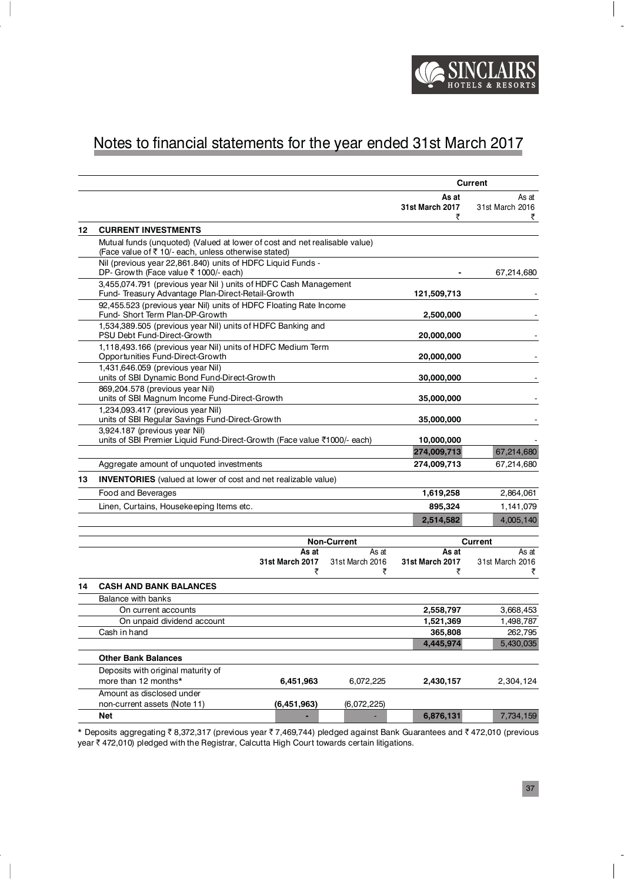$\overline{\phantom{a}}$ 

## Notes to financial statements for the year ended 31st March 2017

 $\overline{\phantom{a}}$ 

 $\overline{\phantom{a}}$ 

| As at<br>As at<br><b>31st March 2017</b><br>31st March 2016<br>₹<br>₹<br><b>CURRENT INVESTMENTS</b><br>12<br>Mutual funds (unquoted) (Valued at lower of cost and net realisable value)<br>(Face value of ₹ 10/- each, unless otherwise stated)<br>Nil (previous year 22,861.840) units of HDFC Liquid Funds -<br>DP- Growth (Face value ₹ 1000/- each)<br>3,455,074.791 (previous year Nil) units of HDFC Cash Management<br>Fund- Treasury Advantage Plan-Direct-Retail-Growth<br>121,509,713<br>92,455.523 (previous year Nil) units of HDFC Floating Rate Income<br>Fund- Short Term Plan-DP-Growth<br>2,500,000<br>1,534,389.505 (previous year Nil) units of HDFC Banking and<br>PSU Debt Fund-Direct-Growth<br>20,000,000<br>1,118,493.166 (previous year Nil) units of HDFC Medium Term<br>Opportunities Fund-Direct-Growth<br>20,000,000<br>1,431,646.059 (previous year Nil)<br>units of SBI Dynamic Bond Fund-Direct-Growth<br>30,000,000<br>869,204.578 (previous year Nil)<br>units of SBI Magnum Income Fund-Direct-Growth<br>35,000,000<br>1,234,093.417 (previous year Nil)<br>units of SBI Regular Savings Fund-Direct-Growth<br>35,000,000<br>3,924.187 (previous year Nil)<br>units of SBI Premier Liquid Fund-Direct-Growth (Face value ₹1000/- each)<br>10,000,000<br>274,009,713<br>Aggregate amount of unquoted investments<br>274.009.713<br><b>INVENTORIES</b> (valued at lower of cost and net realizable value)<br>Food and Beverages<br>1,619,258<br>2,864,061<br>Linen, Curtains, Housekeeping Items etc.<br>895,324<br>2,514,582<br><b>Non-Current</b><br><b>Current</b><br>As at<br>As at<br>As at<br>As at<br>31st March 2016<br>31st March 2017<br>31st March 2016<br><b>31st March 2017</b><br>₹<br>₹<br>₹<br>₹<br><b>CASH AND BANK BALANCES</b><br>14<br><b>Balance with banks</b><br>On current accounts<br>2,558,797<br>On unpaid dividend account<br>1,521,369<br>Cash in hand<br>365,808<br>262,795<br>4.445.974<br>5,430,035<br><b>Other Bank Balances</b><br>Deposits with original maturity of<br>more than 12 months*<br>6,451,963<br>2,430,157<br>6,072,225<br>Amount as disclosed under<br>non-current assets (Note 11)<br>(6, 451, 963)<br>(6,072,225)<br>6,876,131<br>Net |    |  |  | <b>Current</b> |
|--------------------------------------------------------------------------------------------------------------------------------------------------------------------------------------------------------------------------------------------------------------------------------------------------------------------------------------------------------------------------------------------------------------------------------------------------------------------------------------------------------------------------------------------------------------------------------------------------------------------------------------------------------------------------------------------------------------------------------------------------------------------------------------------------------------------------------------------------------------------------------------------------------------------------------------------------------------------------------------------------------------------------------------------------------------------------------------------------------------------------------------------------------------------------------------------------------------------------------------------------------------------------------------------------------------------------------------------------------------------------------------------------------------------------------------------------------------------------------------------------------------------------------------------------------------------------------------------------------------------------------------------------------------------------------------------------------------------------------------------------------------------------------------------------------------------------------------------------------------------------------------------------------------------------------------------------------------------------------------------------------------------------------------------------------------------------------------------------------------------------------------------------------------------------------------------------------------------------|----|--|--|----------------|
|                                                                                                                                                                                                                                                                                                                                                                                                                                                                                                                                                                                                                                                                                                                                                                                                                                                                                                                                                                                                                                                                                                                                                                                                                                                                                                                                                                                                                                                                                                                                                                                                                                                                                                                                                                                                                                                                                                                                                                                                                                                                                                                                                                                                                          |    |  |  |                |
|                                                                                                                                                                                                                                                                                                                                                                                                                                                                                                                                                                                                                                                                                                                                                                                                                                                                                                                                                                                                                                                                                                                                                                                                                                                                                                                                                                                                                                                                                                                                                                                                                                                                                                                                                                                                                                                                                                                                                                                                                                                                                                                                                                                                                          |    |  |  |                |
|                                                                                                                                                                                                                                                                                                                                                                                                                                                                                                                                                                                                                                                                                                                                                                                                                                                                                                                                                                                                                                                                                                                                                                                                                                                                                                                                                                                                                                                                                                                                                                                                                                                                                                                                                                                                                                                                                                                                                                                                                                                                                                                                                                                                                          |    |  |  |                |
|                                                                                                                                                                                                                                                                                                                                                                                                                                                                                                                                                                                                                                                                                                                                                                                                                                                                                                                                                                                                                                                                                                                                                                                                                                                                                                                                                                                                                                                                                                                                                                                                                                                                                                                                                                                                                                                                                                                                                                                                                                                                                                                                                                                                                          |    |  |  | 67,214,680     |
|                                                                                                                                                                                                                                                                                                                                                                                                                                                                                                                                                                                                                                                                                                                                                                                                                                                                                                                                                                                                                                                                                                                                                                                                                                                                                                                                                                                                                                                                                                                                                                                                                                                                                                                                                                                                                                                                                                                                                                                                                                                                                                                                                                                                                          |    |  |  |                |
|                                                                                                                                                                                                                                                                                                                                                                                                                                                                                                                                                                                                                                                                                                                                                                                                                                                                                                                                                                                                                                                                                                                                                                                                                                                                                                                                                                                                                                                                                                                                                                                                                                                                                                                                                                                                                                                                                                                                                                                                                                                                                                                                                                                                                          |    |  |  |                |
|                                                                                                                                                                                                                                                                                                                                                                                                                                                                                                                                                                                                                                                                                                                                                                                                                                                                                                                                                                                                                                                                                                                                                                                                                                                                                                                                                                                                                                                                                                                                                                                                                                                                                                                                                                                                                                                                                                                                                                                                                                                                                                                                                                                                                          |    |  |  |                |
|                                                                                                                                                                                                                                                                                                                                                                                                                                                                                                                                                                                                                                                                                                                                                                                                                                                                                                                                                                                                                                                                                                                                                                                                                                                                                                                                                                                                                                                                                                                                                                                                                                                                                                                                                                                                                                                                                                                                                                                                                                                                                                                                                                                                                          |    |  |  |                |
|                                                                                                                                                                                                                                                                                                                                                                                                                                                                                                                                                                                                                                                                                                                                                                                                                                                                                                                                                                                                                                                                                                                                                                                                                                                                                                                                                                                                                                                                                                                                                                                                                                                                                                                                                                                                                                                                                                                                                                                                                                                                                                                                                                                                                          |    |  |  |                |
|                                                                                                                                                                                                                                                                                                                                                                                                                                                                                                                                                                                                                                                                                                                                                                                                                                                                                                                                                                                                                                                                                                                                                                                                                                                                                                                                                                                                                                                                                                                                                                                                                                                                                                                                                                                                                                                                                                                                                                                                                                                                                                                                                                                                                          |    |  |  |                |
|                                                                                                                                                                                                                                                                                                                                                                                                                                                                                                                                                                                                                                                                                                                                                                                                                                                                                                                                                                                                                                                                                                                                                                                                                                                                                                                                                                                                                                                                                                                                                                                                                                                                                                                                                                                                                                                                                                                                                                                                                                                                                                                                                                                                                          |    |  |  |                |
|                                                                                                                                                                                                                                                                                                                                                                                                                                                                                                                                                                                                                                                                                                                                                                                                                                                                                                                                                                                                                                                                                                                                                                                                                                                                                                                                                                                                                                                                                                                                                                                                                                                                                                                                                                                                                                                                                                                                                                                                                                                                                                                                                                                                                          |    |  |  |                |
|                                                                                                                                                                                                                                                                                                                                                                                                                                                                                                                                                                                                                                                                                                                                                                                                                                                                                                                                                                                                                                                                                                                                                                                                                                                                                                                                                                                                                                                                                                                                                                                                                                                                                                                                                                                                                                                                                                                                                                                                                                                                                                                                                                                                                          |    |  |  | 67,214,680     |
|                                                                                                                                                                                                                                                                                                                                                                                                                                                                                                                                                                                                                                                                                                                                                                                                                                                                                                                                                                                                                                                                                                                                                                                                                                                                                                                                                                                                                                                                                                                                                                                                                                                                                                                                                                                                                                                                                                                                                                                                                                                                                                                                                                                                                          |    |  |  | 67,214,680     |
|                                                                                                                                                                                                                                                                                                                                                                                                                                                                                                                                                                                                                                                                                                                                                                                                                                                                                                                                                                                                                                                                                                                                                                                                                                                                                                                                                                                                                                                                                                                                                                                                                                                                                                                                                                                                                                                                                                                                                                                                                                                                                                                                                                                                                          | 13 |  |  |                |
|                                                                                                                                                                                                                                                                                                                                                                                                                                                                                                                                                                                                                                                                                                                                                                                                                                                                                                                                                                                                                                                                                                                                                                                                                                                                                                                                                                                                                                                                                                                                                                                                                                                                                                                                                                                                                                                                                                                                                                                                                                                                                                                                                                                                                          |    |  |  |                |
|                                                                                                                                                                                                                                                                                                                                                                                                                                                                                                                                                                                                                                                                                                                                                                                                                                                                                                                                                                                                                                                                                                                                                                                                                                                                                                                                                                                                                                                                                                                                                                                                                                                                                                                                                                                                                                                                                                                                                                                                                                                                                                                                                                                                                          |    |  |  | 1,141,079      |
|                                                                                                                                                                                                                                                                                                                                                                                                                                                                                                                                                                                                                                                                                                                                                                                                                                                                                                                                                                                                                                                                                                                                                                                                                                                                                                                                                                                                                                                                                                                                                                                                                                                                                                                                                                                                                                                                                                                                                                                                                                                                                                                                                                                                                          |    |  |  | 4,005,140      |
|                                                                                                                                                                                                                                                                                                                                                                                                                                                                                                                                                                                                                                                                                                                                                                                                                                                                                                                                                                                                                                                                                                                                                                                                                                                                                                                                                                                                                                                                                                                                                                                                                                                                                                                                                                                                                                                                                                                                                                                                                                                                                                                                                                                                                          |    |  |  |                |
|                                                                                                                                                                                                                                                                                                                                                                                                                                                                                                                                                                                                                                                                                                                                                                                                                                                                                                                                                                                                                                                                                                                                                                                                                                                                                                                                                                                                                                                                                                                                                                                                                                                                                                                                                                                                                                                                                                                                                                                                                                                                                                                                                                                                                          |    |  |  |                |
|                                                                                                                                                                                                                                                                                                                                                                                                                                                                                                                                                                                                                                                                                                                                                                                                                                                                                                                                                                                                                                                                                                                                                                                                                                                                                                                                                                                                                                                                                                                                                                                                                                                                                                                                                                                                                                                                                                                                                                                                                                                                                                                                                                                                                          |    |  |  |                |
|                                                                                                                                                                                                                                                                                                                                                                                                                                                                                                                                                                                                                                                                                                                                                                                                                                                                                                                                                                                                                                                                                                                                                                                                                                                                                                                                                                                                                                                                                                                                                                                                                                                                                                                                                                                                                                                                                                                                                                                                                                                                                                                                                                                                                          |    |  |  |                |
|                                                                                                                                                                                                                                                                                                                                                                                                                                                                                                                                                                                                                                                                                                                                                                                                                                                                                                                                                                                                                                                                                                                                                                                                                                                                                                                                                                                                                                                                                                                                                                                                                                                                                                                                                                                                                                                                                                                                                                                                                                                                                                                                                                                                                          |    |  |  |                |
|                                                                                                                                                                                                                                                                                                                                                                                                                                                                                                                                                                                                                                                                                                                                                                                                                                                                                                                                                                                                                                                                                                                                                                                                                                                                                                                                                                                                                                                                                                                                                                                                                                                                                                                                                                                                                                                                                                                                                                                                                                                                                                                                                                                                                          |    |  |  | 3,668,453      |
|                                                                                                                                                                                                                                                                                                                                                                                                                                                                                                                                                                                                                                                                                                                                                                                                                                                                                                                                                                                                                                                                                                                                                                                                                                                                                                                                                                                                                                                                                                                                                                                                                                                                                                                                                                                                                                                                                                                                                                                                                                                                                                                                                                                                                          |    |  |  | 1,498,787      |
|                                                                                                                                                                                                                                                                                                                                                                                                                                                                                                                                                                                                                                                                                                                                                                                                                                                                                                                                                                                                                                                                                                                                                                                                                                                                                                                                                                                                                                                                                                                                                                                                                                                                                                                                                                                                                                                                                                                                                                                                                                                                                                                                                                                                                          |    |  |  |                |
|                                                                                                                                                                                                                                                                                                                                                                                                                                                                                                                                                                                                                                                                                                                                                                                                                                                                                                                                                                                                                                                                                                                                                                                                                                                                                                                                                                                                                                                                                                                                                                                                                                                                                                                                                                                                                                                                                                                                                                                                                                                                                                                                                                                                                          |    |  |  |                |
|                                                                                                                                                                                                                                                                                                                                                                                                                                                                                                                                                                                                                                                                                                                                                                                                                                                                                                                                                                                                                                                                                                                                                                                                                                                                                                                                                                                                                                                                                                                                                                                                                                                                                                                                                                                                                                                                                                                                                                                                                                                                                                                                                                                                                          |    |  |  | 2,304,124      |
|                                                                                                                                                                                                                                                                                                                                                                                                                                                                                                                                                                                                                                                                                                                                                                                                                                                                                                                                                                                                                                                                                                                                                                                                                                                                                                                                                                                                                                                                                                                                                                                                                                                                                                                                                                                                                                                                                                                                                                                                                                                                                                                                                                                                                          |    |  |  |                |
|                                                                                                                                                                                                                                                                                                                                                                                                                                                                                                                                                                                                                                                                                                                                                                                                                                                                                                                                                                                                                                                                                                                                                                                                                                                                                                                                                                                                                                                                                                                                                                                                                                                                                                                                                                                                                                                                                                                                                                                                                                                                                                                                                                                                                          |    |  |  | 7,734,159      |

\* Deposits aggregating ` 8,372,317 (previous year ` 7,469,744) pledged against Bank Guarantees and ` 472,010 (previous year ₹ 472,010) pledged with the Registrar, Calcutta High Court towards certain litigations.<br>.

 $\begin{array}{c} \hline \end{array}$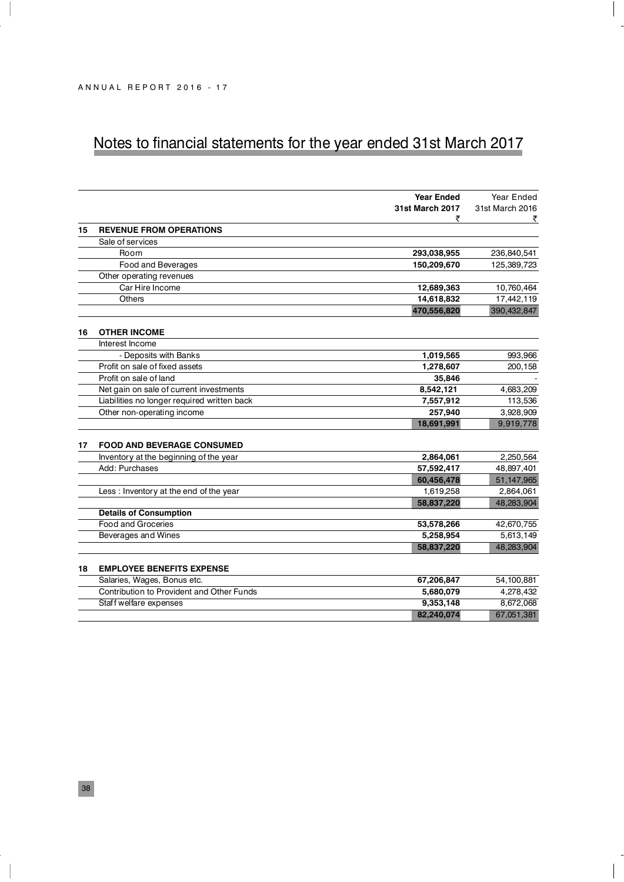$\begin{array}{c} \hline \end{array}$ 

# Notes to financial statements for the year ended 31st March 2017

 $\mathbb{R}^n$ 

|    |                                             | <b>Year Ended</b><br><b>31st March 2017</b><br>₹ | Year Ended<br>31st March 2016 |
|----|---------------------------------------------|--------------------------------------------------|-------------------------------|
| 15 | <b>REVENUE FROM OPERATIONS</b>              |                                                  |                               |
|    | Sale of services                            |                                                  |                               |
|    | Room                                        | 293,038,955                                      | 236,840,541                   |
|    | Food and Beverages                          | 150,209,670                                      | 125,389,723                   |
|    | Other operating revenues                    |                                                  |                               |
|    | Car Hire Income                             | 12,689,363                                       | 10,760,464                    |
|    | Others                                      | 14,618,832                                       | 17,442,119                    |
|    |                                             | 470,556,820                                      | 390,432,847                   |
| 16 | <b>OTHER INCOME</b>                         |                                                  |                               |
|    | Interest Income                             |                                                  |                               |
|    | - Deposits with Banks                       | 1,019,565                                        | 993,966                       |
|    | Profit on sale of fixed assets              | 1,278,607                                        | 200,158                       |
|    | Profit on sale of land                      | 35,846                                           |                               |
|    | Net gain on sale of current investments     | 8,542,121                                        | 4,683,209                     |
|    | Liabilities no longer required written back | 7,557,912                                        | 113,536                       |
|    | Other non-operating income                  | 257,940                                          | 3,928,909                     |
|    |                                             | 18,691,991                                       | 9,919,778                     |
| 17 | <b>FOOD AND BEVERAGE CONSUMED</b>           |                                                  |                               |
|    | Inventory at the beginning of the year      | 2,864,061                                        | 2,250,564                     |
|    | Add: Purchases                              | 57,592,417                                       | 48,897,401                    |
|    |                                             | 60,456,478                                       | 51,147,965                    |
|    | Less : Inventory at the end of the year     | 1,619,258                                        | 2,864,061                     |
|    |                                             | 58,837,220                                       | 48,283,904                    |
|    | <b>Details of Consumption</b>               |                                                  |                               |
|    | <b>Food and Groceries</b>                   | 53,578,266                                       | 42,670,755                    |
|    | <b>Beverages and Wines</b>                  | 5,258,954                                        | 5,613,149                     |
|    |                                             | 58,837,220                                       | 48,283,904                    |
| 18 | <b>EMPLOYEE BENEFITS EXPENSE</b>            |                                                  |                               |
|    | Salaries, Wages, Bonus etc.                 | 67,206,847                                       | 54,100,881                    |
|    | Contribution to Provident and Other Funds   | 5,680,079                                        | 4,278,432                     |
|    | Staff welfare expenses                      | 9,353,148                                        | 8,672,068                     |
|    |                                             | 82,240,074                                       | 67,051,381                    |

38

 $\begin{array}{c} \begin{array}{c} \begin{array}{c} \end{array} \\ \begin{array}{c} \end{array} \end{array} \end{array}$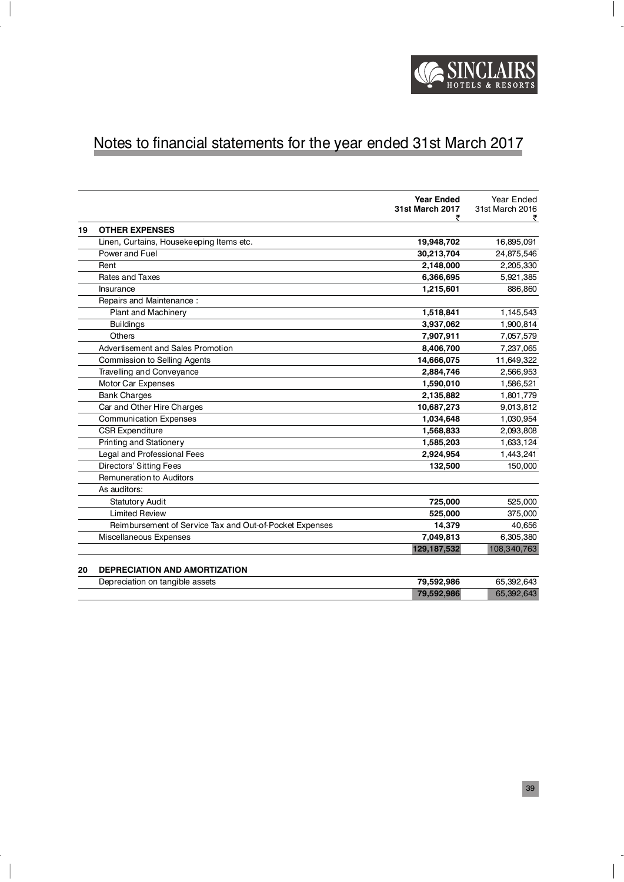

 $\mathcal{L}_{\mathcal{A}}$ 

# Notes to financial statements for the year ended 31st March 2017

 $\overline{\phantom{a}}$ 

 $\frac{1}{\sqrt{2}}$ 

|    |                                                         | <b>Year Ended</b><br>31st March 2017 | Year Ended<br>31st March 2016 |
|----|---------------------------------------------------------|--------------------------------------|-------------------------------|
| 19 | <b>OTHER EXPENSES</b>                                   |                                      |                               |
|    | Linen, Curtains, Housekeeping Items etc.                | 19,948,702                           | 16,895,091                    |
|    | Power and Fuel                                          | 30,213,704                           | 24,875,546                    |
|    | Rent                                                    | 2,148,000                            | 2,205,330                     |
|    | Rates and Taxes                                         | 6,366,695                            | 5,921,385                     |
|    | Insurance                                               | 1,215,601                            | 886,860                       |
|    | Repairs and Maintenance:                                |                                      |                               |
|    | Plant and Machinery                                     | 1,518,841                            | 1,145,543                     |
|    | <b>Buildings</b>                                        | 3,937,062                            | 1,900,814                     |
|    | Others                                                  | 7,907,911                            | 7,057,579                     |
|    | Advertisement and Sales Promotion                       | 8,406,700                            | 7,237,065                     |
|    | <b>Commission to Selling Agents</b>                     | 14,666,075                           | 11,649,322                    |
|    | <b>Travelling and Conveyance</b>                        | 2,884,746                            | 2,566,953                     |
|    | Motor Car Expenses                                      | 1,590,010                            | 1,586,521                     |
|    | <b>Bank Charges</b>                                     | 2,135,882                            | 1,801,779                     |
|    | Car and Other Hire Charges                              | 10,687,273                           | 9,013,812                     |
|    | <b>Communication Expenses</b>                           | 1,034,648                            | 1,030,954                     |
|    | <b>CSR</b> Expenditure                                  | 1,568,833                            | 2,093,808                     |
|    | Printing and Stationery                                 | 1,585,203                            | 1,633,124                     |
|    | <b>Legal and Professional Fees</b>                      | 2,924,954                            | 1,443,241                     |
|    | Directors' Sitting Fees                                 | 132,500                              | 150,000                       |
|    | <b>Remuneration to Auditors</b>                         |                                      |                               |
|    | As auditors:                                            |                                      |                               |
|    | <b>Statutory Audit</b>                                  | 725,000                              | 525,000                       |
|    | <b>Limited Review</b>                                   | 525,000                              | 375,000                       |
|    | Reimbursement of Service Tax and Out-of-Pocket Expenses | 14,379                               | 40,656                        |
|    | Miscellaneous Expenses                                  | 7,049,813                            | 6,305,380                     |
|    |                                                         | 129,187,532                          | 108,340,763                   |
| 20 | <b>DEPRECIATION AND AMORTIZATION</b>                    |                                      |                               |
|    | Depreciation on tangible assets                         | 79,592,986                           | 65,392,643                    |
|    |                                                         | 79,592,986                           | 65,392,643                    |

39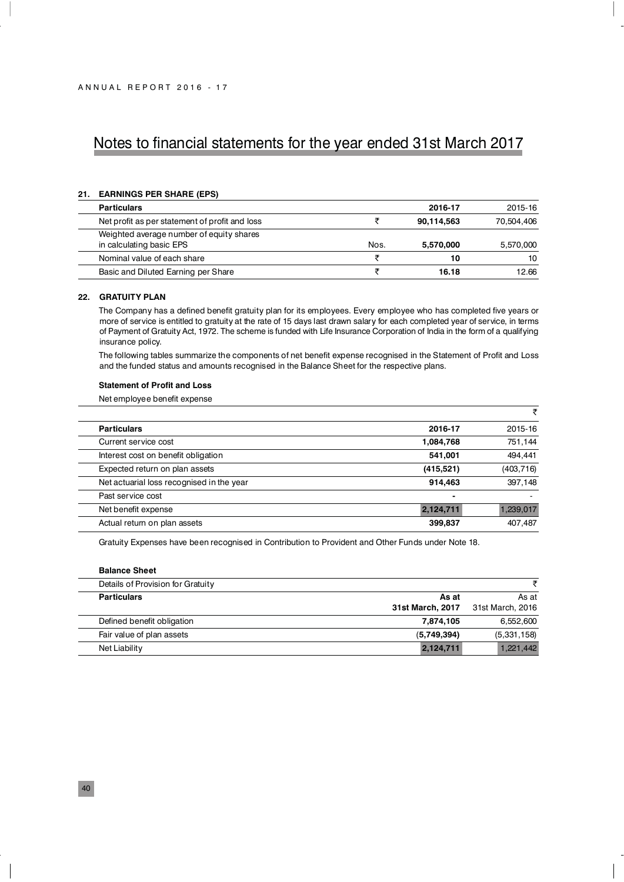#### **21. EARNINGS PER SHARE (EPS)**

| <b>Particulars</b>                                                   |      | 2016-17    | 2015-16    |
|----------------------------------------------------------------------|------|------------|------------|
| Net profit as per statement of profit and loss                       |      | 90,114,563 | 70.504.406 |
| Weighted average number of equity shares<br>in calculating basic EPS | Nos. | 5.570.000  | 5.570.000  |
| Nominal value of each share                                          |      | 10         | 10         |
| Basic and Diluted Earning per Share                                  |      | 16.18      | 12.66      |
|                                                                      |      |            |            |

#### **22. GRATUITY PLAN**

The Company has a defined benefit gratuity plan for its employees. Every employee who has completed five years or more of service is entitled to gratuity at the rate of 15 days last drawn salary for each completed year of service, in terms of Payment of Gratuity Act, 1972. The scheme is funded with Life Insurance Corporation of India in the form of a qualifying insurance policy.

The following tables summarize the components of net benefit expense recognised in the Statement of Profit and Loss and the funded status and amounts recognised in the Balance Sheet for the respective plans.

#### **Statement of Profit and Loss**

#### Net employee benefit expense

|                                           |                | ₹          |
|-------------------------------------------|----------------|------------|
| <b>Particulars</b>                        | 2016-17        | 2015-16    |
| Current service cost                      | 1,084,768      | 751,144    |
| Interest cost on benefit obligation       | 541,001        | 494,441    |
| Expected return on plan assets            | (415, 521)     | (403, 716) |
| Net actuarial loss recognised in the year | 914,463        | 397,148    |
| Past service cost                         | $\blacksquare$ |            |
| Net benefit expense                       | 2,124,711      | 1,239,017  |
| Actual return on plan assets              | 399.837        | 407.487    |

Gratuity Expenses have been recognised in Contribution to Provident and Other Funds under Note 18.

#### **Balance Sheet**

| Details of Provision for Gratuity |                           |                           |
|-----------------------------------|---------------------------|---------------------------|
| <b>Particulars</b>                | As at<br>31st March, 2017 | As at<br>31st March, 2016 |
| Defined benefit obligation        | 7,874,105                 | 6,552,600                 |
| Fair value of plan assets         | (5,749,394)               | (5,331,158)               |
| Net Liability                     | 2,124,711                 | 1,221,442                 |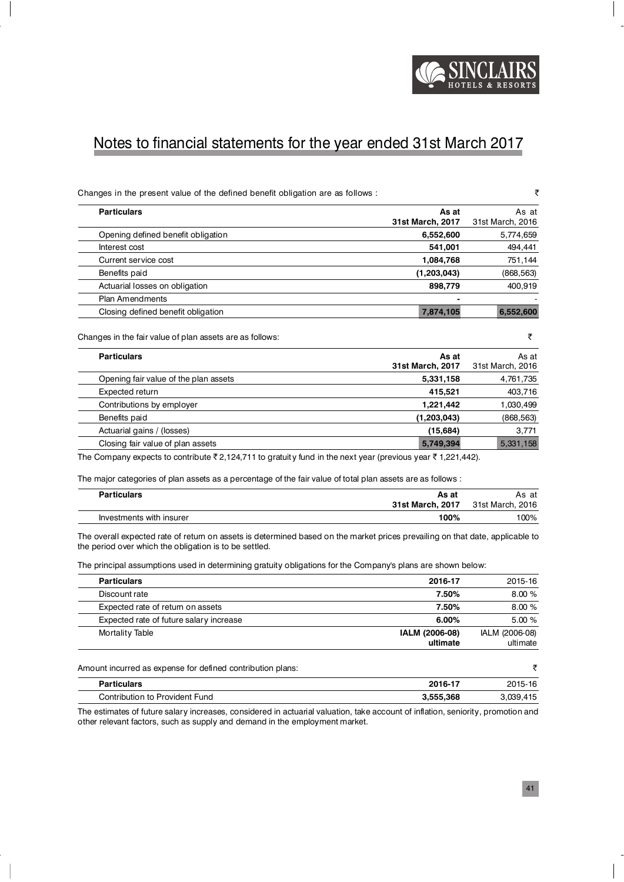

| Changes in the present value of the defined benefit obligation are as follows : |                           | ₹                              |
|---------------------------------------------------------------------------------|---------------------------|--------------------------------|
| <b>Particulars</b>                                                              | As at<br>31st March, 2017 | As at<br>31st March, 2016      |
| Opening defined benefit obligation                                              | 6,552,600                 | 5,774,659                      |
| Interest cost                                                                   | 541,001                   | 494,441                        |
| Current service cost                                                            | 1,084,768                 | 751,144                        |
| Benefits paid                                                                   | (1, 203, 043)             | (868,563)                      |
| Actuarial losses on obligation                                                  | 898,779                   | 400,919                        |
| <b>Plan Amendments</b>                                                          |                           |                                |
| Closing defined benefit obligation                                              | 7,874,105                 | 6,552,600                      |
| Changes in the fair value of plan assets are as follows:<br><b>Particulars</b>  | As at<br>31st March, 2017 | ₹<br>As at<br>31st March, 2016 |
| Opening fair value of the plan assets                                           | 5,331,158                 | 4,761,735                      |
| Expected return                                                                 | 415,521                   | 403,716                        |
| Contributions by employer                                                       | 1,221,442                 | 1,030,499                      |
| Benefits paid                                                                   | (1, 203, 043)             | (868, 563)                     |
| Actuarial gains / (losses)                                                      | (15, 684)                 | 3,771                          |
| Closing fair value of plan assets                                               |                           |                                |
|                                                                                 | 5,749,394                 | 5,331,158                      |

The Company expects to contribute  $\bar{\tau}$  2,124,711 to gratuity fund in the next year (previous year  $\bar{\tau}$  1,221,442).

The major categories of plan assets as a percentage of the fair value of total plan assets are as follows :

| <b>Particulars</b>       | As at            | As at            |
|--------------------------|------------------|------------------|
|                          | 31st March, 2017 | 31st March, 2016 |
| Investments with insurer | 100%             | 100%             |

The overall expected rate of return on assets is determined based on the market prices prevailing on that date, applicable to the period over which the obligation is to be settled.

The principal assumptions used in determining gratuity obligations for the Company's plans are shown below:

| <b>Particulars</b>                                                                                            | 2016-17                    | 2015-16                    |
|---------------------------------------------------------------------------------------------------------------|----------------------------|----------------------------|
| Discount rate                                                                                                 | 7.50%                      | 8.00%                      |
| Expected rate of return on assets                                                                             | 7.50%                      | 8.00 %                     |
| Expected rate of future salary increase                                                                       | 6.00%                      | 5.00 %                     |
| Mortality Table                                                                                               | IALM (2006-08)<br>ultimate | IALM (2006-08)<br>ultimate |
| . A construction of comparison of the construction of the constant of the construction of the construction of |                            | $\equiv$                   |

Amount incurred as expense for defined contribution plans: `

| <b>Particulars</b>             | 2016-17   | 2015-16   |
|--------------------------------|-----------|-----------|
| Contribution to Provident Fund | 3,555,368 | 3.039.415 |

The estimates of future salary increases, considered in actuarial valuation, take account of inflation, seniority, promotion and other relevant factors, such as supply and demand in the employment market.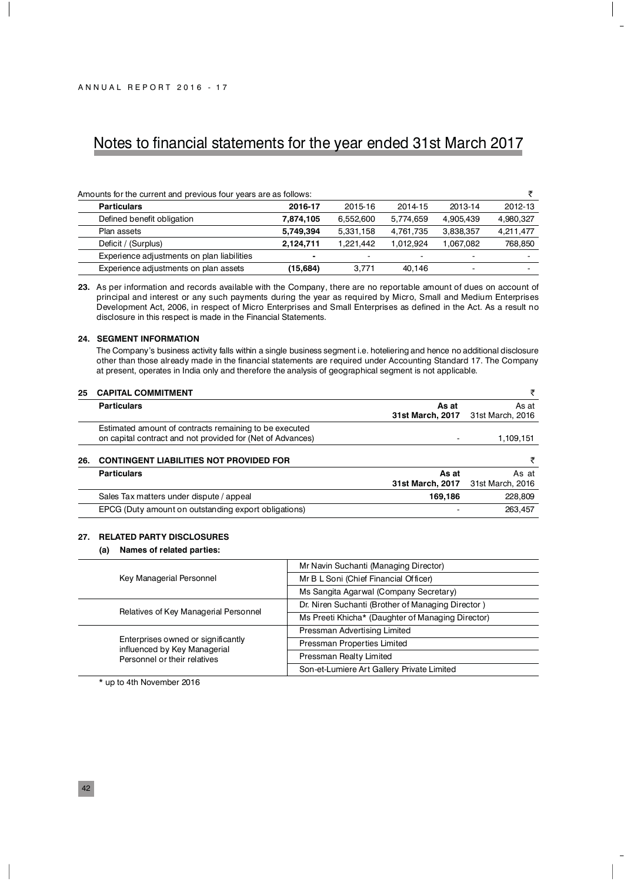| Amounts for the current and previous four years are as follows: |                |                          |           |           |           |  |
|-----------------------------------------------------------------|----------------|--------------------------|-----------|-----------|-----------|--|
| <b>Particulars</b>                                              | 2016-17        | 2015-16                  | 2014-15   | 2013-14   | 2012-13   |  |
| Defined benefit obligation                                      | 7,874,105      | 6.552.600                | 5.774.659 | 4.905.439 | 4,980,327 |  |
| Plan assets                                                     | 5,749,394      | 5,331,158                | 4,761,735 | 3,838,357 | 4,211,477 |  |
| Deficit / (Surplus)                                             | 2,124,711      | 1,221,442                | 1.012.924 | 1.067.082 | 768,850   |  |
| Experience adjustments on plan liabilities                      | $\blacksquare$ | $\overline{\phantom{0}}$ |           |           |           |  |
| Experience adjustments on plan assets                           | (15,684)       | 3.771                    | 40.146    |           |           |  |
|                                                                 |                |                          |           |           |           |  |

**23.** As per information and records available with the Company, there are no reportable amount of dues on account of principal and interest or any such payments during the year as required by Micro, Small and Medium Enterprises Development Act, 2006, in respect of Micro Enterprises and Small Enterprises as defined in the Act. As a result no disclosure in this respect is made in the Financial Statements.

#### **24. SEGMENT INFORMATION**

The Company's business activity falls within a single business segment i.e. hoteliering and hence no additional disclosure other than those already made in the financial statements are required under Accounting Standard 17. The Company at present, operates in India only and therefore the analysis of geographical segment is not applicable.

#### **25 CAPITAL COMMITMENT** `

|     | <b>Particulars</b>                                         | As at            | As at            |
|-----|------------------------------------------------------------|------------------|------------------|
|     |                                                            | 31st March, 2017 | 31st March, 2016 |
|     | Estimated amount of contracts remaining to be executed     |                  |                  |
|     | on capital contract and not provided for (Net of Advances) |                  | 1,109,151        |
|     |                                                            |                  |                  |
| 26. | <b>CONTINGENT LIABILITIES NOT PROVIDED FOR</b>             |                  | ₹                |
|     | <b>Particulars</b>                                         | As at            | As at            |
|     |                                                            | 31st March, 2017 | 31st March, 2016 |
|     | Sales Tax matters under dispute / appeal                   | 169,186          | 228,809          |
|     | EPCG (Duty amount on outstanding export obligations)       |                  | 263,457          |
|     |                                                            |                  |                  |

#### **27. RELATED PARTY DISCLOSURES**

**(a) Names of related parties:**

|                                                                    | Mr Navin Suchanti (Managing Director)             |
|--------------------------------------------------------------------|---------------------------------------------------|
| Key Managerial Personnel                                           | Mr B L Soni (Chief Financial Officer)             |
|                                                                    | Ms Sangita Agarwal (Company Secretary)            |
|                                                                    | Dr. Niren Suchanti (Brother of Managing Director) |
| Relatives of Key Managerial Personnel                              | Ms Preeti Khicha* (Daughter of Managing Director) |
|                                                                    | Pressman Advertising Limited                      |
| Enterprises owned or significantly<br>influenced by Key Managerial | Pressman Properties Limited                       |
| Personnel or their relatives                                       | Pressman Realty Limited                           |
|                                                                    | Son-et-Lumiere Art Gallery Private Limited        |
|                                                                    |                                                   |

\* up to 4th November 2016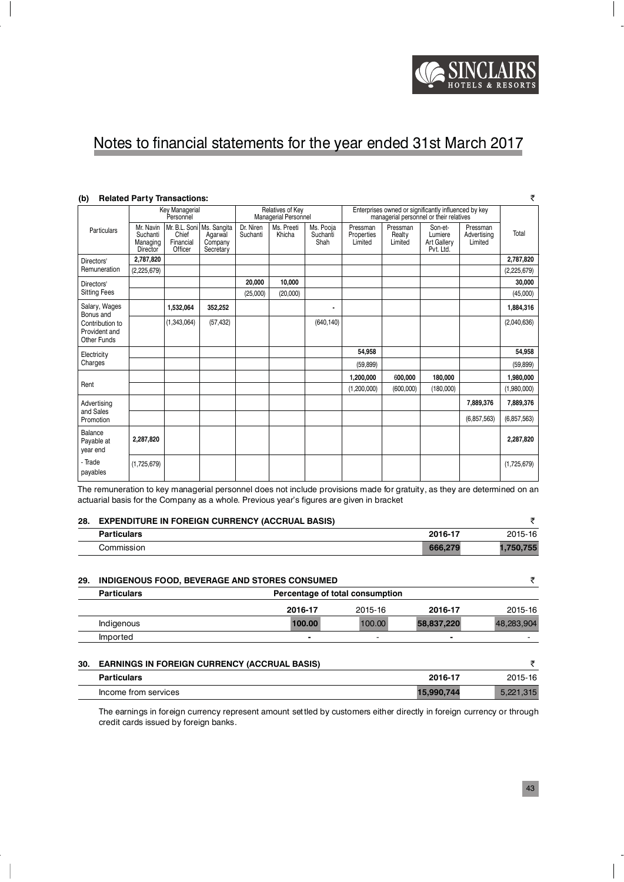

 $\overline{\phantom{a}}$ 

## Notes to financial statements for the year ended 31st March 2017

 $\overline{\phantom{a}}$ 

 $\begin{array}{c} \hline \end{array}$ 

| (b)                                                    | <b>Related Party Transactions:</b>                   |                                    |                                                                |                       |                                          |                               |                                   |                               |                                                                                                 |                                    | ₹           |
|--------------------------------------------------------|------------------------------------------------------|------------------------------------|----------------------------------------------------------------|-----------------------|------------------------------------------|-------------------------------|-----------------------------------|-------------------------------|-------------------------------------------------------------------------------------------------|------------------------------------|-------------|
|                                                        |                                                      | <b>Key Managerial</b><br>Personnel |                                                                |                       | Relatives of Key<br>Managerial Personnel |                               |                                   |                               | Enterprises owned or significantly influenced by key<br>managerial personnel or their relatives |                                    |             |
| Particulars                                            | Mr. Navin<br>Suchanti<br>Managing<br><b>Director</b> | Chief<br>Financial<br>Officer      | Mr. B.L. Soni   Ms. Sangita<br>Agarwal<br>Company<br>Secretary | Dr. Niren<br>Suchanti | Ms. Preeti<br>Khicha                     | Ms. Pooja<br>Suchanti<br>Shah | Pressman<br>Properties<br>Limited | Pressman<br>Realty<br>Limited | Son-et-<br>Lumiere<br>Art Gallery<br>Pvt. Ltd.                                                  | Pressman<br>Advertising<br>Limited | Total       |
| Directors'                                             | 2,787,820                                            |                                    |                                                                |                       |                                          |                               |                                   |                               |                                                                                                 |                                    | 2,787,820   |
| Remuneration                                           | (2,225,679)                                          |                                    |                                                                |                       |                                          |                               |                                   |                               |                                                                                                 |                                    | (2,225,679) |
| Directors'                                             |                                                      |                                    |                                                                | 20,000                | 10,000                                   |                               |                                   |                               |                                                                                                 |                                    | 30,000      |
| <b>Sitting Fees</b>                                    |                                                      |                                    |                                                                | (25,000)              | (20,000)                                 |                               |                                   |                               |                                                                                                 |                                    | (45,000)    |
| Salary, Wages<br>Bonus and                             |                                                      | 1,532,064                          | 352,252                                                        |                       |                                          | $\blacksquare$                |                                   |                               |                                                                                                 |                                    | 1,884,316   |
| Contribution to<br>Provident and<br><b>Other Funds</b> |                                                      | (1,343,064)                        | (57, 432)                                                      |                       |                                          | (640, 140)                    |                                   |                               |                                                                                                 |                                    | (2,040,636) |
| Electricity                                            |                                                      |                                    |                                                                |                       |                                          |                               | 54.958                            |                               |                                                                                                 |                                    | 54,958      |
| Charges                                                |                                                      |                                    |                                                                |                       |                                          |                               | (59, 899)                         |                               |                                                                                                 |                                    | (59, 899)   |
| Rent                                                   |                                                      |                                    |                                                                |                       |                                          |                               | 1,200,000                         | 600,000                       | 180,000                                                                                         |                                    | 1,980,000   |
|                                                        |                                                      |                                    |                                                                |                       |                                          |                               | (1,200,000)                       | (600,000)                     | (180,000)                                                                                       |                                    | (1,980,000) |
| Advertising<br>and Sales                               |                                                      |                                    |                                                                |                       |                                          |                               |                                   |                               |                                                                                                 | 7,889,376                          | 7,889,376   |
| Promotion                                              |                                                      |                                    |                                                                |                       |                                          |                               |                                   |                               |                                                                                                 | (6, 857, 563)                      | (6,857,563) |
| Balance<br>Payable at<br>year end                      | 2,287,820                                            |                                    |                                                                |                       |                                          |                               |                                   |                               |                                                                                                 |                                    | 2,287,820   |
| - Trade<br>payables                                    | (1,725,679)                                          |                                    |                                                                |                       |                                          |                               |                                   |                               |                                                                                                 |                                    | (1,725,679) |

The remuneration to key managerial personnel does not include provisions made for gratuity, as they are determined on an actuarial basis for the Company as a whole. Previous year's figures are given in bracket

| 28. EXPENDITURE IN FOREIGN CURRENCY (ACCRUAL BASIS) |         |           |
|-----------------------------------------------------|---------|-----------|
| Particulars                                         | 2016-17 | 2015-16   |
| Commission                                          | 666.279 | 1.750.755 |

| 29. | <b>INDIGENOUS FOOD, BEVERAGE AND STORES CONSUMED</b>  |         |         |            | ₹          |  |  |  |
|-----|-------------------------------------------------------|---------|---------|------------|------------|--|--|--|
|     | <b>Particulars</b><br>Percentage of total consumption |         |         |            |            |  |  |  |
|     |                                                       | 2016-17 | 2015-16 | 2016-17    | 2015-16    |  |  |  |
|     | Indigenous                                            | 100.00  | 100.00  | 58,837,220 | 48,283,904 |  |  |  |
|     | Imported                                              |         |         | ۰          |            |  |  |  |
| 30. | <b>EARNINGS IN FOREIGN CURRENCY (ACCRUAL BASIS)</b>   |         |         |            | ₹          |  |  |  |
|     | <b>Particulars</b>                                    |         |         | 2016-17    | 2015-16    |  |  |  |
|     | Income from services                                  |         |         | 15,990,744 | 5,221,315  |  |  |  |
|     |                                                       |         |         |            |            |  |  |  |

The earnings in foreign currency represent amount settled by customers either directly in foreign currency or through credit cards issued by foreign banks.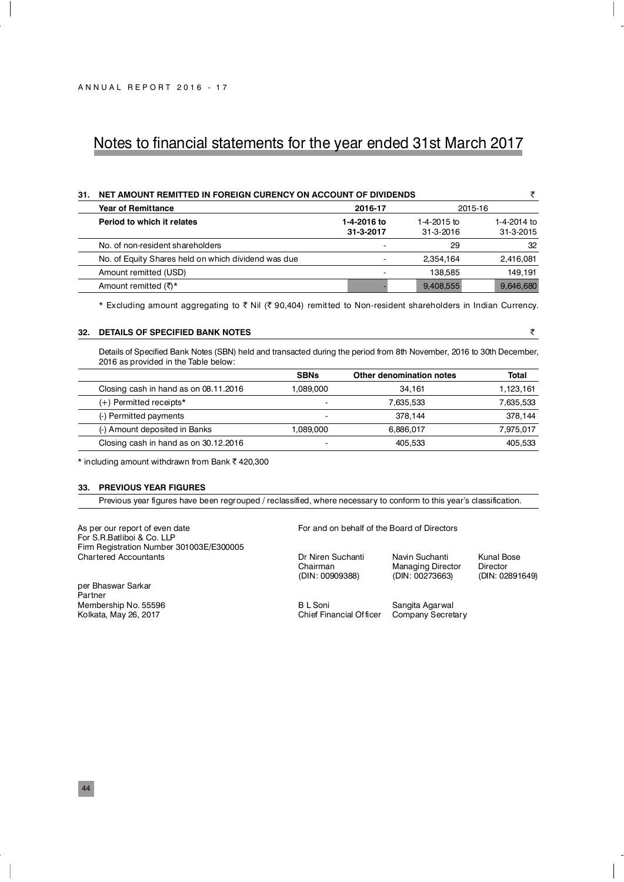| 31. | NET AMOUNT REMITTED IN FOREIGN CURENCY ON ACCOUNT OF DIVIDENDS |             |             |             |
|-----|----------------------------------------------------------------|-------------|-------------|-------------|
|     | <b>Year of Remittance</b>                                      | 2016-17     |             | 2015-16     |
|     | Period to which it relates                                     | 1-4-2016 to | 1-4-2015 to | 1-4-2014 to |
|     |                                                                | 31-3-2017   | 31-3-2016   | 31-3-2015   |
|     | No. of non-resident shareholders                               |             | 29          | 32          |
|     | No. of Equity Shares held on which dividend was due            |             | 2,354,164   | 2,416,081   |
|     | Amount remitted (USD)                                          |             | 138.585     | 149.191     |
|     | Amount remitted (₹)*                                           |             | 9,408,555   | 9,646,680   |

\* Excluding amount aggregating to  $\bar{\tau}$  Nil ( $\bar{\tau}$  90,404) remitted to Non-resident shareholders in Indian Currency.

#### **32. DETAILS OF SPECIFIED BANK NOTES**

Details of Specified Bank Notes (SBN) held and transacted during the period from 8th November, 2016 to 30th December, 2016 as provided in the Table below:

|                                       | <b>SBNs</b>              | Other denomination notes | <b>Total</b> |
|---------------------------------------|--------------------------|--------------------------|--------------|
| Closing cash in hand as on 08.11.2016 | 000.089 ا                | 34.161                   | 1,123,161    |
| (+) Permitted receipts*               | $\overline{\phantom{a}}$ | 7.635.533                | 7,635,533    |
| (-) Permitted payments                | $\overline{\phantom{a}}$ | 378.144                  | 378.144      |
| (-) Amount deposited in Banks         | .089.000                 | 6.886.017                | 7,975,017    |
| Closing cash in hand as on 30.12.2016 | $\overline{\phantom{0}}$ | 405.533                  | 405.533      |

\* including amount withdrawn from Bank  $\bar{\tau}$  420,300

#### **33. PREVIOUS YEAR FIGURES**

Previous year figures have been regrouped / reclassified, where necessary to conform to this year's classification.

As per our report of even date For and on behalf of the Board of Directors<br>For S.R.Batliboi & Co. LLP For S.R.Batliboi & Co. LLP Firm Registration Number 301003E/E300005 Chartered Accountaints and Dr Niren Suchanti Navin Suchanti Navin Suchanti Robert Navin Suchanti Bose<br>Chartered Management Suchanti Suchanti Suchanti Suchanti Suchanti Suchanti Suchanti Suchanti Suchanti Suchanti

per Bhaswar Sarkar Membership No. 55596 Membership No. 55596 **B L Soni** B L Soni Sangita Agarwal<br>Kolkata. May 26. 2017 **Sangita Agama Secretary** Secretary

Chairman Managing Director Director

(DIN: 00909388) (DIN: 00273663) (DIN: 02891649)

₹

Kolkata, May 26, 2017 Chief Financial Officer Company Secretary

44